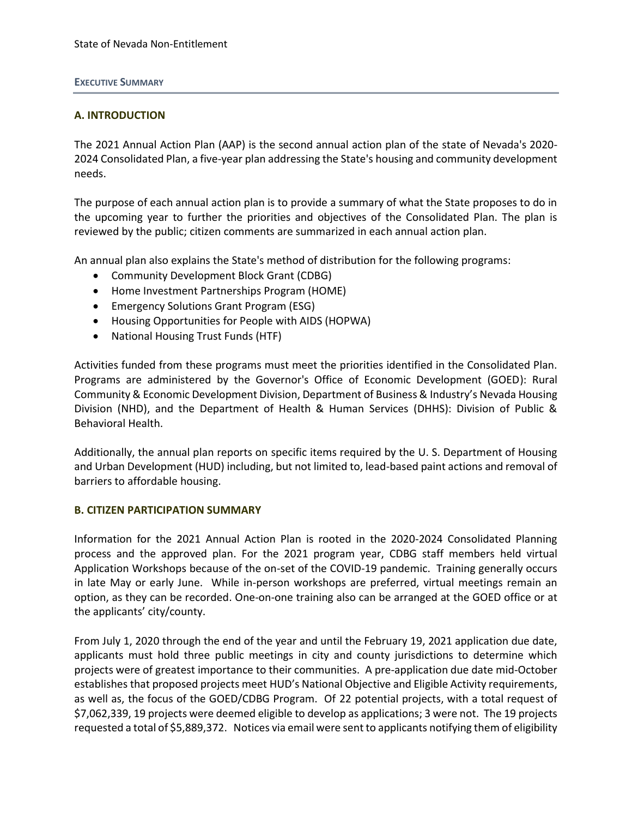#### **EXECUTIVE SUMMARY**

## **A. INTRODUCTION**

The 2021 Annual Action Plan (AAP) is the second annual action plan of the state of Nevada's 2020- 2024 Consolidated Plan, a five-year plan addressing the State's housing and community development needs.

The purpose of each annual action plan is to provide a summary of what the State proposes to do in the upcoming year to further the priorities and objectives of the Consolidated Plan. The plan is reviewed by the public; citizen comments are summarized in each annual action plan.

An annual plan also explains the State's method of distribution for the following programs:

- Community Development Block Grant (CDBG)
- Home Investment Partnerships Program (HOME)
- Emergency Solutions Grant Program (ESG)
- Housing Opportunities for People with AIDS (HOPWA)
- National Housing Trust Funds (HTF)

Activities funded from these programs must meet the priorities identified in the Consolidated Plan. Programs are administered by the Governor's Office of Economic Development (GOED): Rural Community & Economic Development Division, Department of Business & Industry's Nevada Housing Division (NHD), and the Department of Health & Human Services (DHHS): Division of Public & Behavioral Health.

Additionally, the annual plan reports on specific items required by the U. S. Department of Housing and Urban Development (HUD) including, but not limited to, lead-based paint actions and removal of barriers to affordable housing.

#### **B. CITIZEN PARTICIPATION SUMMARY**

Information for the 2021 Annual Action Plan is rooted in the 2020-2024 Consolidated Planning process and the approved plan. For the 2021 program year, CDBG staff members held virtual Application Workshops because of the on-set of the COVID-19 pandemic. Training generally occurs in late May or early June. While in-person workshops are preferred, virtual meetings remain an option, as they can be recorded. One-on-one training also can be arranged at the GOED office or at the applicants' city/county.

From July 1, 2020 through the end of the year and until the February 19, 2021 application due date, applicants must hold three public meetings in city and county jurisdictions to determine which projects were of greatest importance to their communities. A pre-application due date mid-October establishes that proposed projects meet HUD's National Objective and Eligible Activity requirements, as well as, the focus of the GOED/CDBG Program. Of 22 potential projects, with a total request of \$7,062,339, 19 projects were deemed eligible to develop as applications; 3 were not. The 19 projects requested a total of \$5,889,372. Notices via email were sent to applicants notifying them of eligibility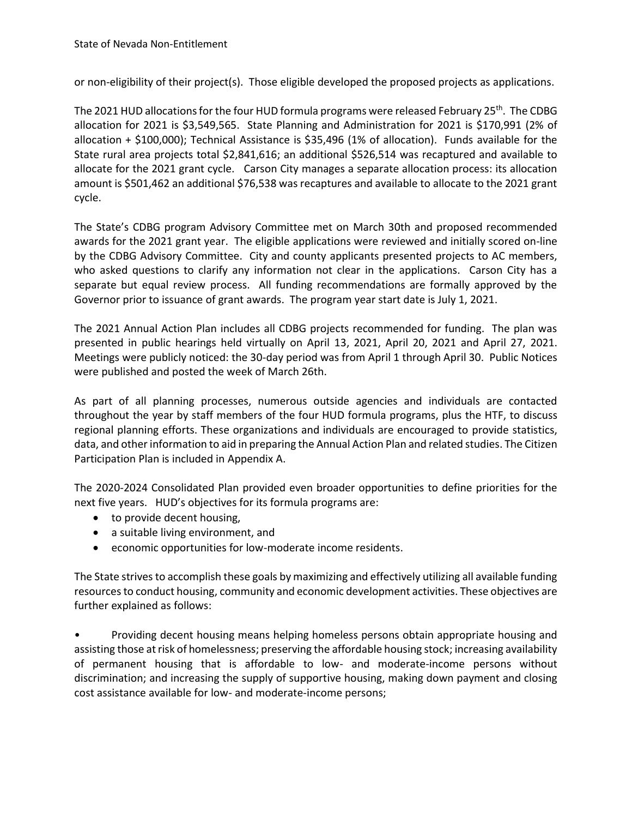or non-eligibility of their project(s). Those eligible developed the proposed projects as applications.

The 2021 HUD allocations for the four HUD formula programs were released February 25<sup>th</sup>. The CDBG allocation for 2021 is \$3,549,565. State Planning and Administration for 2021 is \$170,991 (2% of allocation + \$100,000); Technical Assistance is \$35,496 (1% of allocation). Funds available for the State rural area projects total \$2,841,616; an additional \$526,514 was recaptured and available to allocate for the 2021 grant cycle. Carson City manages a separate allocation process: its allocation amount is \$501,462 an additional \$76,538 was recaptures and available to allocate to the 2021 grant cycle.

The State's CDBG program Advisory Committee met on March 30th and proposed recommended awards for the 2021 grant year. The eligible applications were reviewed and initially scored on-line by the CDBG Advisory Committee. City and county applicants presented projects to AC members, who asked questions to clarify any information not clear in the applications. Carson City has a separate but equal review process. All funding recommendations are formally approved by the Governor prior to issuance of grant awards. The program year start date is July 1, 2021.

The 2021 Annual Action Plan includes all CDBG projects recommended for funding. The plan was presented in public hearings held virtually on April 13, 2021, April 20, 2021 and April 27, 2021. Meetings were publicly noticed: the 30-day period was from April 1 through April 30. Public Notices were published and posted the week of March 26th.

As part of all planning processes, numerous outside agencies and individuals are contacted throughout the year by staff members of the four HUD formula programs, plus the HTF, to discuss regional planning efforts. These organizations and individuals are encouraged to provide statistics, data, and other information to aid in preparing the Annual Action Plan and related studies. The Citizen Participation Plan is included in Appendix A.

The 2020-2024 Consolidated Plan provided even broader opportunities to define priorities for the next five years. HUD's objectives for its formula programs are:

- to provide decent housing,
- a suitable living environment, and
- economic opportunities for low-moderate income residents.

The State strives to accomplish these goals by maximizing and effectively utilizing all available funding resources to conduct housing, community and economic development activities. These objectives are further explained as follows:

• Providing decent housing means helping homeless persons obtain appropriate housing and assisting those at risk of homelessness; preserving the affordable housing stock; increasing availability of permanent housing that is affordable to low- and moderate-income persons without discrimination; and increasing the supply of supportive housing, making down payment and closing cost assistance available for low- and moderate-income persons;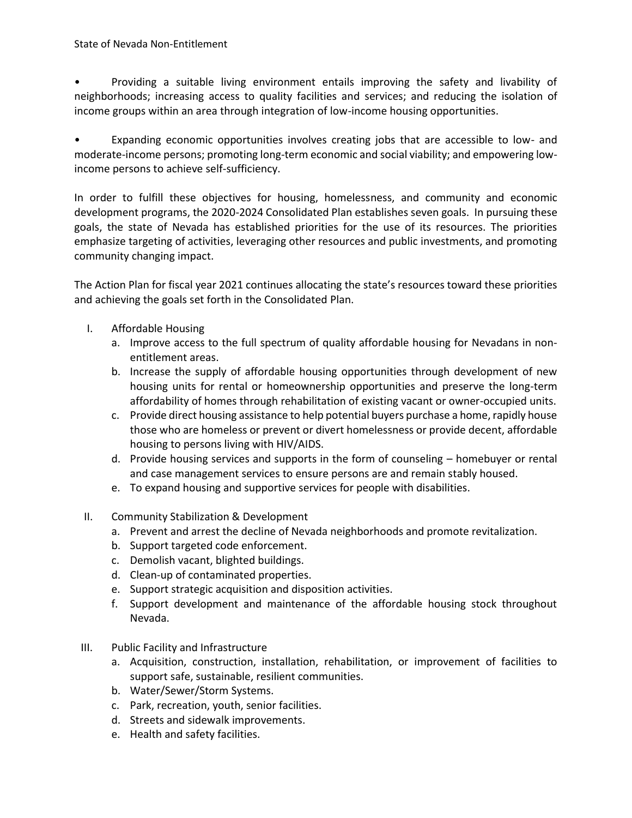• Providing a suitable living environment entails improving the safety and livability of neighborhoods; increasing access to quality facilities and services; and reducing the isolation of income groups within an area through integration of low-income housing opportunities.

• Expanding economic opportunities involves creating jobs that are accessible to low- and moderate-income persons; promoting long-term economic and social viability; and empowering lowincome persons to achieve self-sufficiency.

In order to fulfill these objectives for housing, homelessness, and community and economic development programs, the 2020-2024 Consolidated Plan establishes seven goals. In pursuing these goals, the state of Nevada has established priorities for the use of its resources. The priorities emphasize targeting of activities, leveraging other resources and public investments, and promoting community changing impact.

The Action Plan for fiscal year 2021 continues allocating the state's resources toward these priorities and achieving the goals set forth in the Consolidated Plan.

- I. Affordable Housing
	- a. Improve access to the full spectrum of quality affordable housing for Nevadans in nonentitlement areas.
	- b. Increase the supply of affordable housing opportunities through development of new housing units for rental or homeownership opportunities and preserve the long-term affordability of homes through rehabilitation of existing vacant or owner-occupied units.
	- c. Provide direct housing assistance to help potential buyers purchase a home, rapidly house those who are homeless or prevent or divert homelessness or provide decent, affordable housing to persons living with HIV/AIDS.
	- d. Provide housing services and supports in the form of counseling homebuyer or rental and case management services to ensure persons are and remain stably housed.
	- e. To expand housing and supportive services for people with disabilities.
- II. Community Stabilization & Development
	- a. Prevent and arrest the decline of Nevada neighborhoods and promote revitalization.
	- b. Support targeted code enforcement.
	- c. Demolish vacant, blighted buildings.
	- d. Clean-up of contaminated properties.
	- e. Support strategic acquisition and disposition activities.
	- f. Support development and maintenance of the affordable housing stock throughout Nevada.
- III. Public Facility and Infrastructure
	- a. Acquisition, construction, installation, rehabilitation, or improvement of facilities to support safe, sustainable, resilient communities.
	- b. Water/Sewer/Storm Systems.
	- c. Park, recreation, youth, senior facilities.
	- d. Streets and sidewalk improvements.
	- e. Health and safety facilities.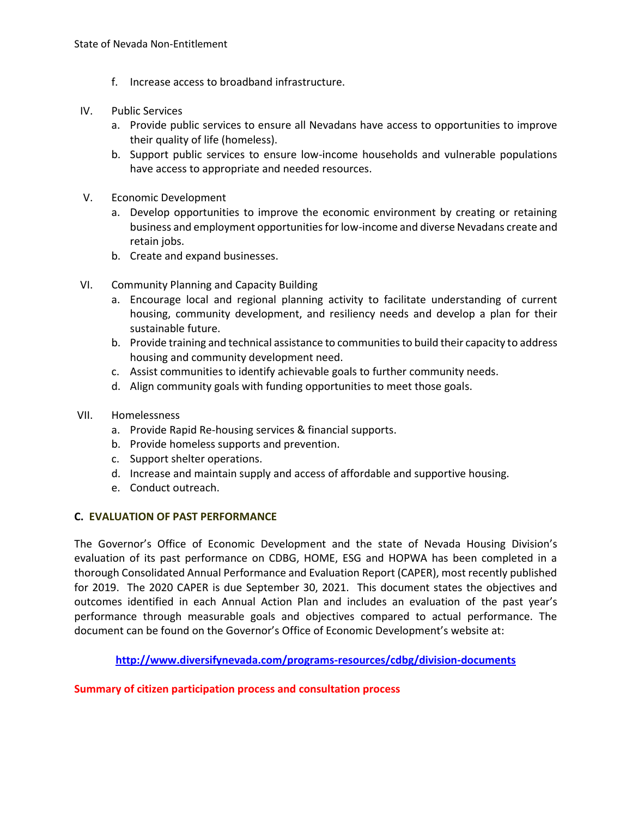- f. Increase access to broadband infrastructure.
- IV. Public Services
	- a. Provide public services to ensure all Nevadans have access to opportunities to improve their quality of life (homeless).
	- b. Support public services to ensure low-income households and vulnerable populations have access to appropriate and needed resources.
- V. Economic Development
	- a. Develop opportunities to improve the economic environment by creating or retaining business and employment opportunities for low-income and diverse Nevadans create and retain jobs.
	- b. Create and expand businesses.
- VI. Community Planning and Capacity Building
	- a. Encourage local and regional planning activity to facilitate understanding of current housing, community development, and resiliency needs and develop a plan for their sustainable future.
	- b. Provide training and technical assistance to communities to build their capacity to address housing and community development need.
	- c. Assist communities to identify achievable goals to further community needs.
	- d. Align community goals with funding opportunities to meet those goals.
- VII. Homelessness
	- a. Provide Rapid Re-housing services & financial supports.
	- b. Provide homeless supports and prevention.
	- c. Support shelter operations.
	- d. Increase and maintain supply and access of affordable and supportive housing.
	- e. Conduct outreach.

## **C. EVALUATION OF PAST PERFORMANCE**

The Governor's Office of Economic Development and the state of Nevada Housing Division's evaluation of its past performance on CDBG, HOME, ESG and HOPWA has been completed in a thorough Consolidated Annual Performance and Evaluation Report (CAPER), most recently published for 2019. The 2020 CAPER is due September 30, 2021. This document states the objectives and outcomes identified in each Annual Action Plan and includes an evaluation of the past year's performance through measurable goals and objectives compared to actual performance. The document can be found on the Governor's Office of Economic Development's website at:

**<http://www.diversifynevada.com/programs-resources/cdbg/division-documents>**

## **Summary of citizen participation process and consultation process**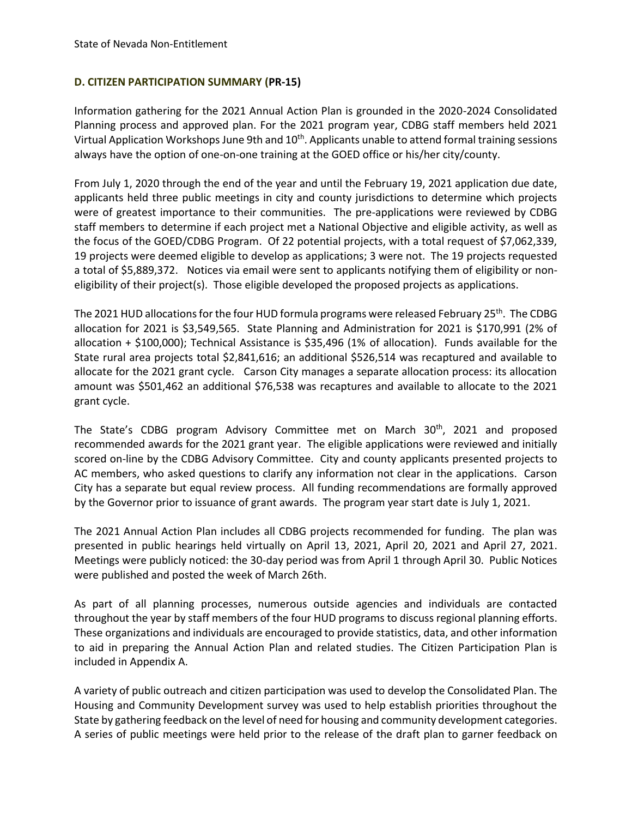## **D. CITIZEN PARTICIPATION SUMMARY (PR-15)**

Information gathering for the 2021 Annual Action Plan is grounded in the 2020-2024 Consolidated Planning process and approved plan. For the 2021 program year, CDBG staff members held 2021 Virtual Application Workshops June 9th and  $10^{th}$ . Applicants unable to attend formal training sessions always have the option of one-on-one training at the GOED office or his/her city/county.

From July 1, 2020 through the end of the year and until the February 19, 2021 application due date, applicants held three public meetings in city and county jurisdictions to determine which projects were of greatest importance to their communities. The pre-applications were reviewed by CDBG staff members to determine if each project met a National Objective and eligible activity, as well as the focus of the GOED/CDBG Program. Of 22 potential projects, with a total request of \$7,062,339, 19 projects were deemed eligible to develop as applications; 3 were not. The 19 projects requested a total of \$5,889,372. Notices via email were sent to applicants notifying them of eligibility or noneligibility of their project(s). Those eligible developed the proposed projects as applications.

The 2021 HUD allocations for the four HUD formula programs were released February 25<sup>th</sup>. The CDBG allocation for 2021 is \$3,549,565. State Planning and Administration for 2021 is \$170,991 (2% of allocation + \$100,000); Technical Assistance is \$35,496 (1% of allocation). Funds available for the State rural area projects total \$2,841,616; an additional \$526,514 was recaptured and available to allocate for the 2021 grant cycle. Carson City manages a separate allocation process: its allocation amount was \$501,462 an additional \$76,538 was recaptures and available to allocate to the 2021 grant cycle.

The State's CDBG program Advisory Committee met on March 30<sup>th</sup>, 2021 and proposed recommended awards for the 2021 grant year. The eligible applications were reviewed and initially scored on-line by the CDBG Advisory Committee. City and county applicants presented projects to AC members, who asked questions to clarify any information not clear in the applications. Carson City has a separate but equal review process. All funding recommendations are formally approved by the Governor prior to issuance of grant awards. The program year start date is July 1, 2021.

The 2021 Annual Action Plan includes all CDBG projects recommended for funding. The plan was presented in public hearings held virtually on April 13, 2021, April 20, 2021 and April 27, 2021. Meetings were publicly noticed: the 30-day period was from April 1 through April 30. Public Notices were published and posted the week of March 26th.

As part of all planning processes, numerous outside agencies and individuals are contacted throughout the year by staff members of the four HUD programs to discuss regional planning efforts. These organizations and individuals are encouraged to provide statistics, data, and other information to aid in preparing the Annual Action Plan and related studies. The Citizen Participation Plan is included in Appendix A.

A variety of public outreach and citizen participation was used to develop the Consolidated Plan. The Housing and Community Development survey was used to help establish priorities throughout the State by gathering feedback on the level of need for housing and community development categories. A series of public meetings were held prior to the release of the draft plan to garner feedback on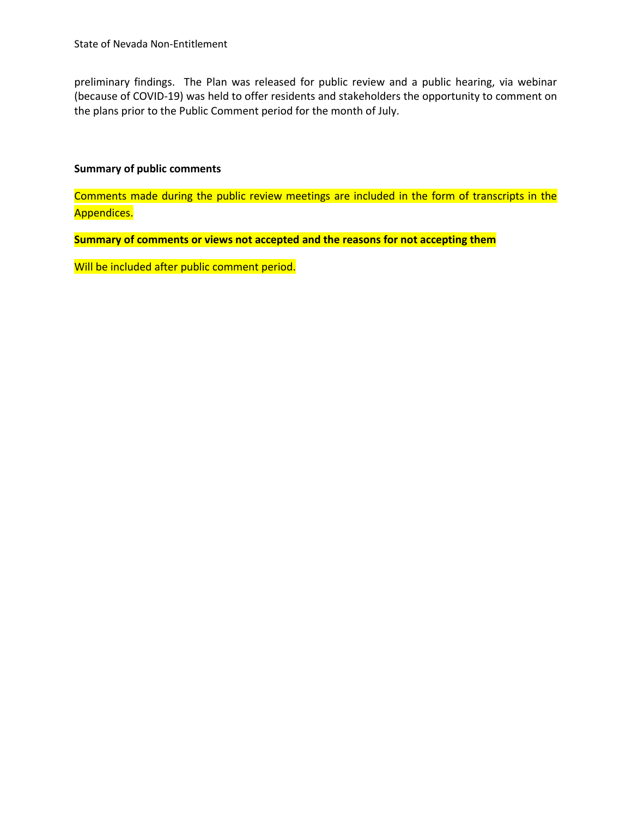preliminary findings. The Plan was released for public review and a public hearing, via webinar (because of COVID-19) was held to offer residents and stakeholders the opportunity to comment on the plans prior to the Public Comment period for the month of July.

#### **Summary of public comments**

Comments made during the public review meetings are included in the form of transcripts in the Appendices.

**Summary of comments or views not accepted and the reasons for not accepting them**

Will be included after public comment period.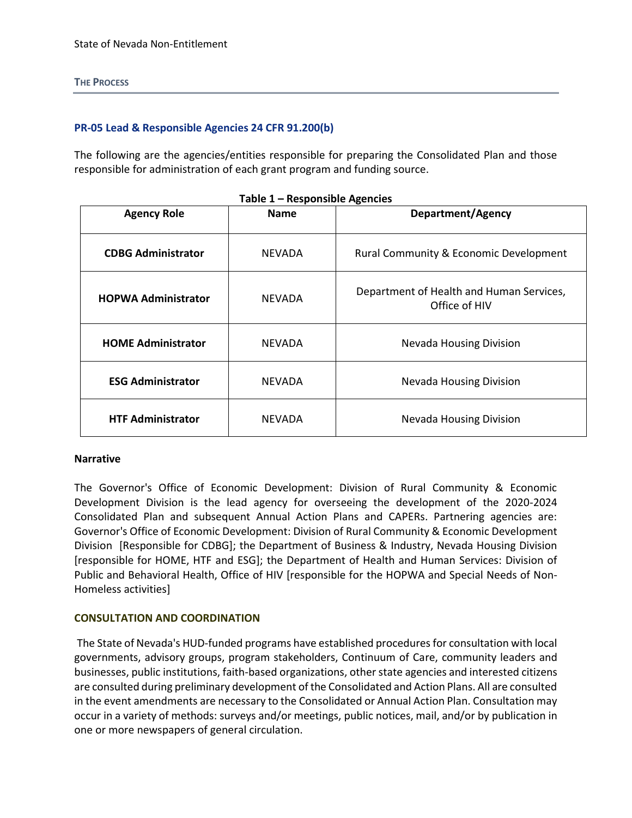#### **THE PROCESS**

#### **PR-05 Lead & Responsible Agencies 24 CFR 91.200(b)**

The following are the agencies/entities responsible for preparing the Consolidated Plan and those responsible for administration of each grant program and funding source.

| <b>Agency Role</b>         | <b>Name</b>   | <b>Department/Agency</b>                                  |  |  |  |
|----------------------------|---------------|-----------------------------------------------------------|--|--|--|
| <b>CDBG Administrator</b>  | <b>NEVADA</b> | Rural Community & Economic Development                    |  |  |  |
| <b>HOPWA Administrator</b> | <b>NEVADA</b> | Department of Health and Human Services,<br>Office of HIV |  |  |  |
| <b>HOME Administrator</b>  | <b>NEVADA</b> | <b>Nevada Housing Division</b>                            |  |  |  |
| <b>ESG Administrator</b>   | <b>NEVADA</b> | <b>Nevada Housing Division</b>                            |  |  |  |
| <b>HTF Administrator</b>   | NEVADA        | <b>Nevada Housing Division</b>                            |  |  |  |

|  | Table 1 - Responsible Agencies |  |
|--|--------------------------------|--|
|--|--------------------------------|--|

#### **Narrative**

The Governor's Office of Economic Development: Division of Rural Community & Economic Development Division is the lead agency for overseeing the development of the 2020-2024 Consolidated Plan and subsequent Annual Action Plans and CAPERs. Partnering agencies are: Governor's Office of Economic Development: Division of Rural Community & Economic Development Division [Responsible for CDBG]; the Department of Business & Industry, Nevada Housing Division [responsible for HOME, HTF and ESG]; the Department of Health and Human Services: Division of Public and Behavioral Health, Office of HIV [responsible for the HOPWA and Special Needs of Non-Homeless activities]

#### **CONSULTATION AND COORDINATION**

The State of Nevada's HUD-funded programs have established procedures for consultation with local governments, advisory groups, program stakeholders, Continuum of Care, community leaders and businesses, public institutions, faith-based organizations, other state agencies and interested citizens are consulted during preliminary development of the Consolidated and Action Plans. All are consulted in the event amendments are necessary to the Consolidated or Annual Action Plan. Consultation may occur in a variety of methods: surveys and/or meetings, public notices, mail, and/or by publication in one or more newspapers of general circulation.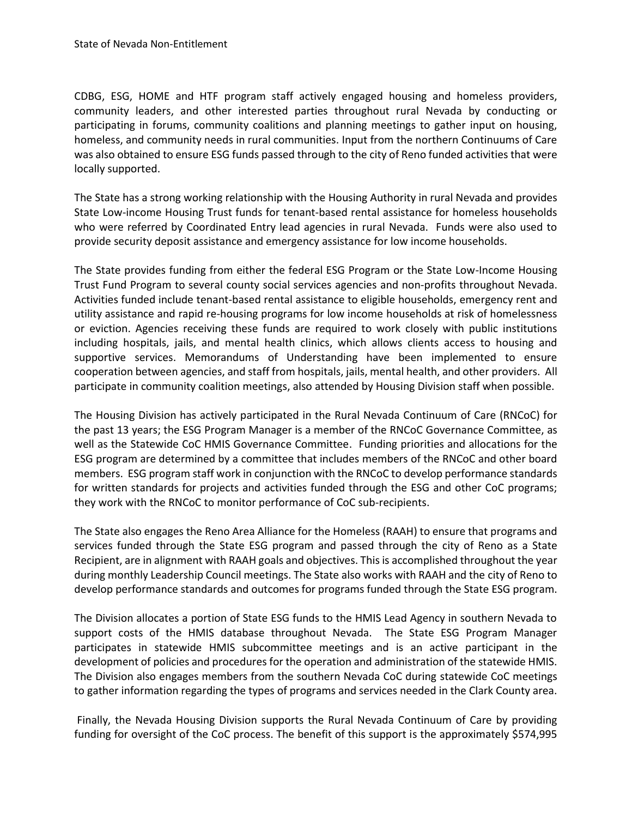CDBG, ESG, HOME and HTF program staff actively engaged housing and homeless providers, community leaders, and other interested parties throughout rural Nevada by conducting or participating in forums, community coalitions and planning meetings to gather input on housing, homeless, and community needs in rural communities. Input from the northern Continuums of Care was also obtained to ensure ESG funds passed through to the city of Reno funded activities that were locally supported.

The State has a strong working relationship with the Housing Authority in rural Nevada and provides State Low-income Housing Trust funds for tenant-based rental assistance for homeless households who were referred by Coordinated Entry lead agencies in rural Nevada. Funds were also used to provide security deposit assistance and emergency assistance for low income households.

The State provides funding from either the federal ESG Program or the State Low-Income Housing Trust Fund Program to several county social services agencies and non-profits throughout Nevada. Activities funded include tenant-based rental assistance to eligible households, emergency rent and utility assistance and rapid re-housing programs for low income households at risk of homelessness or eviction. Agencies receiving these funds are required to work closely with public institutions including hospitals, jails, and mental health clinics, which allows clients access to housing and supportive services. Memorandums of Understanding have been implemented to ensure cooperation between agencies, and staff from hospitals, jails, mental health, and other providers. All participate in community coalition meetings, also attended by Housing Division staff when possible.

The Housing Division has actively participated in the Rural Nevada Continuum of Care (RNCoC) for the past 13 years; the ESG Program Manager is a member of the RNCoC Governance Committee, as well as the Statewide CoC HMIS Governance Committee. Funding priorities and allocations for the ESG program are determined by a committee that includes members of the RNCoC and other board members. ESG program staff work in conjunction with the RNCoC to develop performance standards for written standards for projects and activities funded through the ESG and other CoC programs; they work with the RNCoC to monitor performance of CoC sub-recipients.

The State also engages the Reno Area Alliance for the Homeless (RAAH) to ensure that programs and services funded through the State ESG program and passed through the city of Reno as a State Recipient, are in alignment with RAAH goals and objectives. This is accomplished throughout the year during monthly Leadership Council meetings. The State also works with RAAH and the city of Reno to develop performance standards and outcomes for programs funded through the State ESG program.

The Division allocates a portion of State ESG funds to the HMIS Lead Agency in southern Nevada to support costs of the HMIS database throughout Nevada. The State ESG Program Manager participates in statewide HMIS subcommittee meetings and is an active participant in the development of policies and procedures for the operation and administration of the statewide HMIS. The Division also engages members from the southern Nevada CoC during statewide CoC meetings to gather information regarding the types of programs and services needed in the Clark County area.

Finally, the Nevada Housing Division supports the Rural Nevada Continuum of Care by providing funding for oversight of the CoC process. The benefit of this support is the approximately \$574,995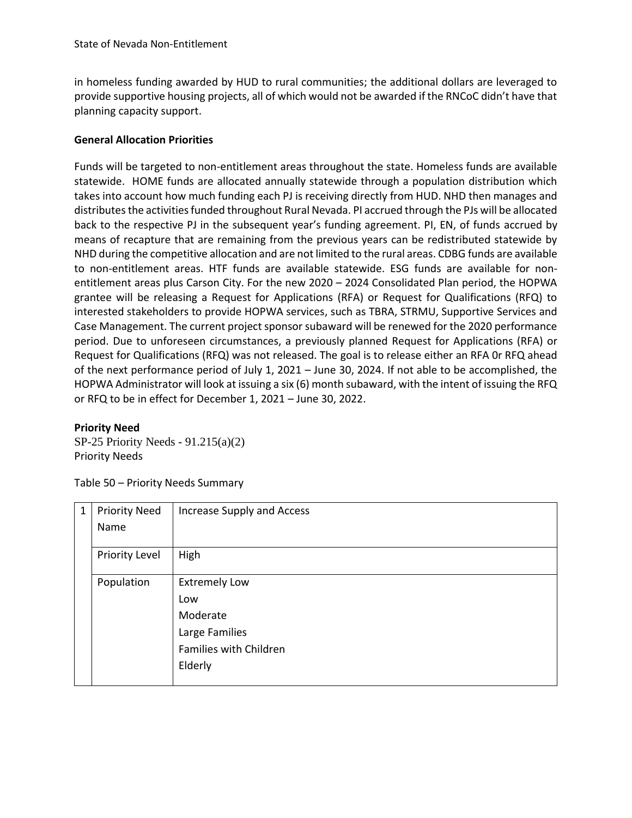in homeless funding awarded by HUD to rural communities; the additional dollars are leveraged to provide supportive housing projects, all of which would not be awarded if the RNCoC didn't have that planning capacity support.

## **General Allocation Priorities**

Funds will be targeted to non-entitlement areas throughout the state. Homeless funds are available statewide. HOME funds are allocated annually statewide through a population distribution which takes into account how much funding each PJ is receiving directly from HUD. NHD then manages and distributes the activities funded throughout Rural Nevada. PI accrued through the PJs will be allocated back to the respective PJ in the subsequent year's funding agreement. PI, EN, of funds accrued by means of recapture that are remaining from the previous years can be redistributed statewide by NHD during the competitive allocation and are not limited to the rural areas. CDBG funds are available to non-entitlement areas. HTF funds are available statewide. ESG funds are available for nonentitlement areas plus Carson City. For the new 2020 – 2024 Consolidated Plan period, the HOPWA grantee will be releasing a Request for Applications (RFA) or Request for Qualifications (RFQ) to interested stakeholders to provide HOPWA services, such as TBRA, STRMU, Supportive Services and Case Management. The current project sponsor subaward will be renewed for the 2020 performance period. Due to unforeseen circumstances, a previously planned Request for Applications (RFA) or Request for Qualifications (RFQ) was not released. The goal is to release either an RFA 0r RFQ ahead of the next performance period of July 1, 2021 – June 30, 2024. If not able to be accomplished, the HOPWA Administrator will look at issuing a six (6) month subaward, with the intent of issuing the RFQ or RFQ to be in effect for December 1, 2021 – June 30, 2022.

#### **Priority Need**

SP-25 Priority Needs - 91.215(a)(2) Priority Needs

Table 50 – Priority Needs Summary

| $\mathbf{1}$ | <b>Priority Need</b> | Increase Supply and Access |
|--------------|----------------------|----------------------------|
|              | Name                 |                            |
|              | Priority Level       | High                       |
|              | Population           | <b>Extremely Low</b>       |
|              |                      | Low                        |
|              |                      | Moderate                   |
|              |                      | Large Families             |
|              |                      | Families with Children     |
|              |                      | Elderly                    |
|              |                      |                            |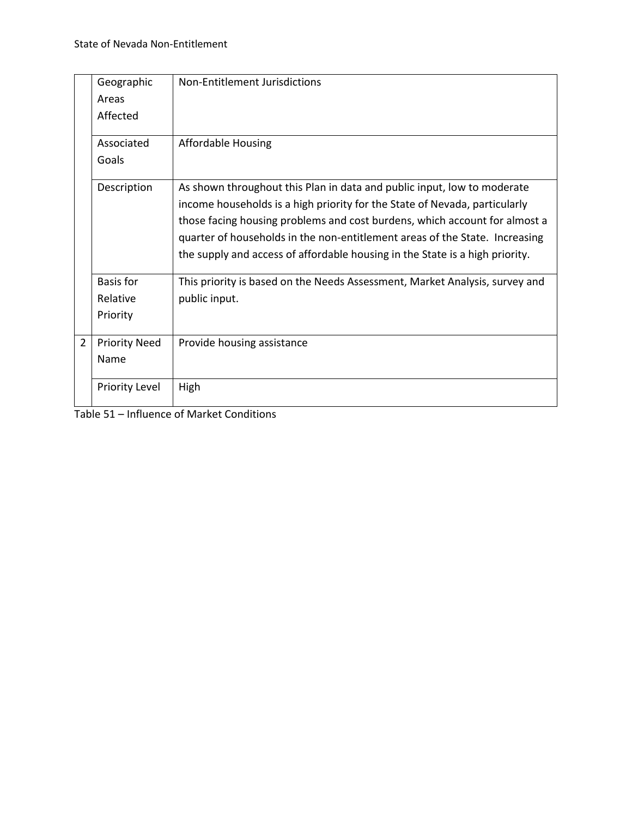|                | Geographic<br>Areas<br>Affected   | Non-Entitlement Jurisdictions                                                                                                                                                                                                                                                                                                                                                                      |
|----------------|-----------------------------------|----------------------------------------------------------------------------------------------------------------------------------------------------------------------------------------------------------------------------------------------------------------------------------------------------------------------------------------------------------------------------------------------------|
|                | Associated<br>Goals               | Affordable Housing                                                                                                                                                                                                                                                                                                                                                                                 |
|                | Description                       | As shown throughout this Plan in data and public input, low to moderate<br>income households is a high priority for the State of Nevada, particularly<br>those facing housing problems and cost burdens, which account for almost a<br>quarter of households in the non-entitlement areas of the State. Increasing<br>the supply and access of affordable housing in the State is a high priority. |
|                | Basis for<br>Relative<br>Priority | This priority is based on the Needs Assessment, Market Analysis, survey and<br>public input.                                                                                                                                                                                                                                                                                                       |
| $\overline{2}$ | <b>Priority Need</b><br>Name      | Provide housing assistance                                                                                                                                                                                                                                                                                                                                                                         |
|                | <b>Priority Level</b>             | High                                                                                                                                                                                                                                                                                                                                                                                               |

Table 51 – Influence of Market Conditions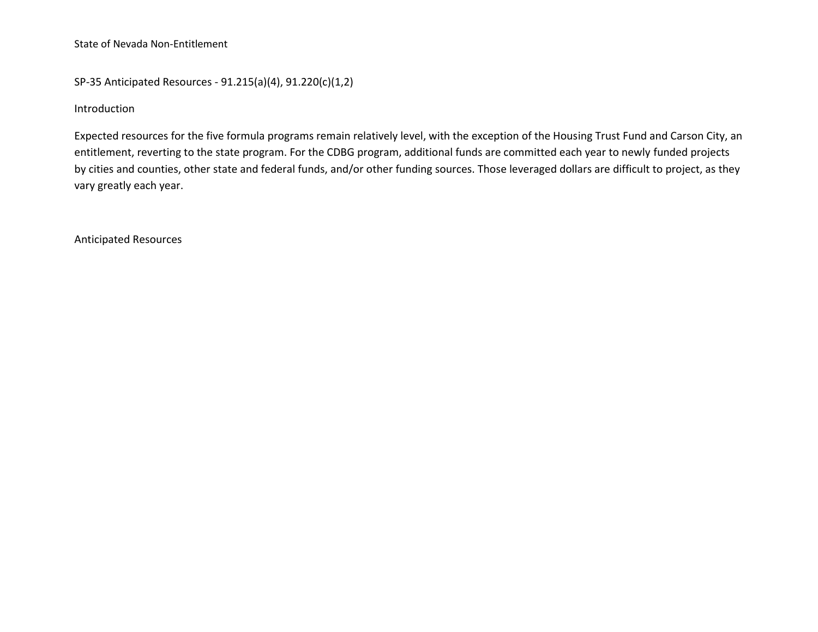State of Nevada Non-Entitlement

SP-35 Anticipated Resources - 91.215(a)(4), 91.220(c)(1,2)

Introduction

Expected resources for the five formula programs remain relatively level, with the exception of the Housing Trust Fund and Carson City, an entitlement, reverting to the state program. For the CDBG program, additional funds are committed each year to newly funded projects by cities and counties, other state and federal funds, and/or other funding sources. Those leveraged dollars are difficult to project, as they vary greatly each year.

Anticipated Resources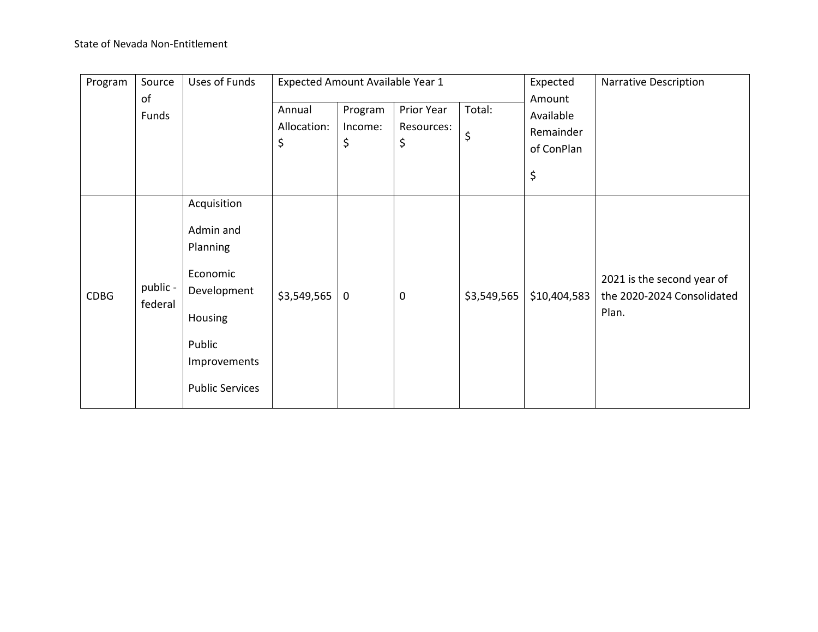# State of Nevada Non-Entitlement

| Program     | Source              | Uses of Funds                                                                                                                  | Expected Amount Available Year 1 |                          |                                |              | Expected                                             | <b>Narrative Description</b>                                      |
|-------------|---------------------|--------------------------------------------------------------------------------------------------------------------------------|----------------------------------|--------------------------|--------------------------------|--------------|------------------------------------------------------|-------------------------------------------------------------------|
|             | оf<br>Funds         |                                                                                                                                | Annual<br>Allocation:<br>\$      | Program<br>Income:<br>\$ | Prior Year<br>Resources:<br>\$ | Total:<br>\$ | Amount<br>Available<br>Remainder<br>of ConPlan<br>\$ |                                                                   |
| <b>CDBG</b> | public -<br>federal | Acquisition<br>Admin and<br>Planning<br>Economic<br>Development<br>Housing<br>Public<br>Improvements<br><b>Public Services</b> | \$3,549,565                      | $\mathbf 0$              | $\mathbf 0$                    | \$3,549,565  | \$10,404,583                                         | 2021 is the second year of<br>the 2020-2024 Consolidated<br>Plan. |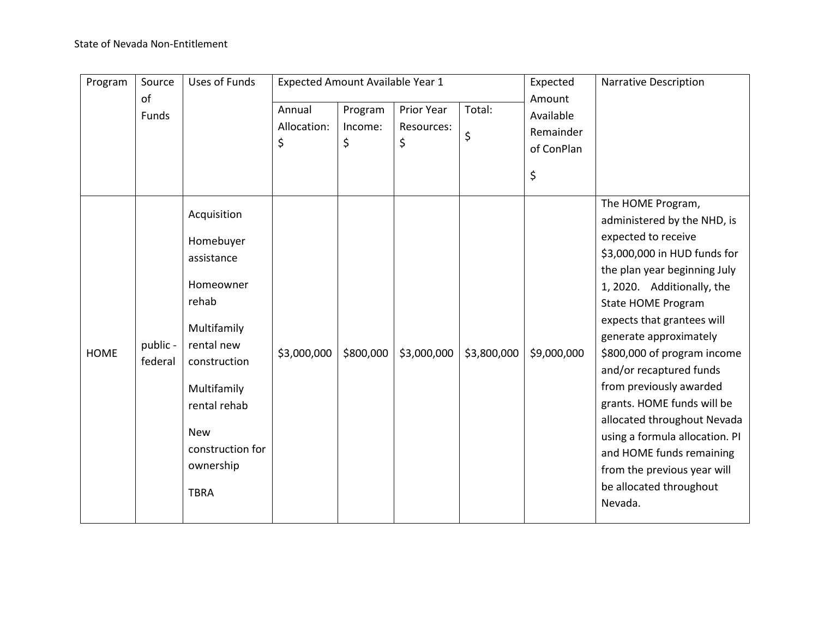| Program     | Source              | <b>Uses of Funds</b>                                                                                                                                                                                   | Expected Amount Available Year 1 |                          |                                       |              | Expected                                             | <b>Narrative Description</b>                                                                                                                                                                                                                                                                                                                                                                                                                                                                                                                    |
|-------------|---------------------|--------------------------------------------------------------------------------------------------------------------------------------------------------------------------------------------------------|----------------------------------|--------------------------|---------------------------------------|--------------|------------------------------------------------------|-------------------------------------------------------------------------------------------------------------------------------------------------------------------------------------------------------------------------------------------------------------------------------------------------------------------------------------------------------------------------------------------------------------------------------------------------------------------------------------------------------------------------------------------------|
|             | of<br>Funds         |                                                                                                                                                                                                        | Annual<br>Allocation:<br>\$      | Program<br>Income:<br>\$ | <b>Prior Year</b><br>Resources:<br>\$ | Total:<br>\$ | Amount<br>Available<br>Remainder<br>of ConPlan<br>\$ |                                                                                                                                                                                                                                                                                                                                                                                                                                                                                                                                                 |
| <b>HOME</b> | public -<br>federal | Acquisition<br>Homebuyer<br>assistance<br>Homeowner<br>rehab<br>Multifamily<br>rental new<br>construction<br>Multifamily<br>rental rehab<br><b>New</b><br>construction for<br>ownership<br><b>TBRA</b> | \$3,000,000                      | \$800,000                | \$3,000,000                           | \$3,800,000  | \$9,000,000                                          | The HOME Program,<br>administered by the NHD, is<br>expected to receive<br>\$3,000,000 in HUD funds for<br>the plan year beginning July<br>1, 2020. Additionally, the<br><b>State HOME Program</b><br>expects that grantees will<br>generate approximately<br>\$800,000 of program income<br>and/or recaptured funds<br>from previously awarded<br>grants. HOME funds will be<br>allocated throughout Nevada<br>using a formula allocation. PI<br>and HOME funds remaining<br>from the previous year will<br>be allocated throughout<br>Nevada. |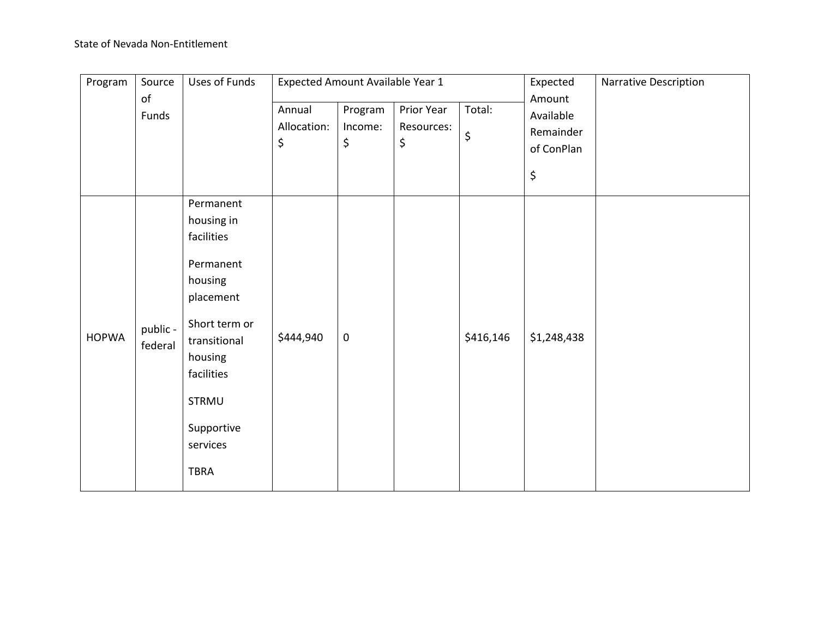| Program      | Source              | Uses of Funds                                                                                                                                                                          | Expected Amount Available Year 1 |                          |                                | Expected<br>Narrative Description |                                                      |  |
|--------------|---------------------|----------------------------------------------------------------------------------------------------------------------------------------------------------------------------------------|----------------------------------|--------------------------|--------------------------------|-----------------------------------|------------------------------------------------------|--|
|              | of<br>Funds         |                                                                                                                                                                                        | Annual<br>Allocation:<br>\$      | Program<br>Income:<br>\$ | Prior Year<br>Resources:<br>\$ | Total:<br>\$                      | Amount<br>Available<br>Remainder<br>of ConPlan<br>\$ |  |
| <b>HOPWA</b> | public -<br>federal | Permanent<br>housing in<br>facilities<br>Permanent<br>housing<br>placement<br>Short term or<br>transitional<br>housing<br>facilities<br>STRMU<br>Supportive<br>services<br><b>TBRA</b> | \$444,940                        | $\mathsf 0$              |                                | \$416,146                         | \$1,248,438                                          |  |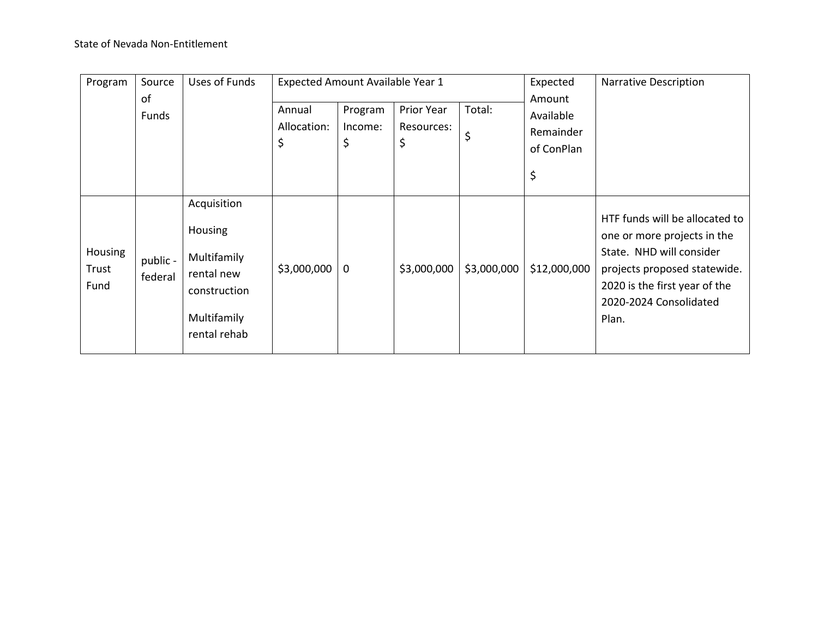| Program                  | Source              | Uses of Funds                                                                                             | Expected Amount Available Year 1 |                          |                                |              | Expected                                             | <b>Narrative Description</b>                                                                                                                                                                  |
|--------------------------|---------------------|-----------------------------------------------------------------------------------------------------------|----------------------------------|--------------------------|--------------------------------|--------------|------------------------------------------------------|-----------------------------------------------------------------------------------------------------------------------------------------------------------------------------------------------|
|                          | of<br>Funds         |                                                                                                           | Annual<br>Allocation:<br>\$      | Program<br>Income:<br>\$ | Prior Year<br>Resources:<br>\$ | Total:<br>\$ | Amount<br>Available<br>Remainder<br>of ConPlan<br>\$ |                                                                                                                                                                                               |
| Housing<br>Trust<br>Fund | public -<br>federal | Acquisition<br><b>Housing</b><br>Multifamily<br>rental new<br>construction<br>Multifamily<br>rental rehab | \$3,000,000                      | $\mathbf 0$              | \$3,000,000                    | \$3,000,000  | \$12,000,000                                         | HTF funds will be allocated to<br>one or more projects in the<br>State. NHD will consider<br>projects proposed statewide.<br>2020 is the first year of the<br>2020-2024 Consolidated<br>Plan. |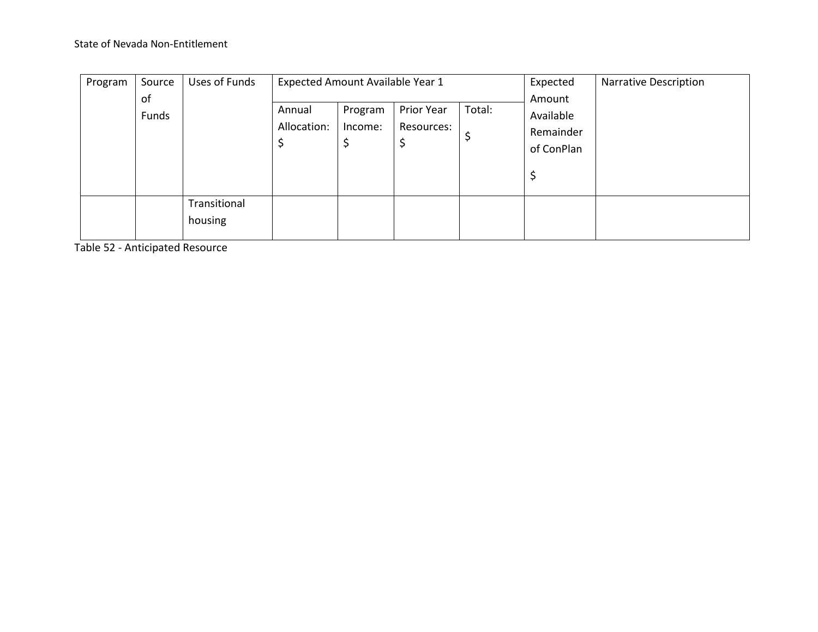| Program | Source<br>of | Uses of Funds                | Expected Amount Available Year 1 |                          |        | Expected<br><b>Narrative Description</b><br>Amount |  |  |
|---------|--------------|------------------------------|----------------------------------|--------------------------|--------|----------------------------------------------------|--|--|
| Funds   |              | Annual<br>Allocation:<br>\$, | Program<br>Income:<br>\$         | Prior Year<br>Resources: | Total: | Available<br>Remainder<br>of ConPlan<br>\$         |  |  |
|         |              | Transitional<br>housing      |                                  |                          |        |                                                    |  |  |

Table 52 - Anticipated Resource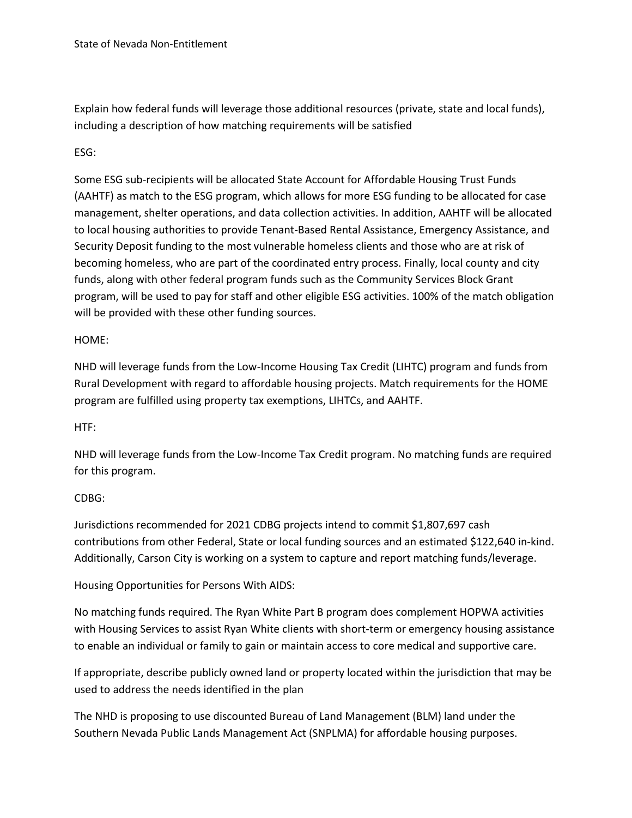Explain how federal funds will leverage those additional resources (private, state and local funds), including a description of how matching requirements will be satisfied

# ESG:

Some ESG sub-recipients will be allocated State Account for Affordable Housing Trust Funds (AAHTF) as match to the ESG program, which allows for more ESG funding to be allocated for case management, shelter operations, and data collection activities. In addition, AAHTF will be allocated to local housing authorities to provide Tenant-Based Rental Assistance, Emergency Assistance, and Security Deposit funding to the most vulnerable homeless clients and those who are at risk of becoming homeless, who are part of the coordinated entry process. Finally, local county and city funds, along with other federal program funds such as the Community Services Block Grant program, will be used to pay for staff and other eligible ESG activities. 100% of the match obligation will be provided with these other funding sources.

## HOME:

NHD will leverage funds from the Low-Income Housing Tax Credit (LIHTC) program and funds from Rural Development with regard to affordable housing projects. Match requirements for the HOME program are fulfilled using property tax exemptions, LIHTCs, and AAHTF.

## HTF:

NHD will leverage funds from the Low-Income Tax Credit program. No matching funds are required for this program.

## CDBG:

Jurisdictions recommended for 2021 CDBG projects intend to commit \$1,807,697 cash contributions from other Federal, State or local funding sources and an estimated \$122,640 in-kind. Additionally, Carson City is working on a system to capture and report matching funds/leverage.

## Housing Opportunities for Persons With AIDS:

No matching funds required. The Ryan White Part B program does complement HOPWA activities with Housing Services to assist Ryan White clients with short-term or emergency housing assistance to enable an individual or family to gain or maintain access to core medical and supportive care.

If appropriate, describe publicly owned land or property located within the jurisdiction that may be used to address the needs identified in the plan

The NHD is proposing to use discounted Bureau of Land Management (BLM) land under the Southern Nevada Public Lands Management Act (SNPLMA) for affordable housing purposes.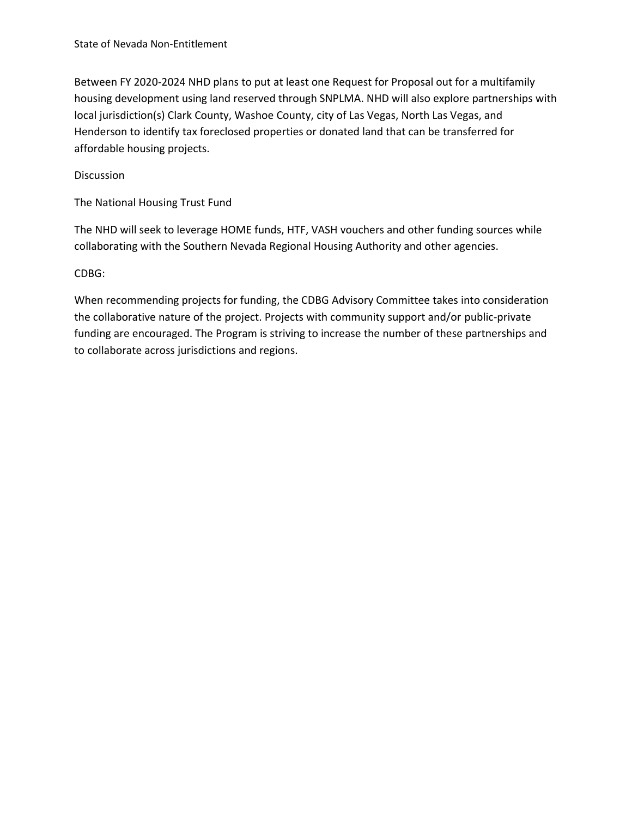Between FY 2020-2024 NHD plans to put at least one Request for Proposal out for a multifamily housing development using land reserved through SNPLMA. NHD will also explore partnerships with local jurisdiction(s) Clark County, Washoe County, city of Las Vegas, North Las Vegas, and Henderson to identify tax foreclosed properties or donated land that can be transferred for affordable housing projects.

## Discussion

The National Housing Trust Fund

The NHD will seek to leverage HOME funds, HTF, VASH vouchers and other funding sources while collaborating with the Southern Nevada Regional Housing Authority and other agencies.

## CDBG:

When recommending projects for funding, the CDBG Advisory Committee takes into consideration the collaborative nature of the project. Projects with community support and/or public-private funding are encouraged. The Program is striving to increase the number of these partnerships and to collaborate across jurisdictions and regions.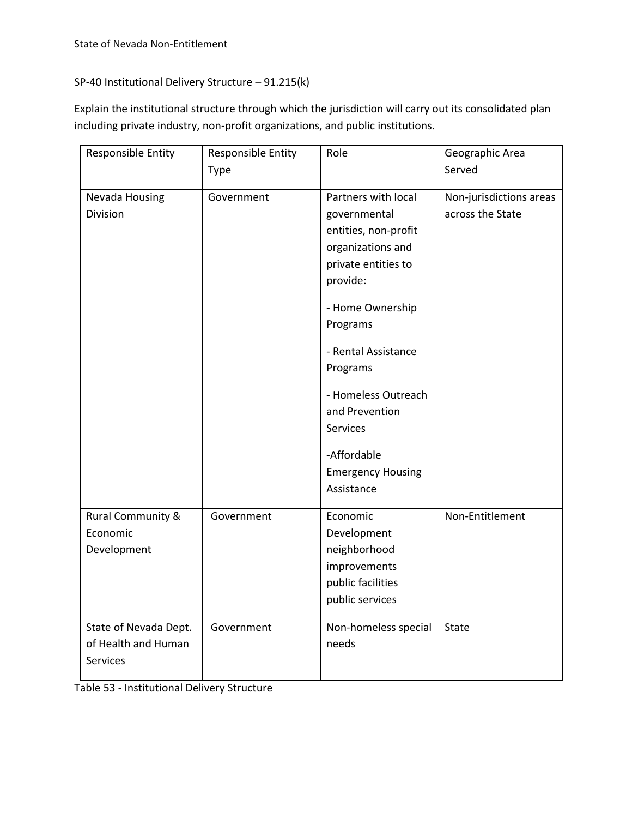# SP-40 Institutional Delivery Structure – 91.215(k)

Explain the institutional structure through which the jurisdiction will carry out its consolidated plan including private industry, non-profit organizations, and public institutions.

| Responsible Entity           | Responsible Entity | Role                     | Geographic Area         |
|------------------------------|--------------------|--------------------------|-------------------------|
|                              | Type               |                          | Served                  |
| Nevada Housing               | Government         | Partners with local      | Non-jurisdictions areas |
| Division                     |                    | governmental             | across the State        |
|                              |                    | entities, non-profit     |                         |
|                              |                    | organizations and        |                         |
|                              |                    | private entities to      |                         |
|                              |                    | provide:                 |                         |
|                              |                    | - Home Ownership         |                         |
|                              |                    | Programs                 |                         |
|                              |                    | - Rental Assistance      |                         |
|                              |                    | Programs                 |                         |
|                              |                    | - Homeless Outreach      |                         |
|                              |                    | and Prevention           |                         |
|                              |                    | Services                 |                         |
|                              |                    | -Affordable              |                         |
|                              |                    | <b>Emergency Housing</b> |                         |
|                              |                    | Assistance               |                         |
| <b>Rural Community &amp;</b> | Government         | Economic                 | Non-Entitlement         |
| Economic                     |                    | Development              |                         |
| Development                  |                    | neighborhood             |                         |
|                              |                    | improvements             |                         |
|                              |                    | public facilities        |                         |
|                              |                    | public services          |                         |
| State of Nevada Dept.        | Government         | Non-homeless special     | State                   |
| of Health and Human          |                    | needs                    |                         |
| Services                     |                    |                          |                         |
|                              |                    |                          |                         |

Table 53 - Institutional Delivery Structure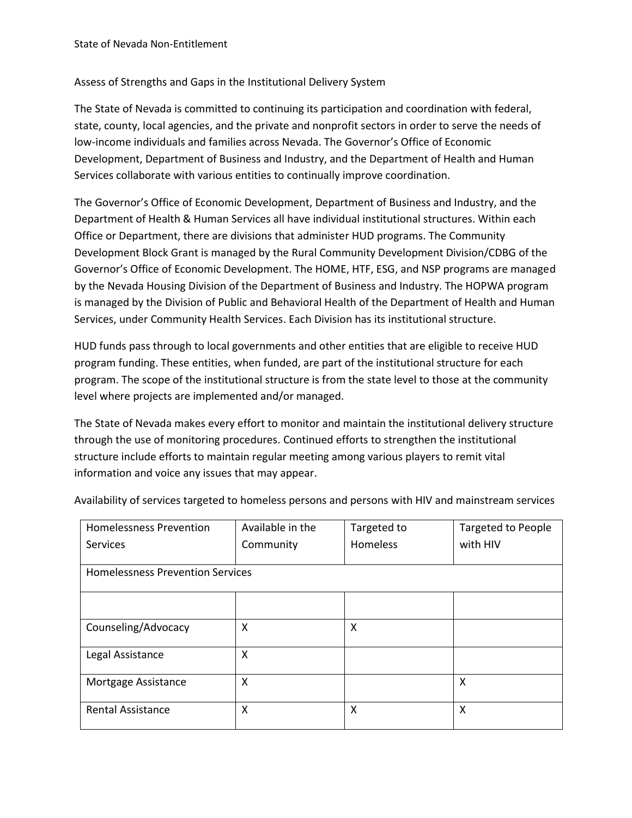# Assess of Strengths and Gaps in the Institutional Delivery System

The State of Nevada is committed to continuing its participation and coordination with federal, state, county, local agencies, and the private and nonprofit sectors in order to serve the needs of low-income individuals and families across Nevada. The Governor's Office of Economic Development, Department of Business and Industry, and the Department of Health and Human Services collaborate with various entities to continually improve coordination.

The Governor's Office of Economic Development, Department of Business and Industry, and the Department of Health & Human Services all have individual institutional structures. Within each Office or Department, there are divisions that administer HUD programs. The Community Development Block Grant is managed by the Rural Community Development Division/CDBG of the Governor's Office of Economic Development. The HOME, HTF, ESG, and NSP programs are managed by the Nevada Housing Division of the Department of Business and Industry. The HOPWA program is managed by the Division of Public and Behavioral Health of the Department of Health and Human Services, under Community Health Services. Each Division has its institutional structure.

HUD funds pass through to local governments and other entities that are eligible to receive HUD program funding. These entities, when funded, are part of the institutional structure for each program. The scope of the institutional structure is from the state level to those at the community level where projects are implemented and/or managed.

The State of Nevada makes every effort to monitor and maintain the institutional delivery structure through the use of monitoring procedures. Continued efforts to strengthen the institutional structure include efforts to maintain regular meeting among various players to remit vital information and voice any issues that may appear.

| <b>Homelessness Prevention</b>          | Available in the | Targeted to | Targeted to People<br>with HIV |  |
|-----------------------------------------|------------------|-------------|--------------------------------|--|
| Services                                | Community        | Homeless    |                                |  |
| <b>Homelessness Prevention Services</b> |                  |             |                                |  |
|                                         |                  |             |                                |  |
|                                         |                  |             |                                |  |
| Counseling/Advocacy                     | X                | X           |                                |  |
| Legal Assistance                        | X                |             |                                |  |
| Mortgage Assistance                     | X                |             | X                              |  |
| <b>Rental Assistance</b>                | X                | X           | X                              |  |

Availability of services targeted to homeless persons and persons with HIV and mainstream services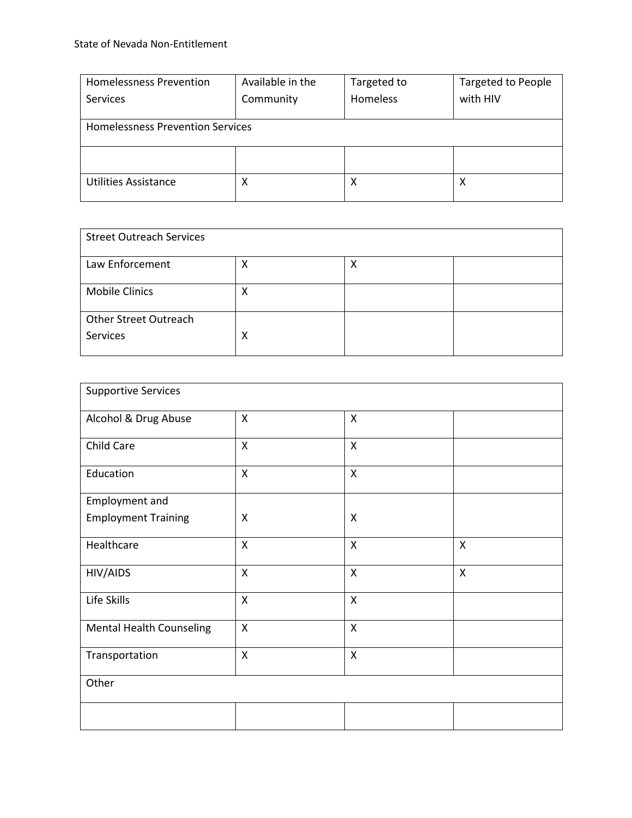| <b>Homelessness Prevention</b>          | Available in the | Targeted to     | <b>Targeted to People</b> |  |  |  |
|-----------------------------------------|------------------|-----------------|---------------------------|--|--|--|
| Services                                | Community        | <b>Homeless</b> | with HIV                  |  |  |  |
|                                         |                  |                 |                           |  |  |  |
| <b>Homelessness Prevention Services</b> |                  |                 |                           |  |  |  |
|                                         |                  |                 |                           |  |  |  |
|                                         |                  |                 |                           |  |  |  |
|                                         |                  |                 |                           |  |  |  |
| <b>Utilities Assistance</b>             | х                | х               | х                         |  |  |  |
|                                         |                  |                 |                           |  |  |  |

| <b>Street Outreach Services</b>          |   |   |  |  |
|------------------------------------------|---|---|--|--|
| Law Enforcement                          | х | Χ |  |  |
| <b>Mobile Clinics</b>                    | х |   |  |  |
| <b>Other Street Outreach</b><br>Services | Χ |   |  |  |

| <b>Supportive Services</b>      |                           |                           |                           |  |
|---------------------------------|---------------------------|---------------------------|---------------------------|--|
| Alcohol & Drug Abuse            | $\mathsf{X}$              | X                         |                           |  |
| Child Care                      | X                         | X                         |                           |  |
| Education                       | $\boldsymbol{\mathsf{X}}$ | $\boldsymbol{\mathsf{X}}$ |                           |  |
| Employment and                  |                           |                           |                           |  |
| <b>Employment Training</b>      | X                         | X                         |                           |  |
| Healthcare                      | $\mathsf{X}$              | $\boldsymbol{\mathsf{X}}$ | $\boldsymbol{\mathsf{X}}$ |  |
| HIV/AIDS                        | X                         | X                         | X                         |  |
| Life Skills                     | X                         | X                         |                           |  |
| <b>Mental Health Counseling</b> | $\mathsf{X}$              | $\boldsymbol{\mathsf{X}}$ |                           |  |
| Transportation                  | $\mathsf{X}$              | $\boldsymbol{\mathsf{X}}$ |                           |  |
| Other                           |                           |                           |                           |  |
|                                 |                           |                           |                           |  |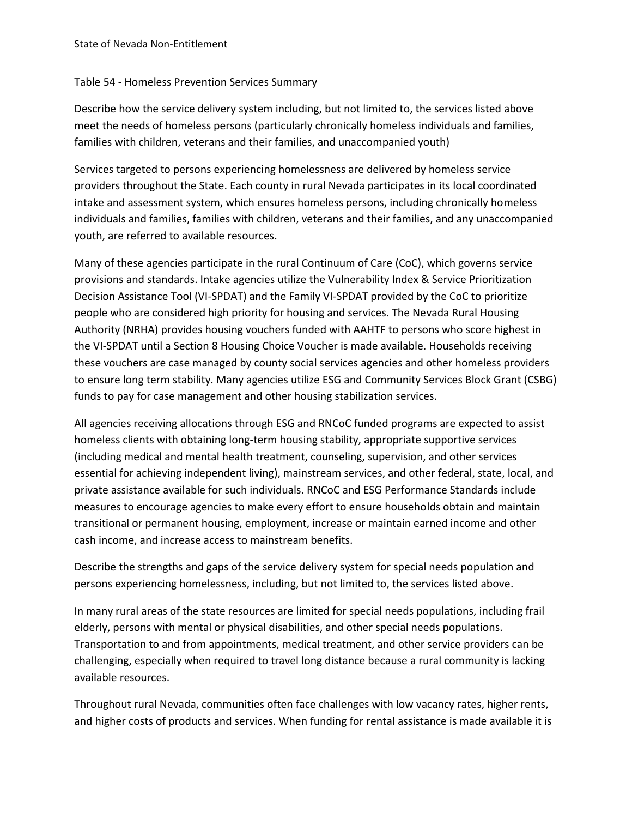## Table 54 - Homeless Prevention Services Summary

Describe how the service delivery system including, but not limited to, the services listed above meet the needs of homeless persons (particularly chronically homeless individuals and families, families with children, veterans and their families, and unaccompanied youth)

Services targeted to persons experiencing homelessness are delivered by homeless service providers throughout the State. Each county in rural Nevada participates in its local coordinated intake and assessment system, which ensures homeless persons, including chronically homeless individuals and families, families with children, veterans and their families, and any unaccompanied youth, are referred to available resources.

Many of these agencies participate in the rural Continuum of Care (CoC), which governs service provisions and standards. Intake agencies utilize the Vulnerability Index & Service Prioritization Decision Assistance Tool (VI-SPDAT) and the Family VI-SPDAT provided by the CoC to prioritize people who are considered high priority for housing and services. The Nevada Rural Housing Authority (NRHA) provides housing vouchers funded with AAHTF to persons who score highest in the VI-SPDAT until a Section 8 Housing Choice Voucher is made available. Households receiving these vouchers are case managed by county social services agencies and other homeless providers to ensure long term stability. Many agencies utilize ESG and Community Services Block Grant (CSBG) funds to pay for case management and other housing stabilization services.

All agencies receiving allocations through ESG and RNCoC funded programs are expected to assist homeless clients with obtaining long-term housing stability, appropriate supportive services (including medical and mental health treatment, counseling, supervision, and other services essential for achieving independent living), mainstream services, and other federal, state, local, and private assistance available for such individuals. RNCoC and ESG Performance Standards include measures to encourage agencies to make every effort to ensure households obtain and maintain transitional or permanent housing, employment, increase or maintain earned income and other cash income, and increase access to mainstream benefits.

Describe the strengths and gaps of the service delivery system for special needs population and persons experiencing homelessness, including, but not limited to, the services listed above.

In many rural areas of the state resources are limited for special needs populations, including frail elderly, persons with mental or physical disabilities, and other special needs populations. Transportation to and from appointments, medical treatment, and other service providers can be challenging, especially when required to travel long distance because a rural community is lacking available resources.

Throughout rural Nevada, communities often face challenges with low vacancy rates, higher rents, and higher costs of products and services. When funding for rental assistance is made available it is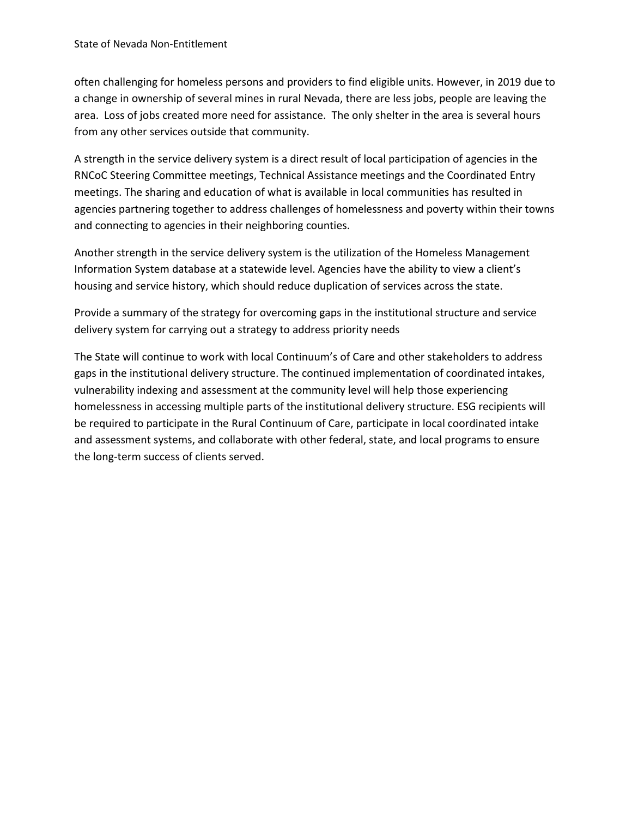often challenging for homeless persons and providers to find eligible units. However, in 2019 due to a change in ownership of several mines in rural Nevada, there are less jobs, people are leaving the area. Loss of jobs created more need for assistance. The only shelter in the area is several hours from any other services outside that community.

A strength in the service delivery system is a direct result of local participation of agencies in the RNCoC Steering Committee meetings, Technical Assistance meetings and the Coordinated Entry meetings. The sharing and education of what is available in local communities has resulted in agencies partnering together to address challenges of homelessness and poverty within their towns and connecting to agencies in their neighboring counties.

Another strength in the service delivery system is the utilization of the Homeless Management Information System database at a statewide level. Agencies have the ability to view a client's housing and service history, which should reduce duplication of services across the state.

Provide a summary of the strategy for overcoming gaps in the institutional structure and service delivery system for carrying out a strategy to address priority needs

The State will continue to work with local Continuum's of Care and other stakeholders to address gaps in the institutional delivery structure. The continued implementation of coordinated intakes, vulnerability indexing and assessment at the community level will help those experiencing homelessness in accessing multiple parts of the institutional delivery structure. ESG recipients will be required to participate in the Rural Continuum of Care, participate in local coordinated intake and assessment systems, and collaborate with other federal, state, and local programs to ensure the long-term success of clients served.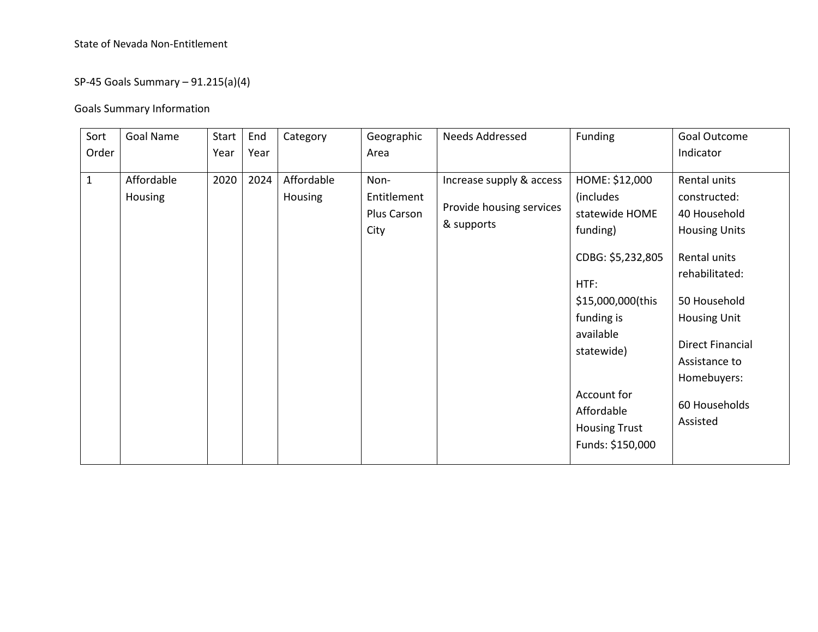# State of Nevada Non-Entitlement

# SP-45 Goals Summary – 91.215(a)(4)

# Goals Summary Information

| Sort         | Goal Name             | Start | End  | Category                     | Geographic                                 | <b>Needs Addressed</b>                                             | Funding                                                                                                                                                                                                                       | Goal Outcome                                                                                                                                                                                                                          |
|--------------|-----------------------|-------|------|------------------------------|--------------------------------------------|--------------------------------------------------------------------|-------------------------------------------------------------------------------------------------------------------------------------------------------------------------------------------------------------------------------|---------------------------------------------------------------------------------------------------------------------------------------------------------------------------------------------------------------------------------------|
| Order        |                       | Year  | Year |                              | Area                                       |                                                                    |                                                                                                                                                                                                                               | Indicator                                                                                                                                                                                                                             |
| $\mathbf{1}$ | Affordable<br>Housing | 2020  | 2024 | Affordable<br><b>Housing</b> | Non-<br>Entitlement<br>Plus Carson<br>City | Increase supply & access<br>Provide housing services<br>& supports | HOME: \$12,000<br>(includes<br>statewide HOME<br>funding)<br>CDBG: \$5,232,805<br>HTF:<br>\$15,000,000(this<br>funding is<br>available<br>statewide)<br>Account for<br>Affordable<br><b>Housing Trust</b><br>Funds: \$150,000 | Rental units<br>constructed:<br>40 Household<br><b>Housing Units</b><br>Rental units<br>rehabilitated:<br>50 Household<br><b>Housing Unit</b><br><b>Direct Financial</b><br>Assistance to<br>Homebuyers:<br>60 Households<br>Assisted |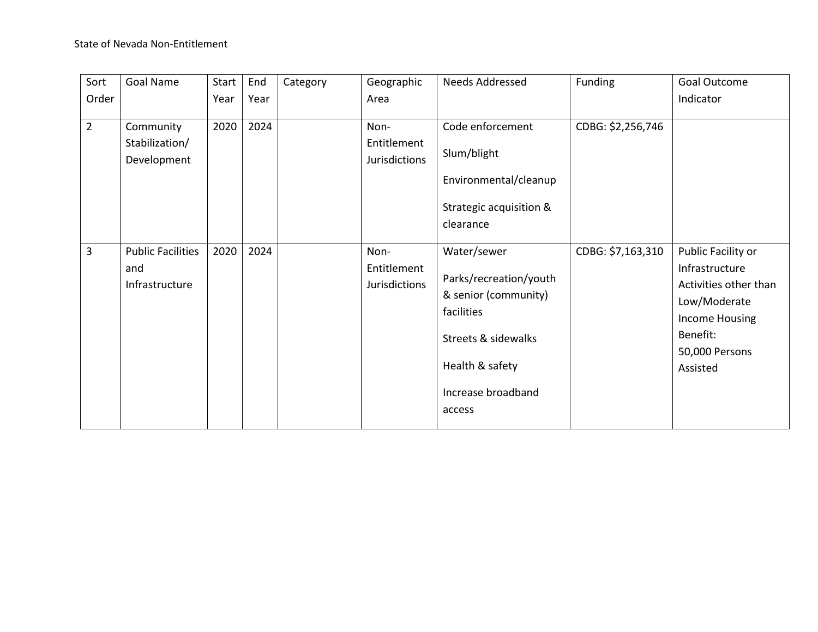| Sort           | Goal Name                | Start | End  | Category | Geographic    | Needs Addressed         | Funding           | Goal Outcome          |
|----------------|--------------------------|-------|------|----------|---------------|-------------------------|-------------------|-----------------------|
| Order          |                          | Year  | Year |          | Area          |                         |                   | Indicator             |
|                |                          |       |      |          |               |                         |                   |                       |
| $\overline{2}$ | Community                | 2020  | 2024 |          | Non-          | Code enforcement        | CDBG: \$2,256,746 |                       |
|                | Stabilization/           |       |      |          | Entitlement   |                         |                   |                       |
|                | Development              |       |      |          | Jurisdictions | Slum/blight             |                   |                       |
|                |                          |       |      |          |               | Environmental/cleanup   |                   |                       |
|                |                          |       |      |          |               | Strategic acquisition & |                   |                       |
|                |                          |       |      |          |               | clearance               |                   |                       |
|                |                          |       |      |          |               |                         |                   |                       |
| 3              | <b>Public Facilities</b> | 2020  | 2024 |          | Non-          | Water/sewer             | CDBG: \$7,163,310 | Public Facility or    |
|                | and                      |       |      |          | Entitlement   |                         |                   | Infrastructure        |
|                | Infrastructure           |       |      |          | Jurisdictions | Parks/recreation/youth  |                   | Activities other than |
|                |                          |       |      |          |               | & senior (community)    |                   | Low/Moderate          |
|                |                          |       |      |          |               | facilities              |                   | <b>Income Housing</b> |
|                |                          |       |      |          |               | Streets & sidewalks     |                   | Benefit:              |
|                |                          |       |      |          |               |                         |                   | 50,000 Persons        |
|                |                          |       |      |          |               | Health & safety         |                   | Assisted              |
|                |                          |       |      |          |               | Increase broadband      |                   |                       |
|                |                          |       |      |          |               | access                  |                   |                       |
|                |                          |       |      |          |               |                         |                   |                       |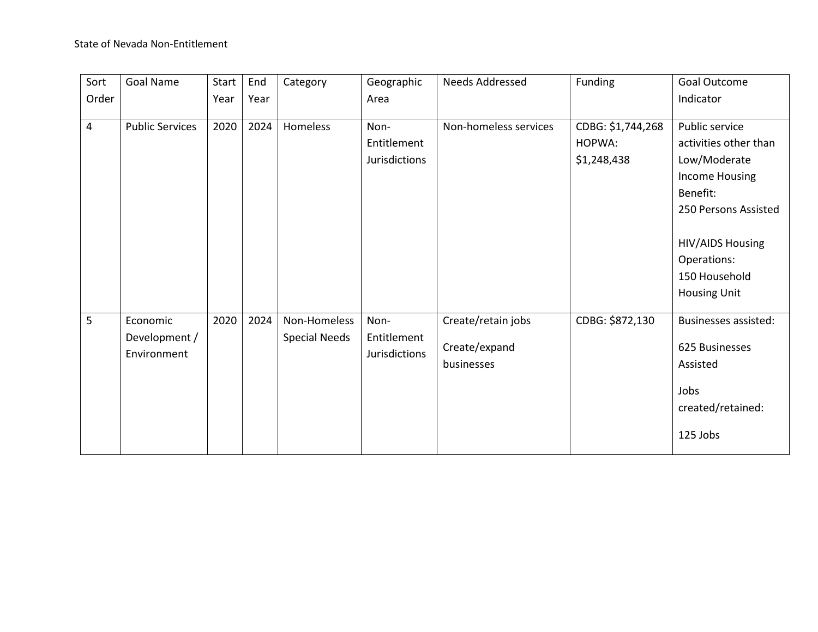| Sort  | Goal Name              | Start | End  | Category             | Geographic    | <b>Needs Addressed</b> | Funding           | Goal Outcome                |
|-------|------------------------|-------|------|----------------------|---------------|------------------------|-------------------|-----------------------------|
| Order |                        | Year  | Year |                      | Area          |                        |                   | Indicator                   |
|       |                        |       |      |                      |               |                        |                   |                             |
| 4     | <b>Public Services</b> | 2020  | 2024 | Homeless             | Non-          | Non-homeless services  | CDBG: \$1,744,268 | Public service              |
|       |                        |       |      |                      | Entitlement   |                        | HOPWA:            | activities other than       |
|       |                        |       |      |                      | Jurisdictions |                        | \$1,248,438       | Low/Moderate                |
|       |                        |       |      |                      |               |                        |                   | Income Housing              |
|       |                        |       |      |                      |               |                        |                   | Benefit:                    |
|       |                        |       |      |                      |               |                        |                   | 250 Persons Assisted        |
|       |                        |       |      |                      |               |                        |                   |                             |
|       |                        |       |      |                      |               |                        |                   | HIV/AIDS Housing            |
|       |                        |       |      |                      |               |                        |                   | Operations:                 |
|       |                        |       |      |                      |               |                        |                   | 150 Household               |
|       |                        |       |      |                      |               |                        |                   | <b>Housing Unit</b>         |
|       |                        |       |      |                      |               |                        |                   |                             |
| 5     | Economic               | 2020  | 2024 | Non-Homeless         | Non-          | Create/retain jobs     | CDBG: \$872,130   | <b>Businesses assisted:</b> |
|       | Development /          |       |      | <b>Special Needs</b> | Entitlement   |                        |                   |                             |
|       | Environment            |       |      |                      | Jurisdictions | Create/expand          |                   | 625 Businesses              |
|       |                        |       |      |                      |               | businesses             |                   | Assisted                    |
|       |                        |       |      |                      |               |                        |                   | Jobs                        |
|       |                        |       |      |                      |               |                        |                   | created/retained:           |
|       |                        |       |      |                      |               |                        |                   |                             |
|       |                        |       |      |                      |               |                        |                   | 125 Jobs                    |
|       |                        |       |      |                      |               |                        |                   |                             |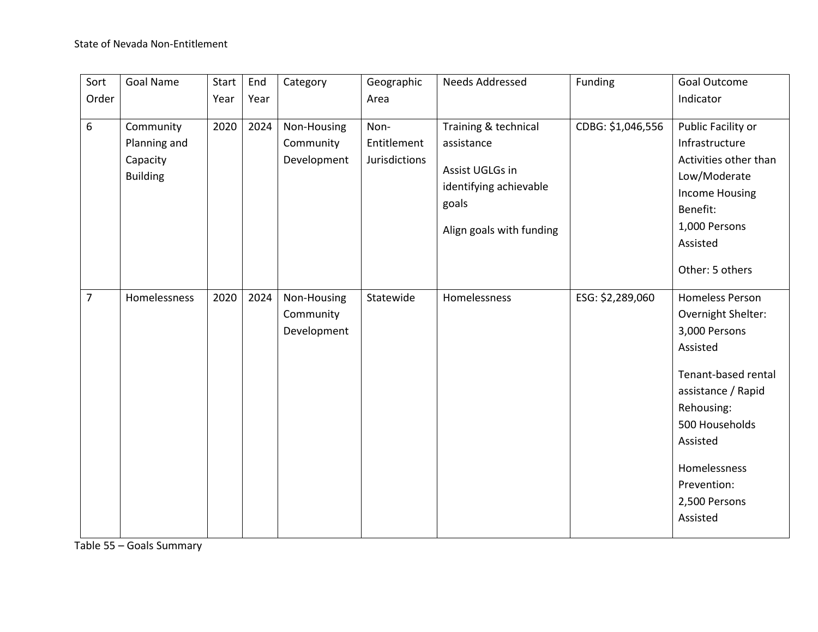| Sort           | Goal Name                                                | Start | End  | Category                                | Geographic                           | Needs Addressed                                                                                                      | Funding           | <b>Goal Outcome</b>                                                                                                                                                                                                            |
|----------------|----------------------------------------------------------|-------|------|-----------------------------------------|--------------------------------------|----------------------------------------------------------------------------------------------------------------------|-------------------|--------------------------------------------------------------------------------------------------------------------------------------------------------------------------------------------------------------------------------|
| Order          |                                                          | Year  | Year |                                         | Area                                 |                                                                                                                      |                   | Indicator                                                                                                                                                                                                                      |
| $6\,$          | Community<br>Planning and<br>Capacity<br><b>Building</b> | 2020  | 2024 | Non-Housing<br>Community<br>Development | Non-<br>Entitlement<br>Jurisdictions | Training & technical<br>assistance<br>Assist UGLGs in<br>identifying achievable<br>goals<br>Align goals with funding | CDBG: \$1,046,556 | Public Facility or<br>Infrastructure<br>Activities other than<br>Low/Moderate<br><b>Income Housing</b><br>Benefit:<br>1,000 Persons<br>Assisted<br>Other: 5 others                                                             |
| $\overline{7}$ | Homelessness                                             | 2020  | 2024 | Non-Housing<br>Community<br>Development | Statewide                            | Homelessness                                                                                                         | ESG: \$2,289,060  | <b>Homeless Person</b><br>Overnight Shelter:<br>3,000 Persons<br>Assisted<br>Tenant-based rental<br>assistance / Rapid<br>Rehousing:<br>500 Households<br>Assisted<br>Homelessness<br>Prevention:<br>2,500 Persons<br>Assisted |

Table 55 – Goals Summary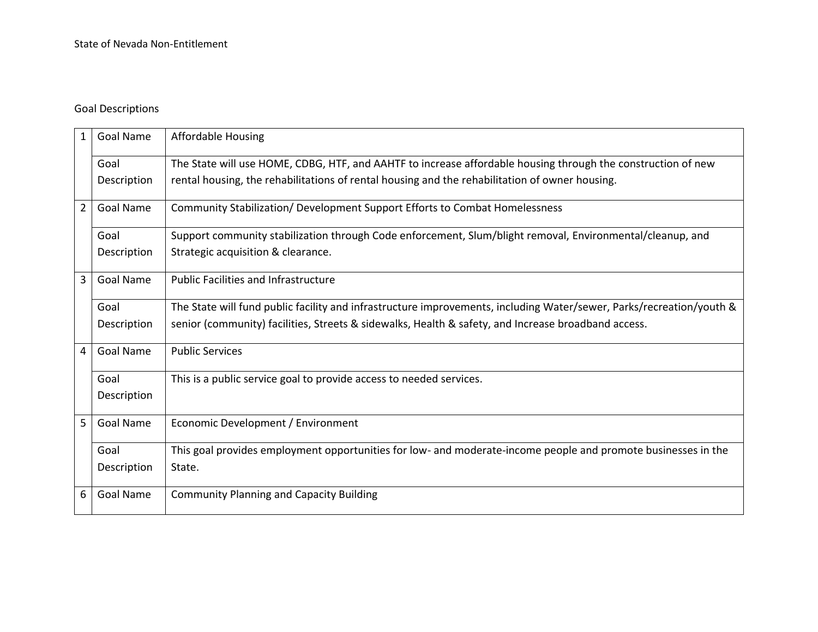# Goal Descriptions

| $\mathbf{1}$   | <b>Goal Name</b> | <b>Affordable Housing</b>                                                                                            |
|----------------|------------------|----------------------------------------------------------------------------------------------------------------------|
|                | Goal             | The State will use HOME, CDBG, HTF, and AAHTF to increase affordable housing through the construction of new         |
|                | Description      | rental housing, the rehabilitations of rental housing and the rehabilitation of owner housing.                       |
| $\overline{2}$ | <b>Goal Name</b> | Community Stabilization/ Development Support Efforts to Combat Homelessness                                          |
|                | Goal             | Support community stabilization through Code enforcement, Slum/blight removal, Environmental/cleanup, and            |
|                | Description      | Strategic acquisition & clearance.                                                                                   |
| $\overline{3}$ | <b>Goal Name</b> | <b>Public Facilities and Infrastructure</b>                                                                          |
|                | Goal             | The State will fund public facility and infrastructure improvements, including Water/sewer, Parks/recreation/youth & |
|                | Description      | senior (community) facilities, Streets & sidewalks, Health & safety, and Increase broadband access.                  |
| 4              | <b>Goal Name</b> | <b>Public Services</b>                                                                                               |
|                | Goal             | This is a public service goal to provide access to needed services.                                                  |
|                | Description      |                                                                                                                      |
| 5 <sup>1</sup> | Goal Name        | Economic Development / Environment                                                                                   |
|                | Goal             | This goal provides employment opportunities for low- and moderate-income people and promote businesses in the        |
|                | Description      | State.                                                                                                               |
| 6              | <b>Goal Name</b> | <b>Community Planning and Capacity Building</b>                                                                      |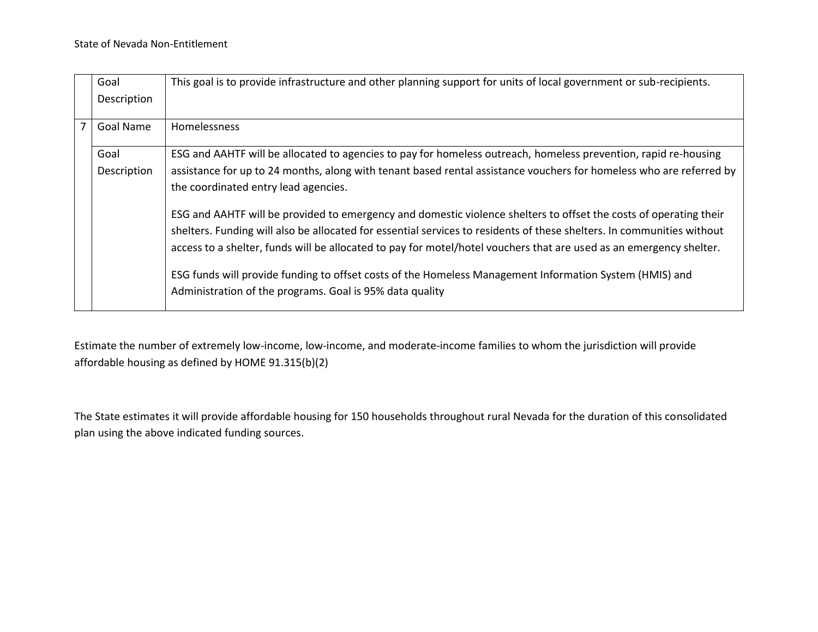|                                      | Goal<br>Description | This goal is to provide infrastructure and other planning support for units of local government or sub-recipients.     |
|--------------------------------------|---------------------|------------------------------------------------------------------------------------------------------------------------|
| $\overline{7}$                       | Goal Name           | <b>Homelessness</b>                                                                                                    |
|                                      | Goal                | ESG and AAHTF will be allocated to agencies to pay for homeless outreach, homeless prevention, rapid re-housing        |
|                                      | Description         | assistance for up to 24 months, along with tenant based rental assistance vouchers for homeless who are referred by    |
| the coordinated entry lead agencies. |                     |                                                                                                                        |
|                                      |                     | ESG and AAHTF will be provided to emergency and domestic violence shelters to offset the costs of operating their      |
|                                      |                     | shelters. Funding will also be allocated for essential services to residents of these shelters. In communities without |
|                                      |                     | access to a shelter, funds will be allocated to pay for motel/hotel vouchers that are used as an emergency shelter.    |
|                                      |                     | ESG funds will provide funding to offset costs of the Homeless Management Information System (HMIS) and                |
|                                      |                     | Administration of the programs. Goal is 95% data quality                                                               |

Estimate the number of extremely low-income, low-income, and moderate-income families to whom the jurisdiction will provide affordable housing as defined by HOME 91.315(b)(2)

The State estimates it will provide affordable housing for 150 households throughout rural Nevada for the duration of this consolidated plan using the above indicated funding sources.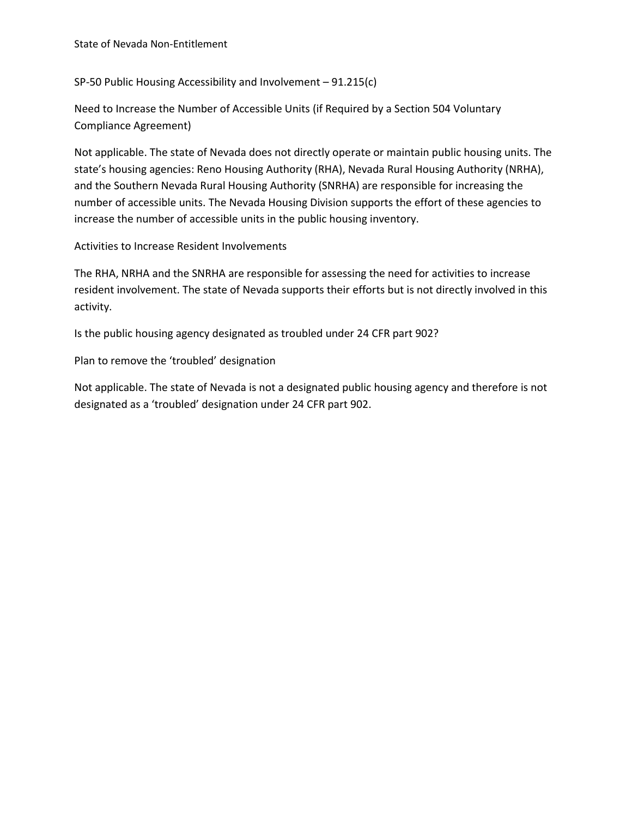SP-50 Public Housing Accessibility and Involvement – 91.215(c)

Need to Increase the Number of Accessible Units (if Required by a Section 504 Voluntary Compliance Agreement)

Not applicable. The state of Nevada does not directly operate or maintain public housing units. The state's housing agencies: Reno Housing Authority (RHA), Nevada Rural Housing Authority (NRHA), and the Southern Nevada Rural Housing Authority (SNRHA) are responsible for increasing the number of accessible units. The Nevada Housing Division supports the effort of these agencies to increase the number of accessible units in the public housing inventory.

Activities to Increase Resident Involvements

The RHA, NRHA and the SNRHA are responsible for assessing the need for activities to increase resident involvement. The state of Nevada supports their efforts but is not directly involved in this activity.

Is the public housing agency designated as troubled under 24 CFR part 902?

Plan to remove the 'troubled' designation

Not applicable. The state of Nevada is not a designated public housing agency and therefore is not designated as a 'troubled' designation under 24 CFR part 902.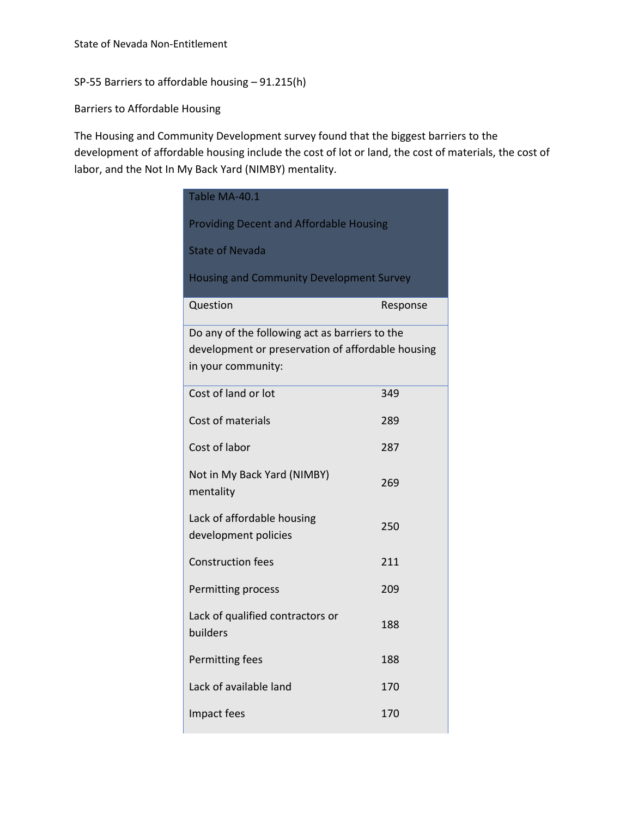SP-55 Barriers to affordable housing – 91.215(h)

Barriers to Affordable Housing

The Housing and Community Development survey found that the biggest barriers to the development of affordable housing include the cost of lot or land, the cost of materials, the cost of labor, and the Not In My Back Yard (NIMBY) mentality.

| Table MA-40.1                                     |          |  |  |  |  |  |
|---------------------------------------------------|----------|--|--|--|--|--|
| <b>Providing Decent and Affordable Housing</b>    |          |  |  |  |  |  |
| <b>State of Nevada</b>                            |          |  |  |  |  |  |
| <b>Housing and Community Development Survey</b>   |          |  |  |  |  |  |
| Question                                          | Response |  |  |  |  |  |
| Do any of the following act as barriers to the    |          |  |  |  |  |  |
| development or preservation of affordable housing |          |  |  |  |  |  |
| in your community:                                |          |  |  |  |  |  |
|                                                   |          |  |  |  |  |  |
| Cost of land or lot                               | 349      |  |  |  |  |  |
|                                                   |          |  |  |  |  |  |
| Cost of materials                                 | 289      |  |  |  |  |  |
| Cost of labor                                     | 287      |  |  |  |  |  |
|                                                   |          |  |  |  |  |  |
| Not in My Back Yard (NIMBY)                       | 269      |  |  |  |  |  |
| mentality                                         |          |  |  |  |  |  |
|                                                   |          |  |  |  |  |  |
| Lack of affordable housing                        | 250      |  |  |  |  |  |
| development policies                              |          |  |  |  |  |  |
| <b>Construction fees</b>                          | 211      |  |  |  |  |  |
|                                                   |          |  |  |  |  |  |
| Permitting process                                | 209      |  |  |  |  |  |
| Lack of qualified contractors or                  |          |  |  |  |  |  |
| builders                                          | 188      |  |  |  |  |  |
|                                                   |          |  |  |  |  |  |
| Permitting fees                                   | 188      |  |  |  |  |  |
|                                                   |          |  |  |  |  |  |
| Lack of available land                            | 170      |  |  |  |  |  |
| Impact fees                                       | 170      |  |  |  |  |  |
|                                                   |          |  |  |  |  |  |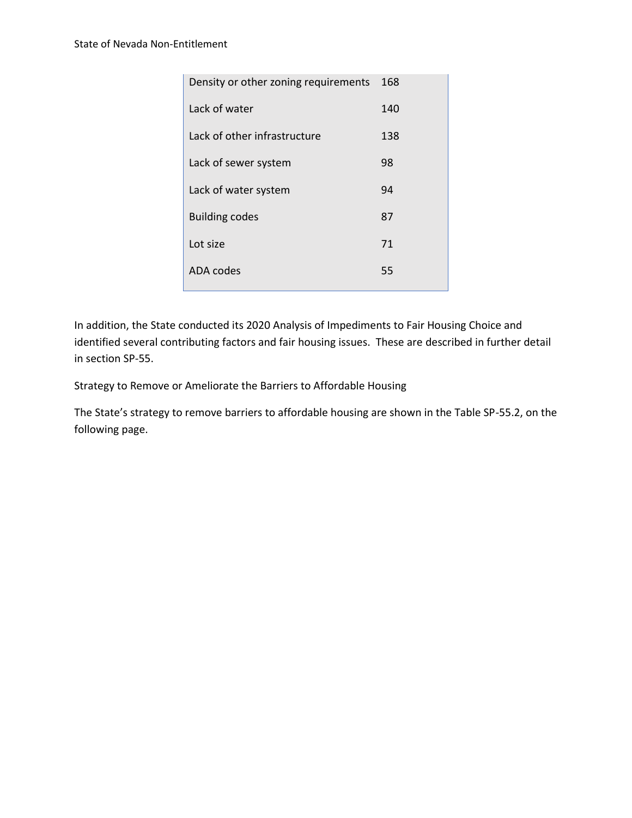| Density or other zoning requirements | 168 |
|--------------------------------------|-----|
| Lack of water                        | 140 |
| Lack of other infrastructure         | 138 |
| Lack of sewer system                 | 98  |
| Lack of water system                 | 94  |
| <b>Building codes</b>                | 87  |
| Lot size                             | 71  |
| <b>ADA</b> codes                     | 55  |
|                                      |     |

In addition, the State conducted its 2020 Analysis of Impediments to Fair Housing Choice and identified several contributing factors and fair housing issues. These are described in further detail in section SP-55.

Strategy to Remove or Ameliorate the Barriers to Affordable Housing

The State's strategy to remove barriers to affordable housing are shown in the Table SP-55.2, on the following page.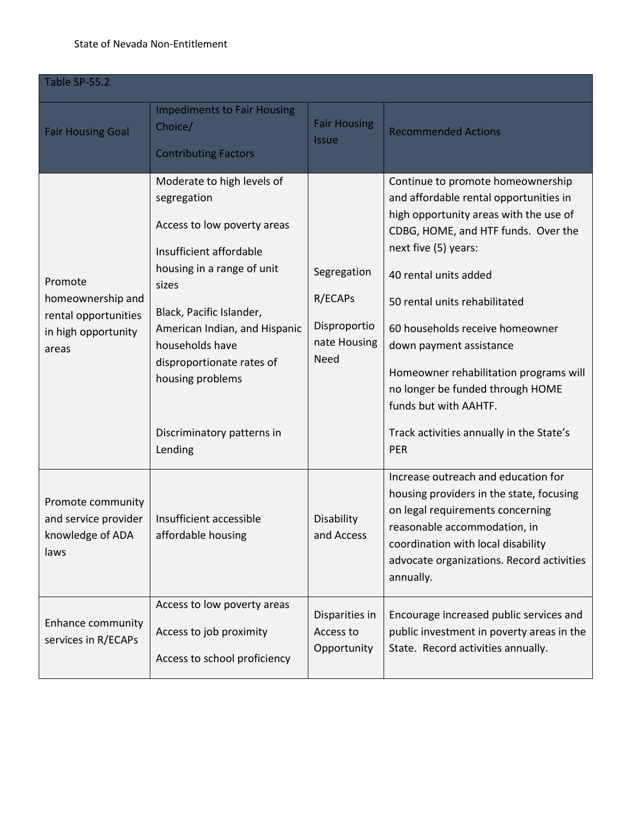## State of Nevada Non-Entitlement

| Table SP-55.2                                                                        |                                                                                                                                                                                                                                                                                                           |                                                                       |                                                                                                                                                                                                                                                                                                                                                                                                                                                                 |  |  |
|--------------------------------------------------------------------------------------|-----------------------------------------------------------------------------------------------------------------------------------------------------------------------------------------------------------------------------------------------------------------------------------------------------------|-----------------------------------------------------------------------|-----------------------------------------------------------------------------------------------------------------------------------------------------------------------------------------------------------------------------------------------------------------------------------------------------------------------------------------------------------------------------------------------------------------------------------------------------------------|--|--|
| <b>Fair Housing Goal</b>                                                             | <b>Impediments to Fair Housing</b><br>Choice/<br><b>Contributing Factors</b>                                                                                                                                                                                                                              | <b>Fair Housing</b><br><b>Issue</b>                                   | <b>Recommended Actions</b>                                                                                                                                                                                                                                                                                                                                                                                                                                      |  |  |
| Promote<br>homeownership and<br>rental opportunities<br>in high opportunity<br>areas | Moderate to high levels of<br>segregation<br>Access to low poverty areas<br>Insufficient affordable<br>housing in a range of unit<br>sizes<br>Black, Pacific Islander,<br>American Indian, and Hispanic<br>households have<br>disproportionate rates of<br>housing problems<br>Discriminatory patterns in | Segregation<br>R/ECAPS<br>Disproportio<br>nate Housing<br><b>Need</b> | Continue to promote homeownership<br>and affordable rental opportunities in<br>high opportunity areas with the use of<br>CDBG, HOME, and HTF funds. Over the<br>next five (5) years:<br>40 rental units added<br>50 rental units rehabilitated<br>60 households receive homeowner<br>down payment assistance<br>Homeowner rehabilitation programs will<br>no longer be funded through HOME<br>funds but with AAHTF.<br>Track activities annually in the State's |  |  |
| Promote community<br>and service provider<br>knowledge of ADA<br>laws                | Lending<br>Insufficient accessible<br>affordable housing                                                                                                                                                                                                                                                  | Disability<br>and Access                                              | <b>PER</b><br>Increase outreach and education for<br>housing providers in the state, focusing<br>on legal requirements concerning<br>reasonable accommodation, in<br>coordination with local disability<br>advocate organizations. Record activities<br>annually.                                                                                                                                                                                               |  |  |
| <b>Enhance community</b><br>services in R/ECAPs                                      | Access to low poverty areas<br>Access to job proximity<br>Access to school proficiency                                                                                                                                                                                                                    | Disparities in<br>Access to<br>Opportunity                            | Encourage increased public services and<br>public investment in poverty areas in the<br>State. Record activities annually.                                                                                                                                                                                                                                                                                                                                      |  |  |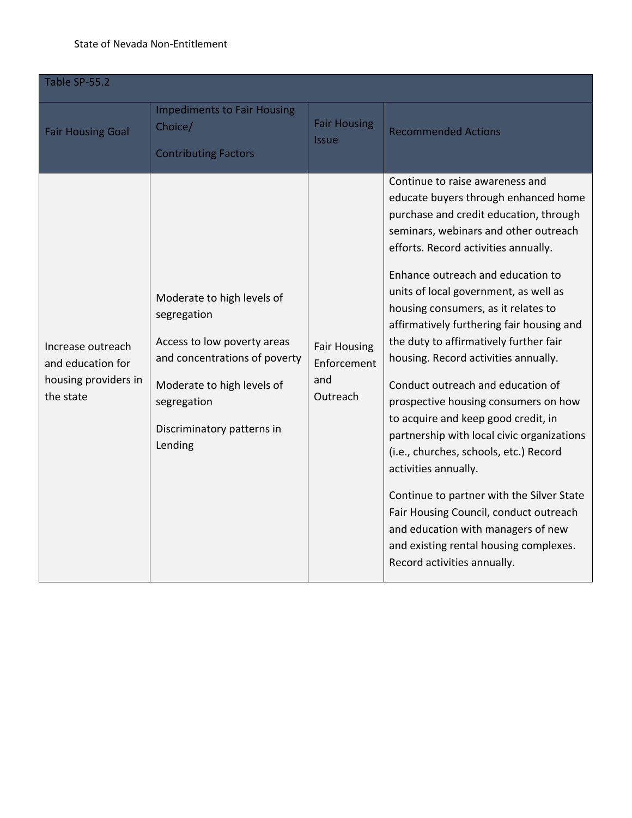#### State of Nevada Non-Entitlement

| Table SP-55.2                                                               |                                                                                                                                                                                                 |                                                       |                                                                                                                                                                                                                                                                                                                                                                                                                                                                                                                                                                                                                                                                                                                                                                                                                                                                                                  |  |  |
|-----------------------------------------------------------------------------|-------------------------------------------------------------------------------------------------------------------------------------------------------------------------------------------------|-------------------------------------------------------|--------------------------------------------------------------------------------------------------------------------------------------------------------------------------------------------------------------------------------------------------------------------------------------------------------------------------------------------------------------------------------------------------------------------------------------------------------------------------------------------------------------------------------------------------------------------------------------------------------------------------------------------------------------------------------------------------------------------------------------------------------------------------------------------------------------------------------------------------------------------------------------------------|--|--|
| <b>Fair Housing Goal</b>                                                    | <b>Impediments to Fair Housing</b><br>Choice/<br><b>Contributing Factors</b>                                                                                                                    | <b>Fair Housing</b><br><b>Issue</b>                   | <b>Recommended Actions</b>                                                                                                                                                                                                                                                                                                                                                                                                                                                                                                                                                                                                                                                                                                                                                                                                                                                                       |  |  |
| Increase outreach<br>and education for<br>housing providers in<br>the state | Moderate to high levels of<br>segregation<br>Access to low poverty areas<br>and concentrations of poverty<br>Moderate to high levels of<br>segregation<br>Discriminatory patterns in<br>Lending | <b>Fair Housing</b><br>Enforcement<br>and<br>Outreach | Continue to raise awareness and<br>educate buyers through enhanced home<br>purchase and credit education, through<br>seminars, webinars and other outreach<br>efforts. Record activities annually.<br>Enhance outreach and education to<br>units of local government, as well as<br>housing consumers, as it relates to<br>affirmatively furthering fair housing and<br>the duty to affirmatively further fair<br>housing. Record activities annually.<br>Conduct outreach and education of<br>prospective housing consumers on how<br>to acquire and keep good credit, in<br>partnership with local civic organizations<br>(i.e., churches, schools, etc.) Record<br>activities annually.<br>Continue to partner with the Silver State<br>Fair Housing Council, conduct outreach<br>and education with managers of new<br>and existing rental housing complexes.<br>Record activities annually. |  |  |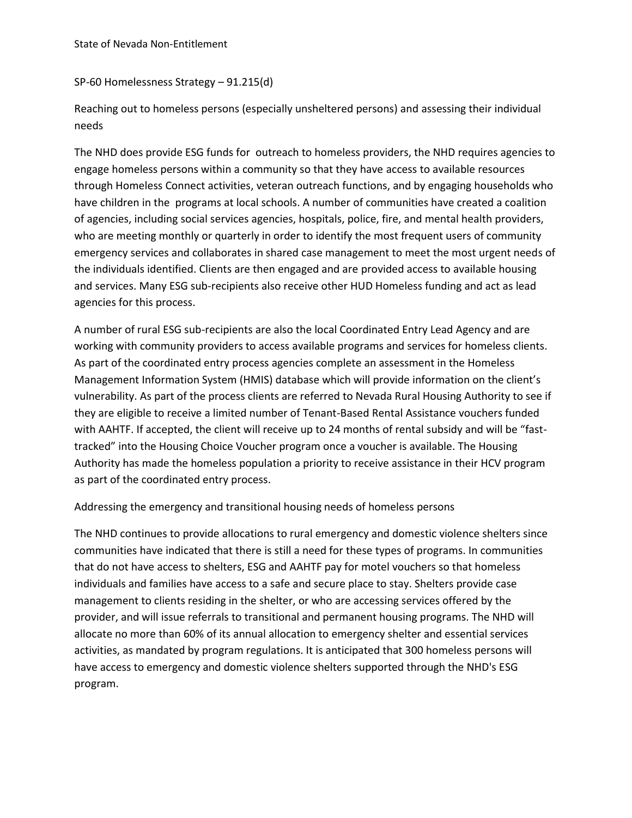#### SP-60 Homelessness Strategy – 91.215(d)

Reaching out to homeless persons (especially unsheltered persons) and assessing their individual needs

The NHD does provide ESG funds for outreach to homeless providers, the NHD requires agencies to engage homeless persons within a community so that they have access to available resources through Homeless Connect activities, veteran outreach functions, and by engaging households who have children in the programs at local schools. A number of communities have created a coalition of agencies, including social services agencies, hospitals, police, fire, and mental health providers, who are meeting monthly or quarterly in order to identify the most frequent users of community emergency services and collaborates in shared case management to meet the most urgent needs of the individuals identified. Clients are then engaged and are provided access to available housing and services. Many ESG sub-recipients also receive other HUD Homeless funding and act as lead agencies for this process.

A number of rural ESG sub-recipients are also the local Coordinated Entry Lead Agency and are working with community providers to access available programs and services for homeless clients. As part of the coordinated entry process agencies complete an assessment in the Homeless Management Information System (HMIS) database which will provide information on the client's vulnerability. As part of the process clients are referred to Nevada Rural Housing Authority to see if they are eligible to receive a limited number of Tenant-Based Rental Assistance vouchers funded with AAHTF. If accepted, the client will receive up to 24 months of rental subsidy and will be "fasttracked" into the Housing Choice Voucher program once a voucher is available. The Housing Authority has made the homeless population a priority to receive assistance in their HCV program as part of the coordinated entry process.

### Addressing the emergency and transitional housing needs of homeless persons

The NHD continues to provide allocations to rural emergency and domestic violence shelters since communities have indicated that there is still a need for these types of programs. In communities that do not have access to shelters, ESG and AAHTF pay for motel vouchers so that homeless individuals and families have access to a safe and secure place to stay. Shelters provide case management to clients residing in the shelter, or who are accessing services offered by the provider, and will issue referrals to transitional and permanent housing programs. The NHD will allocate no more than 60% of its annual allocation to emergency shelter and essential services activities, as mandated by program regulations. It is anticipated that 300 homeless persons will have access to emergency and domestic violence shelters supported through the NHD's ESG program.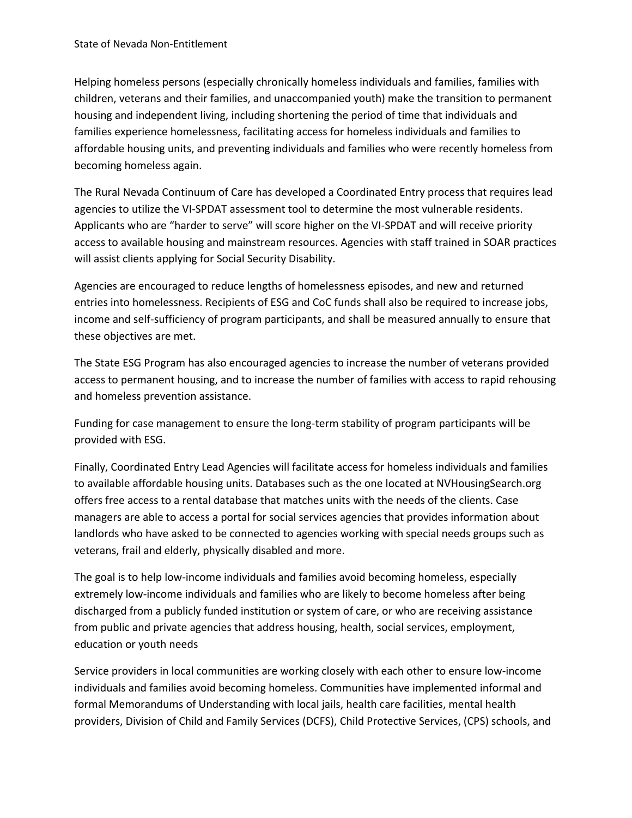Helping homeless persons (especially chronically homeless individuals and families, families with children, veterans and their families, and unaccompanied youth) make the transition to permanent housing and independent living, including shortening the period of time that individuals and families experience homelessness, facilitating access for homeless individuals and families to affordable housing units, and preventing individuals and families who were recently homeless from becoming homeless again.

The Rural Nevada Continuum of Care has developed a Coordinated Entry process that requires lead agencies to utilize the VI-SPDAT assessment tool to determine the most vulnerable residents. Applicants who are "harder to serve" will score higher on the VI-SPDAT and will receive priority access to available housing and mainstream resources. Agencies with staff trained in SOAR practices will assist clients applying for Social Security Disability.

Agencies are encouraged to reduce lengths of homelessness episodes, and new and returned entries into homelessness. Recipients of ESG and CoC funds shall also be required to increase jobs, income and self-sufficiency of program participants, and shall be measured annually to ensure that these objectives are met.

The State ESG Program has also encouraged agencies to increase the number of veterans provided access to permanent housing, and to increase the number of families with access to rapid rehousing and homeless prevention assistance.

Funding for case management to ensure the long-term stability of program participants will be provided with ESG.

Finally, Coordinated Entry Lead Agencies will facilitate access for homeless individuals and families to available affordable housing units. Databases such as the one located at NVHousingSearch.org offers free access to a rental database that matches units with the needs of the clients. Case managers are able to access a portal for social services agencies that provides information about landlords who have asked to be connected to agencies working with special needs groups such as veterans, frail and elderly, physically disabled and more.

The goal is to help low-income individuals and families avoid becoming homeless, especially extremely low-income individuals and families who are likely to become homeless after being discharged from a publicly funded institution or system of care, or who are receiving assistance from public and private agencies that address housing, health, social services, employment, education or youth needs

Service providers in local communities are working closely with each other to ensure low-income individuals and families avoid becoming homeless. Communities have implemented informal and formal Memorandums of Understanding with local jails, health care facilities, mental health providers, Division of Child and Family Services (DCFS), Child Protective Services, (CPS) schools, and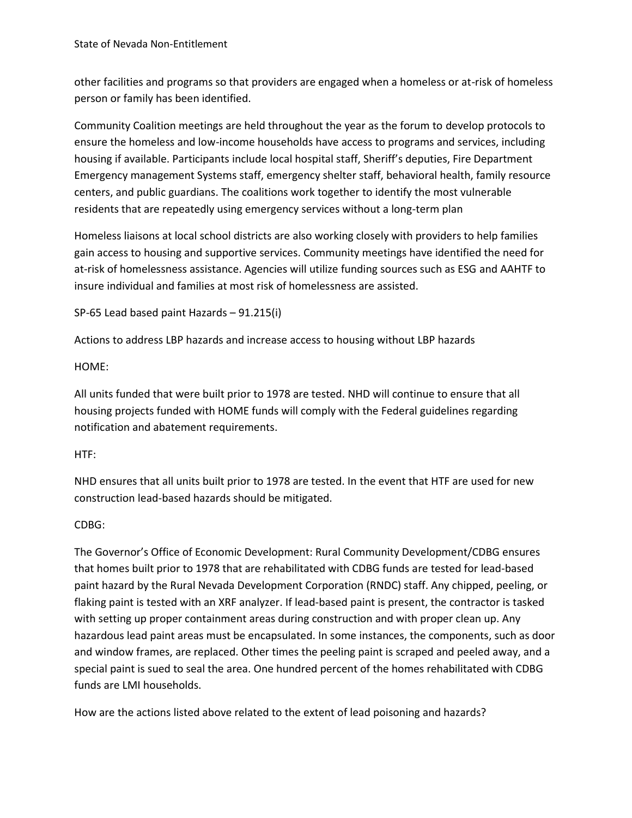other facilities and programs so that providers are engaged when a homeless or at-risk of homeless person or family has been identified.

Community Coalition meetings are held throughout the year as the forum to develop protocols to ensure the homeless and low-income households have access to programs and services, including housing if available. Participants include local hospital staff, Sheriff's deputies, Fire Department Emergency management Systems staff, emergency shelter staff, behavioral health, family resource centers, and public guardians. The coalitions work together to identify the most vulnerable residents that are repeatedly using emergency services without a long-term plan

Homeless liaisons at local school districts are also working closely with providers to help families gain access to housing and supportive services. Community meetings have identified the need for at-risk of homelessness assistance. Agencies will utilize funding sources such as ESG and AAHTF to insure individual and families at most risk of homelessness are assisted.

SP-65 Lead based paint Hazards – 91.215(i)

Actions to address LBP hazards and increase access to housing without LBP hazards

HOME:

All units funded that were built prior to 1978 are tested. NHD will continue to ensure that all housing projects funded with HOME funds will comply with the Federal guidelines regarding notification and abatement requirements.

#### HTF:

NHD ensures that all units built prior to 1978 are tested. In the event that HTF are used for new construction lead-based hazards should be mitigated.

### CDBG:

The Governor's Office of Economic Development: Rural Community Development/CDBG ensures that homes built prior to 1978 that are rehabilitated with CDBG funds are tested for lead-based paint hazard by the Rural Nevada Development Corporation (RNDC) staff. Any chipped, peeling, or flaking paint is tested with an XRF analyzer. If lead-based paint is present, the contractor is tasked with setting up proper containment areas during construction and with proper clean up. Any hazardous lead paint areas must be encapsulated. In some instances, the components, such as door and window frames, are replaced. Other times the peeling paint is scraped and peeled away, and a special paint is sued to seal the area. One hundred percent of the homes rehabilitated with CDBG funds are LMI households.

How are the actions listed above related to the extent of lead poisoning and hazards?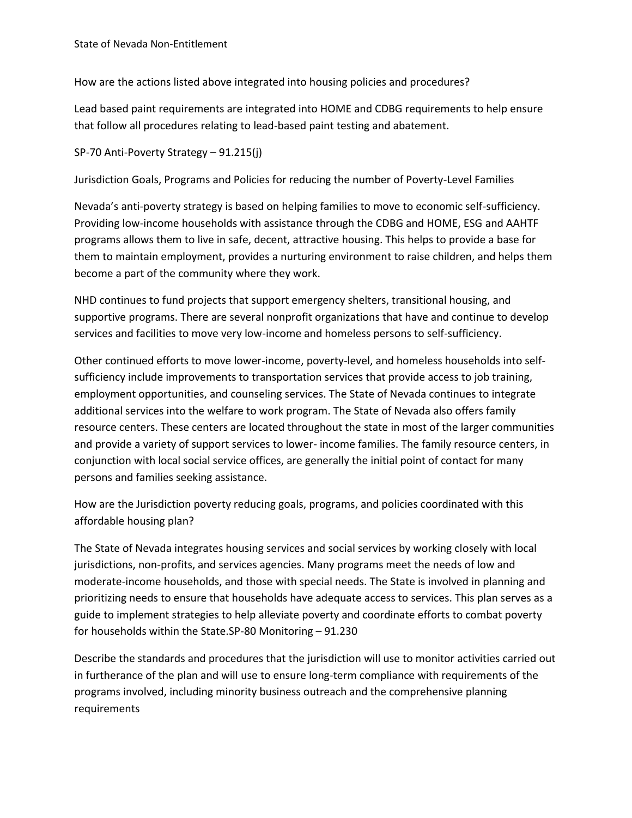How are the actions listed above integrated into housing policies and procedures?

Lead based paint requirements are integrated into HOME and CDBG requirements to help ensure that follow all procedures relating to lead-based paint testing and abatement.

SP-70 Anti-Poverty Strategy – 91.215(j)

Jurisdiction Goals, Programs and Policies for reducing the number of Poverty-Level Families

Nevada's anti-poverty strategy is based on helping families to move to economic self-sufficiency. Providing low-income households with assistance through the CDBG and HOME, ESG and AAHTF programs allows them to live in safe, decent, attractive housing. This helps to provide a base for them to maintain employment, provides a nurturing environment to raise children, and helps them become a part of the community where they work.

NHD continues to fund projects that support emergency shelters, transitional housing, and supportive programs. There are several nonprofit organizations that have and continue to develop services and facilities to move very low-income and homeless persons to self-sufficiency.

Other continued efforts to move lower-income, poverty-level, and homeless households into selfsufficiency include improvements to transportation services that provide access to job training, employment opportunities, and counseling services. The State of Nevada continues to integrate additional services into the welfare to work program. The State of Nevada also offers family resource centers. These centers are located throughout the state in most of the larger communities and provide a variety of support services to lower- income families. The family resource centers, in conjunction with local social service offices, are generally the initial point of contact for many persons and families seeking assistance.

How are the Jurisdiction poverty reducing goals, programs, and policies coordinated with this affordable housing plan?

The State of Nevada integrates housing services and social services by working closely with local jurisdictions, non-profits, and services agencies. Many programs meet the needs of low and moderate-income households, and those with special needs. The State is involved in planning and prioritizing needs to ensure that households have adequate access to services. This plan serves as a guide to implement strategies to help alleviate poverty and coordinate efforts to combat poverty for households within the State.SP-80 Monitoring – 91.230

Describe the standards and procedures that the jurisdiction will use to monitor activities carried out in furtherance of the plan and will use to ensure long-term compliance with requirements of the programs involved, including minority business outreach and the comprehensive planning requirements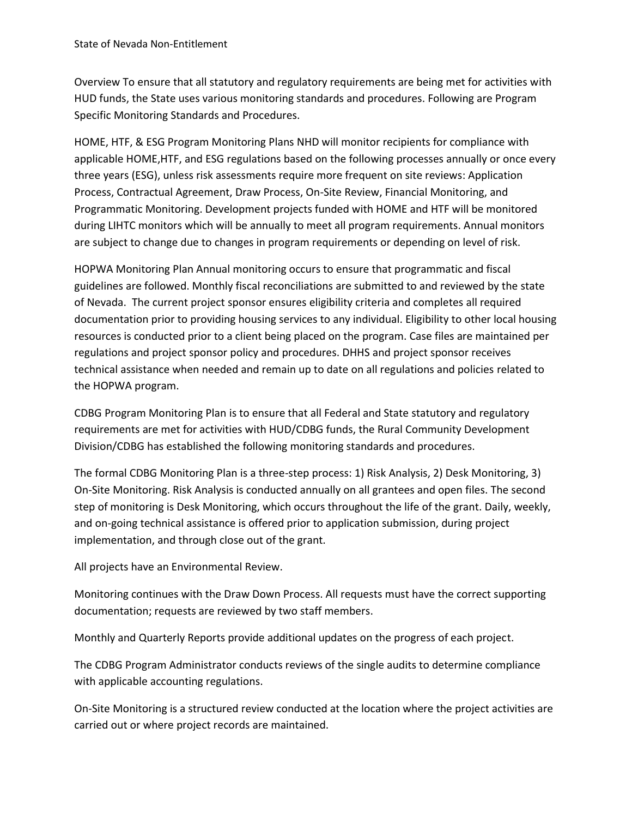Overview To ensure that all statutory and regulatory requirements are being met for activities with HUD funds, the State uses various monitoring standards and procedures. Following are Program Specific Monitoring Standards and Procedures.

HOME, HTF, & ESG Program Monitoring Plans NHD will monitor recipients for compliance with applicable HOME,HTF, and ESG regulations based on the following processes annually or once every three years (ESG), unless risk assessments require more frequent on site reviews: Application Process, Contractual Agreement, Draw Process, On-Site Review, Financial Monitoring, and Programmatic Monitoring. Development projects funded with HOME and HTF will be monitored during LIHTC monitors which will be annually to meet all program requirements. Annual monitors are subject to change due to changes in program requirements or depending on level of risk.

HOPWA Monitoring Plan Annual monitoring occurs to ensure that programmatic and fiscal guidelines are followed. Monthly fiscal reconciliations are submitted to and reviewed by the state of Nevada. The current project sponsor ensures eligibility criteria and completes all required documentation prior to providing housing services to any individual. Eligibility to other local housing resources is conducted prior to a client being placed on the program. Case files are maintained per regulations and project sponsor policy and procedures. DHHS and project sponsor receives technical assistance when needed and remain up to date on all regulations and policies related to the HOPWA program.

CDBG Program Monitoring Plan is to ensure that all Federal and State statutory and regulatory requirements are met for activities with HUD/CDBG funds, the Rural Community Development Division/CDBG has established the following monitoring standards and procedures.

The formal CDBG Monitoring Plan is a three-step process: 1) Risk Analysis, 2) Desk Monitoring, 3) On-Site Monitoring. Risk Analysis is conducted annually on all grantees and open files. The second step of monitoring is Desk Monitoring, which occurs throughout the life of the grant. Daily, weekly, and on-going technical assistance is offered prior to application submission, during project implementation, and through close out of the grant.

All projects have an Environmental Review.

Monitoring continues with the Draw Down Process. All requests must have the correct supporting documentation; requests are reviewed by two staff members.

Monthly and Quarterly Reports provide additional updates on the progress of each project.

The CDBG Program Administrator conducts reviews of the single audits to determine compliance with applicable accounting regulations.

On-Site Monitoring is a structured review conducted at the location where the project activities are carried out or where project records are maintained.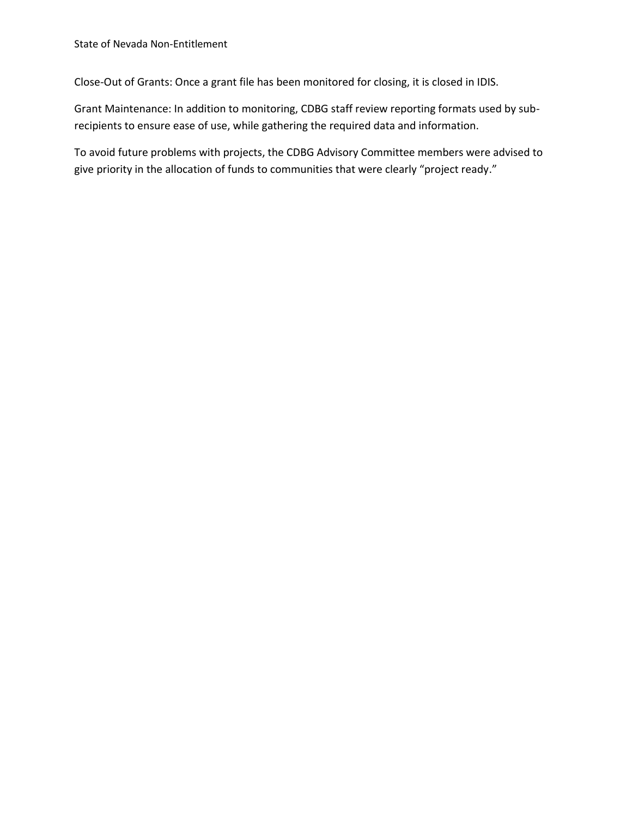Close-Out of Grants: Once a grant file has been monitored for closing, it is closed in IDIS.

Grant Maintenance: In addition to monitoring, CDBG staff review reporting formats used by subrecipients to ensure ease of use, while gathering the required data and information.

To avoid future problems with projects, the CDBG Advisory Committee members were advised to give priority in the allocation of funds to communities that were clearly "project ready."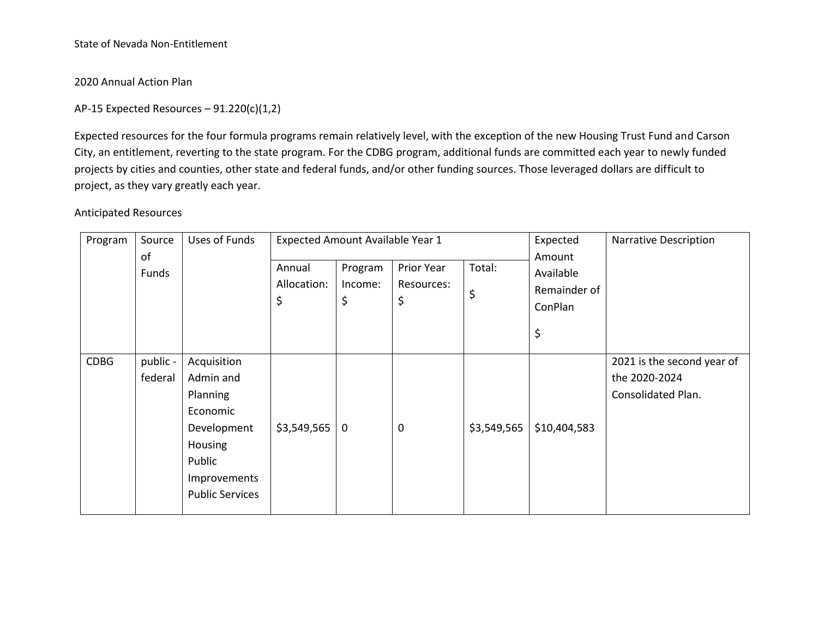2020 Annual Action Plan

AP-15 Expected Resources  $-91.220(c)(1,2)$ 

Expected resources for the four formula programs remain relatively level, with the exception of the new Housing Trust Fund and Carson City, an entitlement, reverting to the state program. For the CDBG program, additional funds are committed each year to newly funded projects by cities and counties, other state and federal funds, and/or other funding sources. Those leveraged dollars are difficult to project, as they vary greatly each year.

Anticipated Resources

| Program     | Source<br>of        | Uses of Funds                                                                                                                  | Expected Amount Available Year 1 |                          |                                | Expected<br>Amount | <b>Narrative Description</b>               |                                                                   |
|-------------|---------------------|--------------------------------------------------------------------------------------------------------------------------------|----------------------------------|--------------------------|--------------------------------|--------------------|--------------------------------------------|-------------------------------------------------------------------|
|             | Funds               |                                                                                                                                | Annual<br>Allocation:<br>\$      | Program<br>Income:<br>\$ | Prior Year<br>Resources:<br>\$ | Total:<br>\$       | Available<br>Remainder of<br>ConPlan<br>\$ |                                                                   |
| <b>CDBG</b> | public -<br>federal | Acquisition<br>Admin and<br>Planning<br>Economic<br>Development<br>Housing<br>Public<br>Improvements<br><b>Public Services</b> | \$3,549,565                      | 0                        | $\mathbf 0$                    | \$3,549,565        | \$10,404,583                               | 2021 is the second year of<br>the 2020-2024<br>Consolidated Plan. |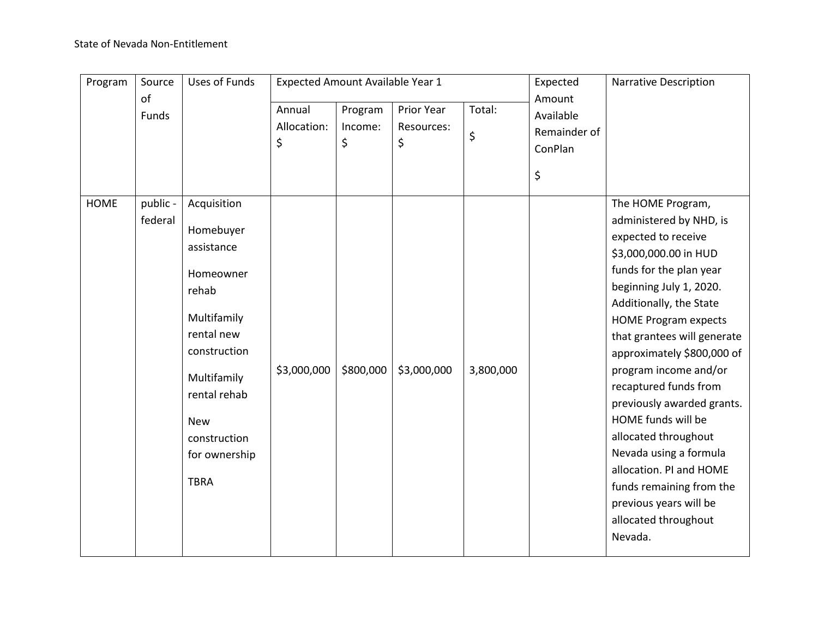| Program     | Source              | <b>Uses of Funds</b>                                                                                                                                                                                   | Expected Amount Available Year 1 |                          |                                | Expected     | <b>Narrative Description</b>                         |                                                                                                                                                                                                                                                                                                                                                                                                                                                                                                                                                       |
|-------------|---------------------|--------------------------------------------------------------------------------------------------------------------------------------------------------------------------------------------------------|----------------------------------|--------------------------|--------------------------------|--------------|------------------------------------------------------|-------------------------------------------------------------------------------------------------------------------------------------------------------------------------------------------------------------------------------------------------------------------------------------------------------------------------------------------------------------------------------------------------------------------------------------------------------------------------------------------------------------------------------------------------------|
|             | of<br>Funds         |                                                                                                                                                                                                        | Annual<br>Allocation:<br>\$      | Program<br>Income:<br>\$ | Prior Year<br>Resources:<br>\$ | Total:<br>\$ | Amount<br>Available<br>Remainder of<br>ConPlan<br>\$ |                                                                                                                                                                                                                                                                                                                                                                                                                                                                                                                                                       |
| <b>HOME</b> | public -<br>federal | Acquisition<br>Homebuyer<br>assistance<br>Homeowner<br>rehab<br>Multifamily<br>rental new<br>construction<br>Multifamily<br>rental rehab<br><b>New</b><br>construction<br>for ownership<br><b>TBRA</b> | \$3,000,000                      | \$800,000                | \$3,000,000                    | 3,800,000    |                                                      | The HOME Program,<br>administered by NHD, is<br>expected to receive<br>\$3,000,000.00 in HUD<br>funds for the plan year<br>beginning July 1, 2020.<br>Additionally, the State<br><b>HOME Program expects</b><br>that grantees will generate<br>approximately \$800,000 of<br>program income and/or<br>recaptured funds from<br>previously awarded grants.<br>HOME funds will be<br>allocated throughout<br>Nevada using a formula<br>allocation. PI and HOME<br>funds remaining from the<br>previous years will be<br>allocated throughout<br>Nevada. |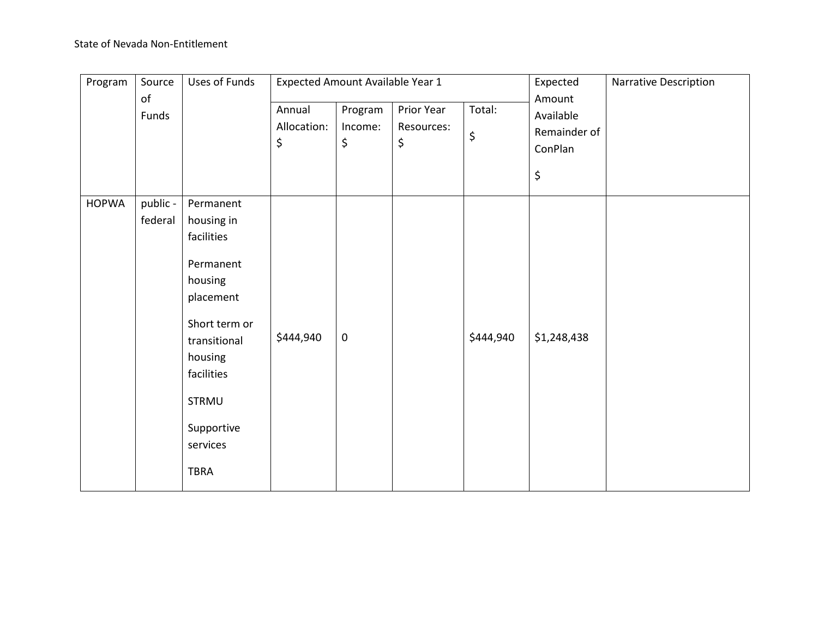| Program                | Source              | Uses of Funds                                                                                                                                                                          | Expected Amount Available Year 1 |                          |                                |              | Expected                                             | Narrative Description |
|------------------------|---------------------|----------------------------------------------------------------------------------------------------------------------------------------------------------------------------------------|----------------------------------|--------------------------|--------------------------------|--------------|------------------------------------------------------|-----------------------|
| $\mathsf{of}$<br>Funds |                     |                                                                                                                                                                                        | Annual<br>Allocation:<br>\$      | Program<br>Income:<br>\$ | Prior Year<br>Resources:<br>\$ | Total:<br>\$ | Amount<br>Available<br>Remainder of<br>ConPlan<br>\$ |                       |
| <b>HOPWA</b>           | public -<br>federal | Permanent<br>housing in<br>facilities<br>Permanent<br>housing<br>placement<br>Short term or<br>transitional<br>housing<br>facilities<br>STRMU<br>Supportive<br>services<br><b>TBRA</b> | \$444,940                        | $\pmb{0}$                |                                | \$444,940    | \$1,248,438                                          |                       |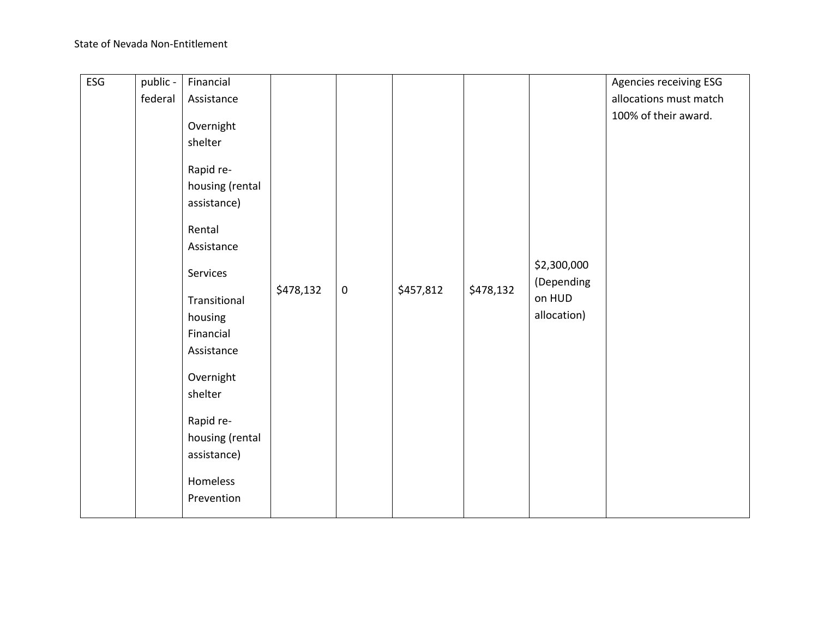|         |                 |                                                                                                                                                                                                                   |           |           |           |           | Agencies receiving ESG                             |
|---------|-----------------|-------------------------------------------------------------------------------------------------------------------------------------------------------------------------------------------------------------------|-----------|-----------|-----------|-----------|----------------------------------------------------|
| federal | Assistance      |                                                                                                                                                                                                                   |           |           |           |           | allocations must match                             |
|         |                 |                                                                                                                                                                                                                   |           |           |           |           | 100% of their award.                               |
|         |                 |                                                                                                                                                                                                                   |           |           |           |           |                                                    |
|         |                 |                                                                                                                                                                                                                   |           |           |           |           |                                                    |
|         |                 |                                                                                                                                                                                                                   |           |           |           |           |                                                    |
|         |                 |                                                                                                                                                                                                                   |           |           |           |           |                                                    |
|         |                 |                                                                                                                                                                                                                   |           |           |           |           |                                                    |
|         |                 |                                                                                                                                                                                                                   |           |           |           |           |                                                    |
|         | Rental          |                                                                                                                                                                                                                   |           |           |           |           |                                                    |
|         | Assistance      |                                                                                                                                                                                                                   |           |           |           |           |                                                    |
|         |                 |                                                                                                                                                                                                                   |           |           |           |           |                                                    |
|         |                 |                                                                                                                                                                                                                   |           |           |           |           |                                                    |
|         |                 |                                                                                                                                                                                                                   |           |           |           |           |                                                    |
|         |                 |                                                                                                                                                                                                                   |           |           |           |           |                                                    |
|         |                 |                                                                                                                                                                                                                   |           |           |           |           |                                                    |
|         |                 |                                                                                                                                                                                                                   |           |           |           |           |                                                    |
|         |                 |                                                                                                                                                                                                                   |           |           |           |           |                                                    |
|         |                 |                                                                                                                                                                                                                   |           |           |           |           |                                                    |
|         |                 |                                                                                                                                                                                                                   |           |           |           |           |                                                    |
|         |                 |                                                                                                                                                                                                                   |           |           |           |           |                                                    |
|         |                 |                                                                                                                                                                                                                   |           |           |           |           |                                                    |
|         | housing (rental |                                                                                                                                                                                                                   |           |           |           |           |                                                    |
|         | assistance)     |                                                                                                                                                                                                                   |           |           |           |           |                                                    |
|         |                 |                                                                                                                                                                                                                   |           |           |           |           |                                                    |
|         |                 |                                                                                                                                                                                                                   |           |           |           |           |                                                    |
|         |                 |                                                                                                                                                                                                                   |           |           |           |           |                                                    |
|         | public -        | Financial<br>Overnight<br>shelter<br>Rapid re-<br>housing (rental<br>assistance)<br>Services<br>Transitional<br>housing<br>Financial<br>Assistance<br>Overnight<br>shelter<br>Rapid re-<br>Homeless<br>Prevention | \$478,132 | $\pmb{0}$ | \$457,812 | \$478,132 | \$2,300,000<br>(Depending<br>on HUD<br>allocation) |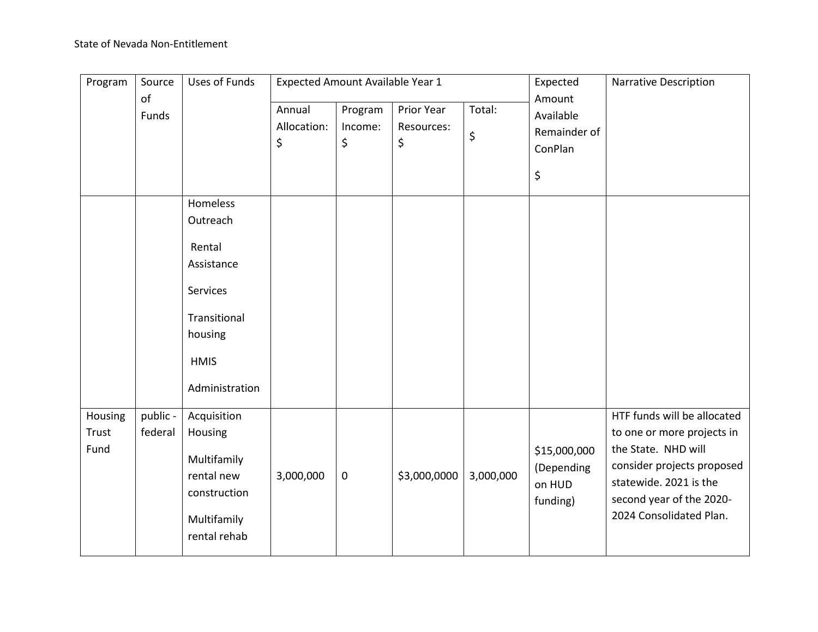| Program                  | Source              | <b>Uses of Funds</b>                                                                                     | Expected Amount Available Year 1 |                                                            |              | Expected     | <b>Narrative Description</b>                         |                                                                                                                                                                                                 |
|--------------------------|---------------------|----------------------------------------------------------------------------------------------------------|----------------------------------|------------------------------------------------------------|--------------|--------------|------------------------------------------------------|-------------------------------------------------------------------------------------------------------------------------------------------------------------------------------------------------|
| of<br>Funds              |                     | Homeless                                                                                                 | Annual<br>Allocation:<br>\$      | Prior Year<br>Program<br>Income:<br>Resources:<br>\$<br>\$ |              | Total:<br>\$ | Amount<br>Available<br>Remainder of<br>ConPlan<br>\$ |                                                                                                                                                                                                 |
|                          |                     | Outreach<br>Rental<br>Assistance<br>Services<br>Transitional<br>housing<br><b>HMIS</b><br>Administration |                                  |                                                            |              |              |                                                      |                                                                                                                                                                                                 |
| Housing<br>Trust<br>Fund | public -<br>federal | Acquisition<br>Housing<br>Multifamily<br>rental new<br>construction<br>Multifamily<br>rental rehab       | 3,000,000                        | $\pmb{0}$                                                  | \$3,000,0000 | 3,000,000    | \$15,000,000<br>(Depending<br>on HUD<br>funding)     | HTF funds will be allocated<br>to one or more projects in<br>the State. NHD will<br>consider projects proposed<br>statewide. 2021 is the<br>second year of the 2020-<br>2024 Consolidated Plan. |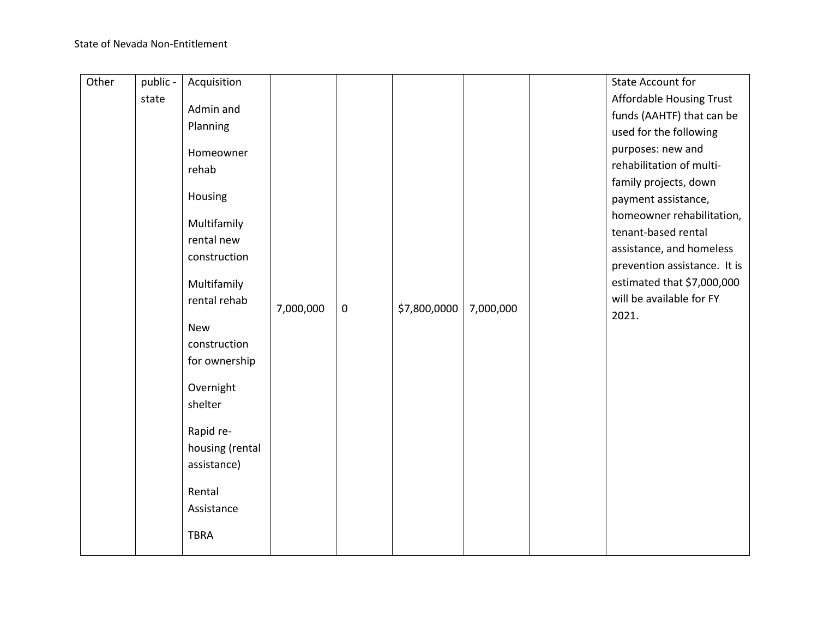| Other | public - | Acquisition     |           |           |              |           | <b>State Account for</b>     |
|-------|----------|-----------------|-----------|-----------|--------------|-----------|------------------------------|
|       | state    |                 |           |           |              |           | Affordable Housing Trust     |
|       |          | Admin and       |           |           |              |           | funds (AAHTF) that can be    |
|       |          | Planning        |           |           |              |           | used for the following       |
|       |          | Homeowner       |           |           |              |           | purposes: new and            |
|       |          | rehab           |           |           |              |           | rehabilitation of multi-     |
|       |          |                 |           |           |              |           | family projects, down        |
|       |          | Housing         |           |           |              |           | payment assistance,          |
|       |          |                 |           |           |              |           | homeowner rehabilitation,    |
|       |          | Multifamily     |           |           |              |           | tenant-based rental          |
|       |          | rental new      |           |           |              |           | assistance, and homeless     |
|       |          | construction    |           |           |              |           | prevention assistance. It is |
|       |          | Multifamily     |           |           |              |           | estimated that \$7,000,000   |
|       |          | rental rehab    |           |           |              |           | will be available for FY     |
|       |          |                 | 7,000,000 | $\pmb{0}$ | \$7,800,0000 | 7,000,000 | 2021.                        |
|       |          | <b>New</b>      |           |           |              |           |                              |
|       |          | construction    |           |           |              |           |                              |
|       |          | for ownership   |           |           |              |           |                              |
|       |          | Overnight       |           |           |              |           |                              |
|       |          | shelter         |           |           |              |           |                              |
|       |          |                 |           |           |              |           |                              |
|       |          | Rapid re-       |           |           |              |           |                              |
|       |          | housing (rental |           |           |              |           |                              |
|       |          | assistance)     |           |           |              |           |                              |
|       |          |                 |           |           |              |           |                              |
|       |          | Rental          |           |           |              |           |                              |
|       |          | Assistance      |           |           |              |           |                              |
|       |          | <b>TBRA</b>     |           |           |              |           |                              |
|       |          |                 |           |           |              |           |                              |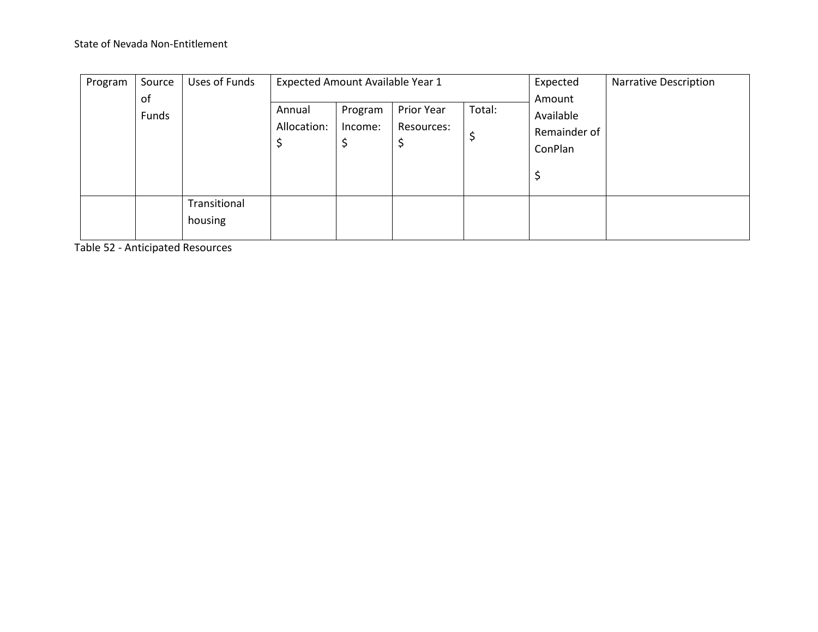| Program | Source<br>of | Uses of Funds           | Expected Amount Available Year 1 |                          |                               | Expected<br>Amount | <b>Narrative Description</b>         |  |
|---------|--------------|-------------------------|----------------------------------|--------------------------|-------------------------------|--------------------|--------------------------------------|--|
|         | Funds        |                         | Annual<br>Allocation:<br>Ç       | Program<br>Income:<br>\$ | Prior Year<br>Resources:<br>Ş | Total:<br>\$       | Available<br>Remainder of<br>ConPlan |  |
|         |              | Transitional<br>housing |                                  |                          |                               |                    |                                      |  |

Table 52 - Anticipated Resources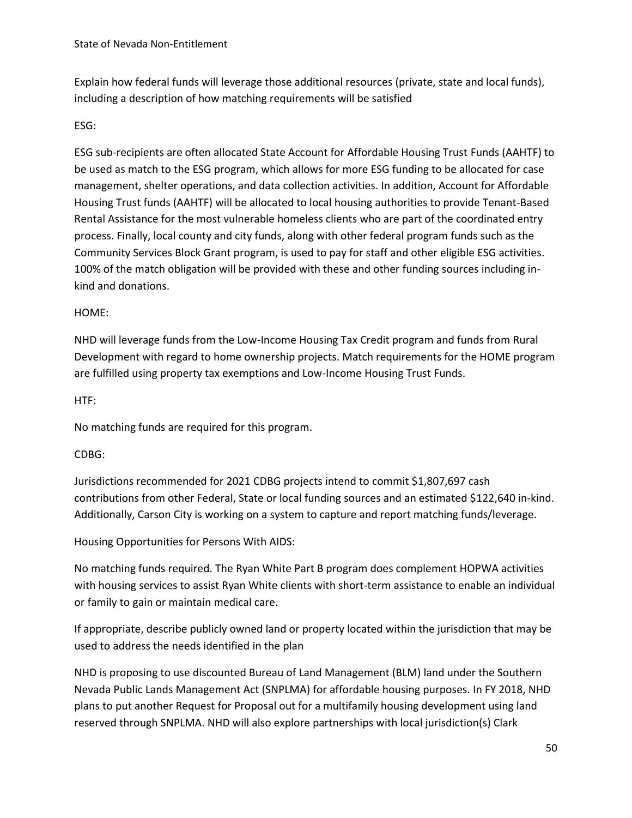Explain how federal funds will leverage those additional resources (private, state and local funds), including a description of how matching requirements will be satisfied

### ESG:

ESG sub-recipients are often allocated State Account for Affordable Housing Trust Funds (AAHTF) to be used as match to the ESG program, which allows for more ESG funding to be allocated for case management, shelter operations, and data collection activities. In addition, Account for Affordable Housing Trust funds (AAHTF) will be allocated to local housing authorities to provide Tenant-Based Rental Assistance for the most vulnerable homeless clients who are part of the coordinated entry process. Finally, local county and city funds, along with other federal program funds such as the Community Services Block Grant program, is used to pay for staff and other eligible ESG activities. 100% of the match obligation will be provided with these and other funding sources including inkind and donations.

### HOME:

NHD will leverage funds from the Low-Income Housing Tax Credit program and funds from Rural Development with regard to home ownership projects. Match requirements for the HOME program are fulfilled using property tax exemptions and Low-Income Housing Trust Funds.

HTF:

No matching funds are required for this program.

### CDBG:

Jurisdictions recommended for 2021 CDBG projects intend to commit \$1,807,697 cash contributions from other Federal, State or local funding sources and an estimated \$122,640 in-kind. Additionally, Carson City is working on a system to capture and report matching funds/leverage.

Housing Opportunities for Persons With AIDS:

No matching funds required. The Ryan White Part B program does complement HOPWA activities with housing services to assist Ryan White clients with short-term assistance to enable an individual or family to gain or maintain medical care.

If appropriate, describe publicly owned land or property located within the jurisdiction that may be used to address the needs identified in the plan

NHD is proposing to use discounted Bureau of Land Management (BLM) land under the Southern Nevada Public Lands Management Act (SNPLMA) for affordable housing purposes. In FY 2018, NHD plans to put another Request for Proposal out for a multifamily housing development using land reserved through SNPLMA. NHD will also explore partnerships with local jurisdiction(s) Clark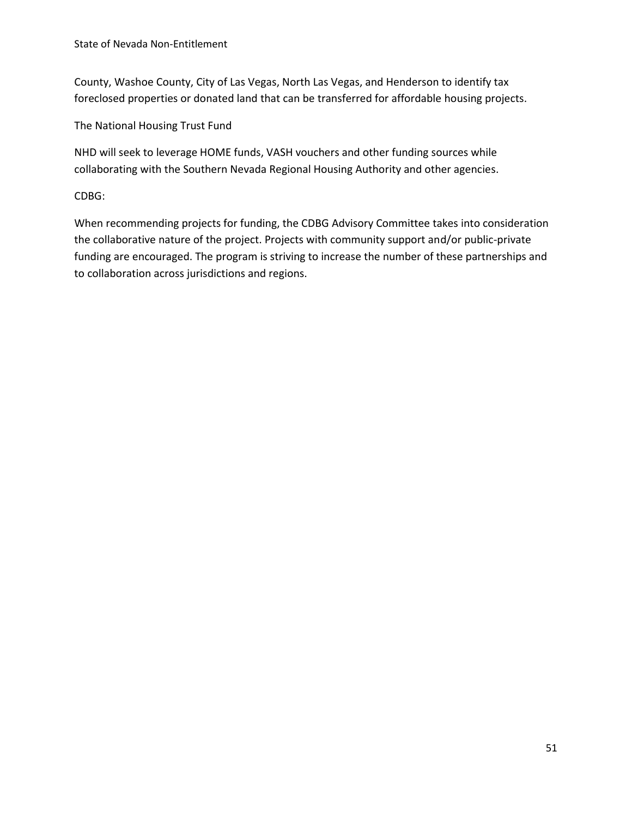County, Washoe County, City of Las Vegas, North Las Vegas, and Henderson to identify tax foreclosed properties or donated land that can be transferred for affordable housing projects.

The National Housing Trust Fund

NHD will seek to leverage HOME funds, VASH vouchers and other funding sources while collaborating with the Southern Nevada Regional Housing Authority and other agencies.

CDBG:

When recommending projects for funding, the CDBG Advisory Committee takes into consideration the collaborative nature of the project. Projects with community support and/or public-private funding are encouraged. The program is striving to increase the number of these partnerships and to collaboration across jurisdictions and regions.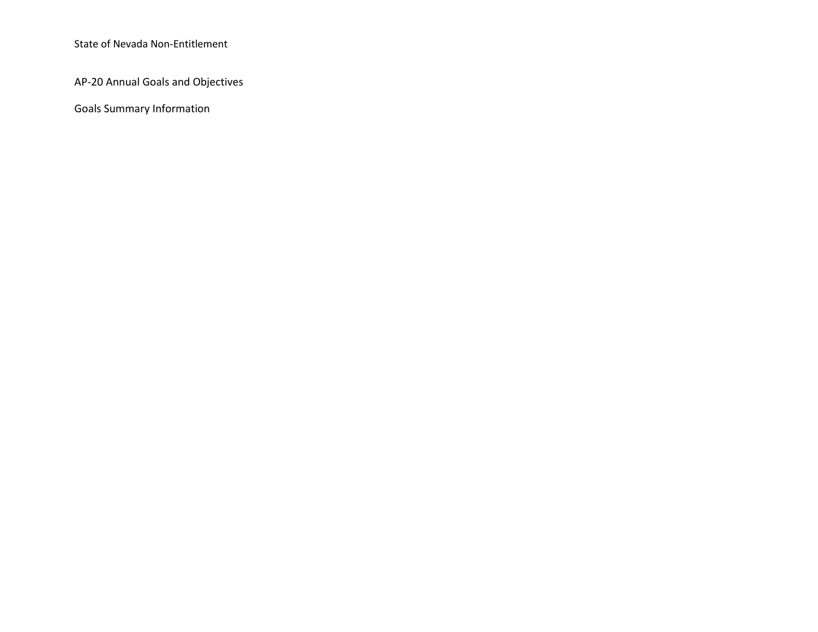AP-20 Annual Goals and Objectives

Goals Summary Information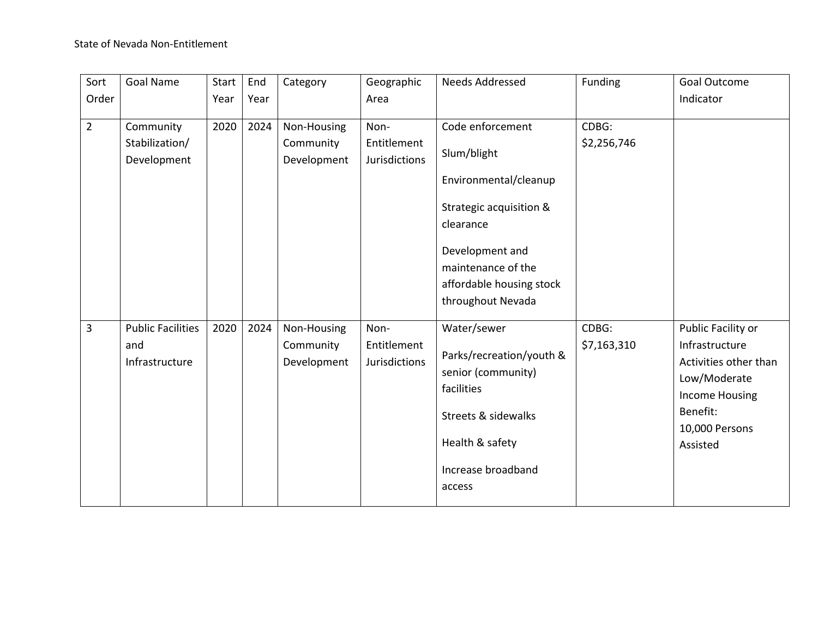| Sort           | <b>Goal Name</b>                                  | Start | End  | Category                                | Geographic                                  | Needs Addressed                                                                                                                                                  | Funding              | Goal Outcome                                                                                                                              |
|----------------|---------------------------------------------------|-------|------|-----------------------------------------|---------------------------------------------|------------------------------------------------------------------------------------------------------------------------------------------------------------------|----------------------|-------------------------------------------------------------------------------------------------------------------------------------------|
| Order          |                                                   | Year  | Year |                                         | Area                                        |                                                                                                                                                                  |                      | Indicator                                                                                                                                 |
| $\overline{2}$ | Community<br>Stabilization/<br>Development        | 2020  | 2024 | Non-Housing<br>Community<br>Development | Non-<br>Entitlement<br><b>Jurisdictions</b> | Code enforcement<br>Slum/blight<br>Environmental/cleanup                                                                                                         | CDBG:<br>\$2,256,746 |                                                                                                                                           |
|                |                                                   |       |      |                                         |                                             | Strategic acquisition &<br>clearance<br>Development and<br>maintenance of the<br>affordable housing stock<br>throughout Nevada                                   |                      |                                                                                                                                           |
| $\overline{3}$ | <b>Public Facilities</b><br>and<br>Infrastructure | 2020  | 2024 | Non-Housing<br>Community<br>Development | Non-<br>Entitlement<br><b>Jurisdictions</b> | Water/sewer<br>Parks/recreation/youth &<br>senior (community)<br>facilities<br><b>Streets &amp; sidewalks</b><br>Health & safety<br>Increase broadband<br>access | CDBG:<br>\$7,163,310 | Public Facility or<br>Infrastructure<br>Activities other than<br>Low/Moderate<br>Income Housing<br>Benefit:<br>10,000 Persons<br>Assisted |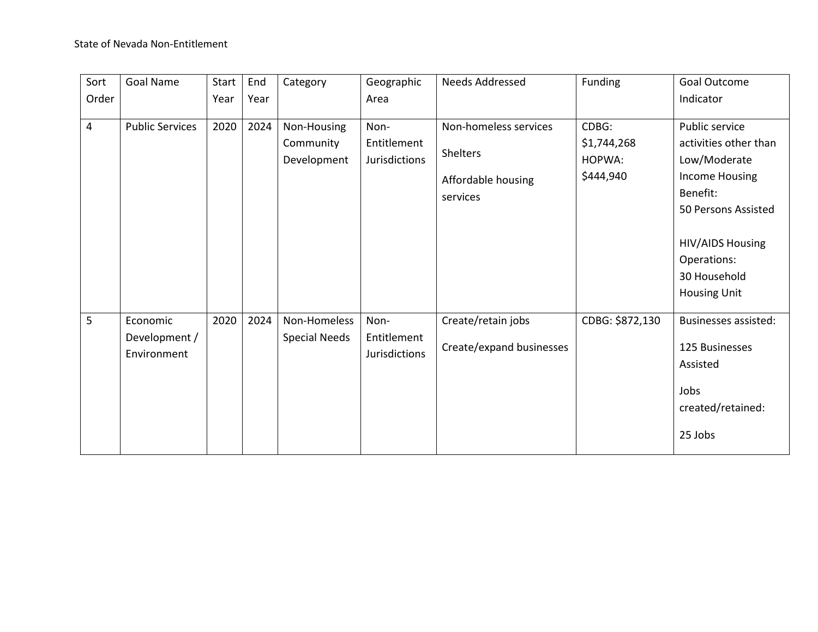| Sort  | Goal Name              | Start | End  | Category             | Geographic           | Needs Addressed          | Funding         | Goal Outcome                |
|-------|------------------------|-------|------|----------------------|----------------------|--------------------------|-----------------|-----------------------------|
| Order |                        | Year  | Year |                      | Area                 |                          |                 | Indicator                   |
|       |                        |       |      |                      |                      |                          |                 |                             |
| 4     | <b>Public Services</b> | 2020  | 2024 | Non-Housing          | Non-                 | Non-homeless services    | CDBG:           | Public service              |
|       |                        |       |      | Community            | Entitlement          | <b>Shelters</b>          | \$1,744,268     | activities other than       |
|       |                        |       |      | Development          | Jurisdictions        |                          | HOPWA:          | Low/Moderate                |
|       |                        |       |      |                      |                      | Affordable housing       | \$444,940       | Income Housing              |
|       |                        |       |      |                      |                      | services                 |                 | Benefit:                    |
|       |                        |       |      |                      |                      |                          |                 | 50 Persons Assisted         |
|       |                        |       |      |                      |                      |                          |                 |                             |
|       |                        |       |      |                      |                      |                          |                 | <b>HIV/AIDS Housing</b>     |
|       |                        |       |      |                      |                      |                          |                 | Operations:                 |
|       |                        |       |      |                      |                      |                          |                 | 30 Household                |
|       |                        |       |      |                      |                      |                          |                 | <b>Housing Unit</b>         |
|       |                        |       |      |                      |                      |                          |                 |                             |
| 5     | Economic               | 2020  | 2024 | Non-Homeless         | Non-                 | Create/retain jobs       | CDBG: \$872,130 | <b>Businesses assisted:</b> |
|       | Development /          |       |      | <b>Special Needs</b> | Entitlement          | Create/expand businesses |                 | 125 Businesses              |
|       | Environment            |       |      |                      | <b>Jurisdictions</b> |                          |                 | Assisted                    |
|       |                        |       |      |                      |                      |                          |                 |                             |
|       |                        |       |      |                      |                      |                          |                 | Jobs                        |
|       |                        |       |      |                      |                      |                          |                 | created/retained:           |
|       |                        |       |      |                      |                      |                          |                 |                             |
|       |                        |       |      |                      |                      |                          |                 | 25 Jobs                     |
|       |                        |       |      |                      |                      |                          |                 |                             |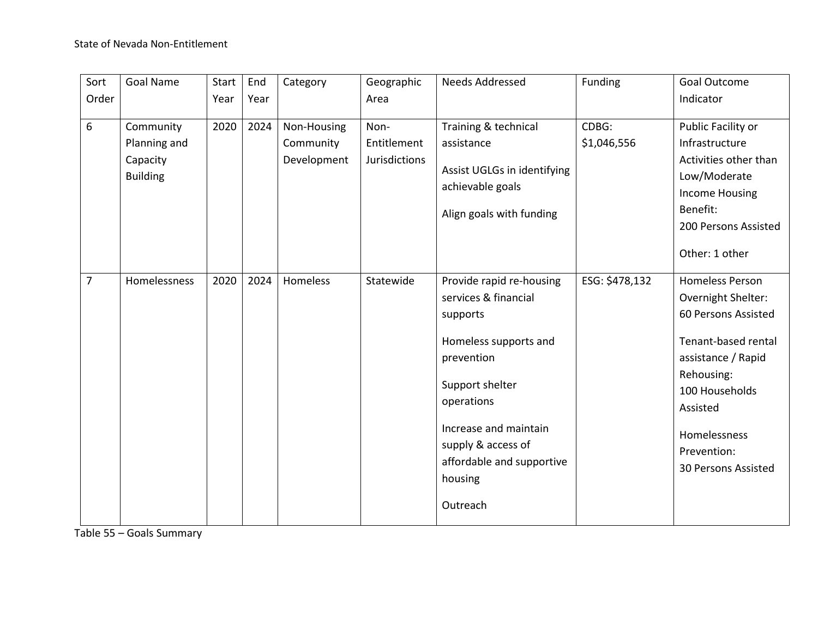| Sort             | <b>Goal Name</b>                                         | Start | End  | Category                                | Geographic                                  | Needs Addressed                                                                                                                                                                                                                         | Funding              | Goal Outcome                                                                                                                                                                                                       |
|------------------|----------------------------------------------------------|-------|------|-----------------------------------------|---------------------------------------------|-----------------------------------------------------------------------------------------------------------------------------------------------------------------------------------------------------------------------------------------|----------------------|--------------------------------------------------------------------------------------------------------------------------------------------------------------------------------------------------------------------|
| Order            |                                                          | Year  | Year |                                         | Area                                        |                                                                                                                                                                                                                                         |                      | Indicator                                                                                                                                                                                                          |
| $\boldsymbol{6}$ | Community<br>Planning and<br>Capacity<br><b>Building</b> | 2020  | 2024 | Non-Housing<br>Community<br>Development | Non-<br>Entitlement<br><b>Jurisdictions</b> | Training & technical<br>assistance<br>Assist UGLGs in identifying<br>achievable goals<br>Align goals with funding                                                                                                                       | CDBG:<br>\$1,046,556 | Public Facility or<br>Infrastructure<br>Activities other than<br>Low/Moderate<br><b>Income Housing</b><br>Benefit:<br>200 Persons Assisted<br>Other: 1 other                                                       |
| $\overline{7}$   | Homelessness                                             | 2020  | 2024 | Homeless                                | Statewide                                   | Provide rapid re-housing<br>services & financial<br>supports<br>Homeless supports and<br>prevention<br>Support shelter<br>operations<br>Increase and maintain<br>supply & access of<br>affordable and supportive<br>housing<br>Outreach | ESG: \$478,132       | <b>Homeless Person</b><br>Overnight Shelter:<br>60 Persons Assisted<br>Tenant-based rental<br>assistance / Rapid<br>Rehousing:<br>100 Households<br>Assisted<br>Homelessness<br>Prevention:<br>30 Persons Assisted |

Table 55 – Goals Summary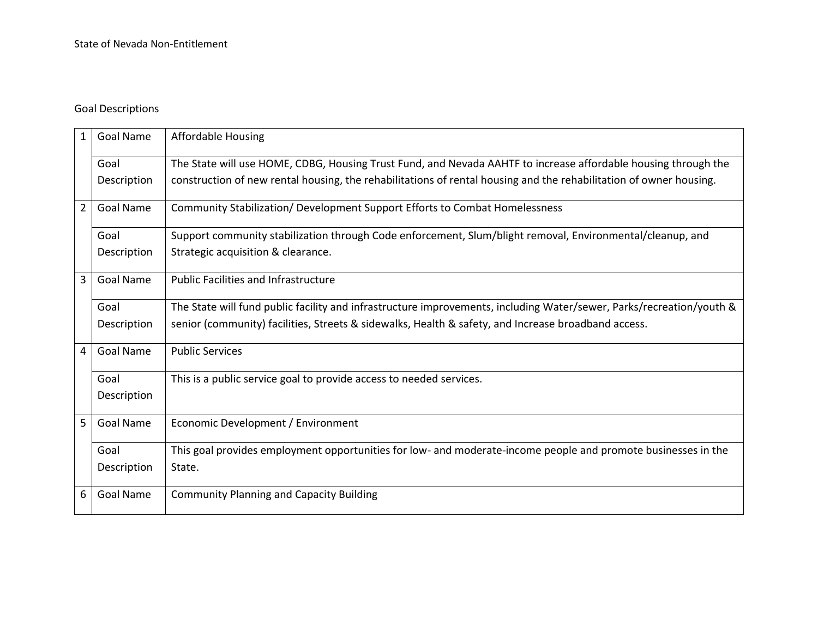## Goal Descriptions

| $\mathbf{1}$   | <b>Goal Name</b> | <b>Affordable Housing</b>                                                                                            |
|----------------|------------------|----------------------------------------------------------------------------------------------------------------------|
|                | Goal             | The State will use HOME, CDBG, Housing Trust Fund, and Nevada AAHTF to increase affordable housing through the       |
|                | Description      | construction of new rental housing, the rehabilitations of rental housing and the rehabilitation of owner housing.   |
| $2^{\circ}$    | <b>Goal Name</b> | Community Stabilization/ Development Support Efforts to Combat Homelessness                                          |
|                | Goal             | Support community stabilization through Code enforcement, Slum/blight removal, Environmental/cleanup, and            |
|                | Description      | Strategic acquisition & clearance.                                                                                   |
| $\overline{3}$ | <b>Goal Name</b> | <b>Public Facilities and Infrastructure</b>                                                                          |
|                | Goal             | The State will fund public facility and infrastructure improvements, including Water/sewer, Parks/recreation/youth & |
|                | Description      | senior (community) facilities, Streets & sidewalks, Health & safety, and Increase broadband access.                  |
| $\overline{4}$ | Goal Name        | <b>Public Services</b>                                                                                               |
|                | Goal             | This is a public service goal to provide access to needed services.                                                  |
|                | Description      |                                                                                                                      |
| 5 <sup>1</sup> | <b>Goal Name</b> | Economic Development / Environment                                                                                   |
|                | Goal             | This goal provides employment opportunities for low- and moderate-income people and promote businesses in the        |
|                | Description      | State.                                                                                                               |
| 6              | <b>Goal Name</b> | <b>Community Planning and Capacity Building</b>                                                                      |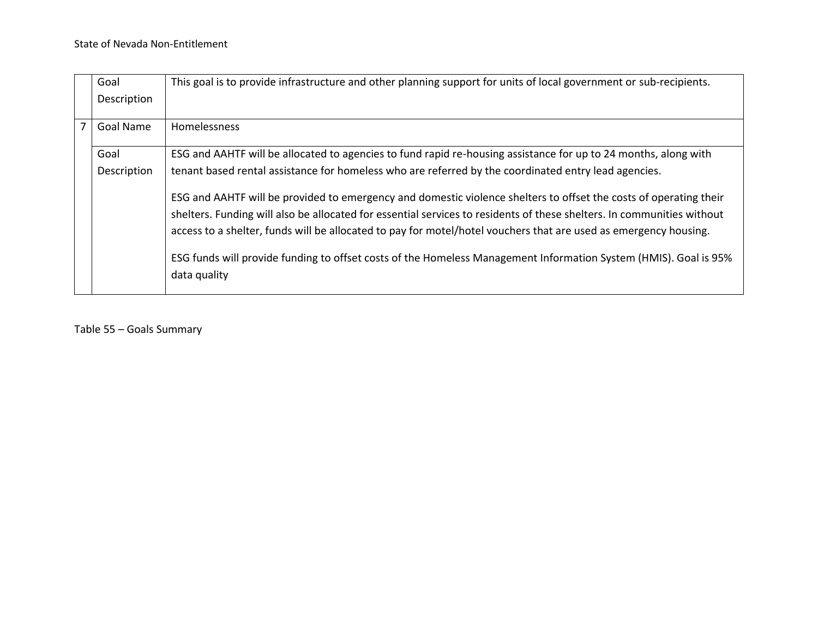|                | Goal<br>Description | This goal is to provide infrastructure and other planning support for units of local government or sub-recipients.                                                                                                                         |
|----------------|---------------------|--------------------------------------------------------------------------------------------------------------------------------------------------------------------------------------------------------------------------------------------|
| $\overline{7}$ | <b>Goal Name</b>    | Homelessness                                                                                                                                                                                                                               |
|                | Goal                | ESG and AAHTF will be allocated to agencies to fund rapid re-housing assistance for up to 24 months, along with                                                                                                                            |
|                | Description         | tenant based rental assistance for homeless who are referred by the coordinated entry lead agencies.                                                                                                                                       |
|                |                     | ESG and AAHTF will be provided to emergency and domestic violence shelters to offset the costs of operating their                                                                                                                          |
|                |                     | shelters. Funding will also be allocated for essential services to residents of these shelters. In communities without<br>access to a shelter, funds will be allocated to pay for motel/hotel vouchers that are used as emergency housing. |
|                |                     | ESG funds will provide funding to offset costs of the Homeless Management Information System (HMIS). Goal is 95%<br>data quality                                                                                                           |

Table 55 – Goals Summary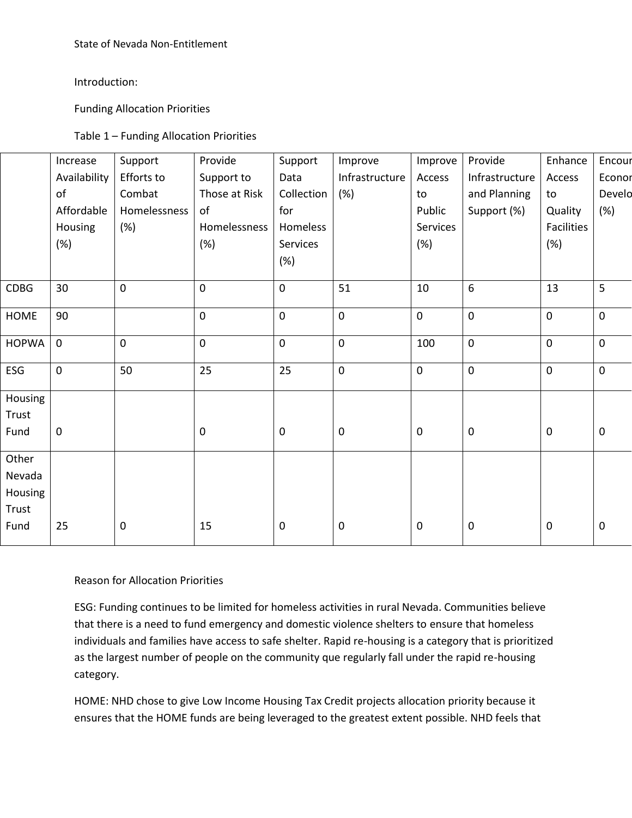Introduction:

Funding Allocation Priorities

| Table 1 – Funding Allocation Priorities |
|-----------------------------------------|
|-----------------------------------------|

|              | Increase     | Support      | Provide       | Support     | Improve        | Improve     | Provide        | Enhance    | Encour    |
|--------------|--------------|--------------|---------------|-------------|----------------|-------------|----------------|------------|-----------|
|              | Availability | Efforts to   | Support to    | Data        | Infrastructure | Access      | Infrastructure | Access     | Econor    |
|              | of           | Combat       | Those at Risk | Collection  | (%)            | to          | and Planning   | to         | Develo    |
|              | Affordable   | Homelessness | of            | for         |                | Public      | Support (%)    | Quality    | (%)       |
|              | Housing      | (%)          | Homelessness  | Homeless    |                | Services    |                | Facilities |           |
|              | (%)          |              | (%)           | Services    |                | (%)         |                | (%)        |           |
|              |              |              |               | (%)         |                |             |                |            |           |
| <b>CDBG</b>  | 30           | $\mathbf 0$  | $\mathbf 0$   | $\mathbf 0$ | 51             | 10          | 6              | 13         | 5         |
|              |              |              |               |             |                |             |                |            |           |
| <b>HOME</b>  | 90           |              | $\pmb{0}$     | $\pmb{0}$   | $\pmb{0}$      | $\mathbf 0$ | $\pmb{0}$      | $\pmb{0}$  | $\pmb{0}$ |
| <b>HOPWA</b> | $\mathbf 0$  | $\mathbf 0$  | 0             | 0           | $\mathbf 0$    | 100         | $\pmb{0}$      | $\pmb{0}$  | $\pmb{0}$ |
| ESG          | 0            | 50           | 25            | 25          | $\mathbf 0$    | $\mathbf 0$ | $\pmb{0}$      | $\pmb{0}$  | $\pmb{0}$ |
| Housing      |              |              |               |             |                |             |                |            |           |
| Trust        |              |              |               |             |                |             |                |            |           |
| Fund         | 0            |              | $\pmb{0}$     | $\mathbf 0$ | $\mathbf 0$    | $\mathbf 0$ | $\pmb{0}$      | $\pmb{0}$  | $\pmb{0}$ |
| Other        |              |              |               |             |                |             |                |            |           |
| Nevada       |              |              |               |             |                |             |                |            |           |
| Housing      |              |              |               |             |                |             |                |            |           |
| Trust        |              |              |               |             |                |             |                |            |           |
| Fund         | 25           | $\mathbf 0$  | 15            | $\mathbf 0$ | $\pmb{0}$      | $\pmb{0}$   | $\pmb{0}$      | $\pmb{0}$  | $\pmb{0}$ |
|              |              |              |               |             |                |             |                |            |           |

#### Reason for Allocation Priorities

ESG: Funding continues to be limited for homeless activities in rural Nevada. Communities believe that there is a need to fund emergency and domestic violence shelters to ensure that homeless individuals and families have access to safe shelter. Rapid re-housing is a category that is prioritized as the largest number of people on the community que regularly fall under the rapid re-housing category.

HOME: NHD chose to give Low Income Housing Tax Credit projects allocation priority because it ensures that the HOME funds are being leveraged to the greatest extent possible. NHD feels that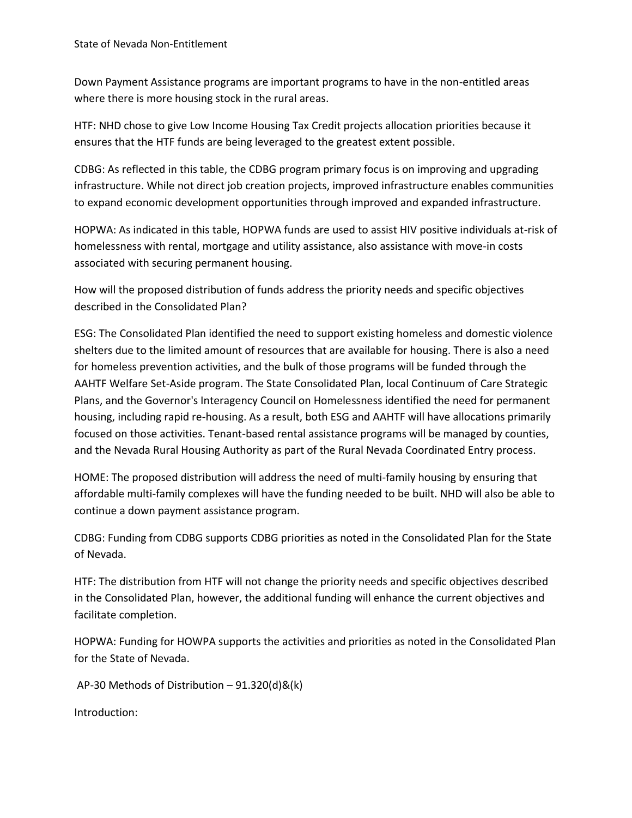Down Payment Assistance programs are important programs to have in the non-entitled areas where there is more housing stock in the rural areas.

HTF: NHD chose to give Low Income Housing Tax Credit projects allocation priorities because it ensures that the HTF funds are being leveraged to the greatest extent possible.

CDBG: As reflected in this table, the CDBG program primary focus is on improving and upgrading infrastructure. While not direct job creation projects, improved infrastructure enables communities to expand economic development opportunities through improved and expanded infrastructure.

HOPWA: As indicated in this table, HOPWA funds are used to assist HIV positive individuals at-risk of homelessness with rental, mortgage and utility assistance, also assistance with move-in costs associated with securing permanent housing.

How will the proposed distribution of funds address the priority needs and specific objectives described in the Consolidated Plan?

ESG: The Consolidated Plan identified the need to support existing homeless and domestic violence shelters due to the limited amount of resources that are available for housing. There is also a need for homeless prevention activities, and the bulk of those programs will be funded through the AAHTF Welfare Set-Aside program. The State Consolidated Plan, local Continuum of Care Strategic Plans, and the Governor's Interagency Council on Homelessness identified the need for permanent housing, including rapid re-housing. As a result, both ESG and AAHTF will have allocations primarily focused on those activities. Tenant-based rental assistance programs will be managed by counties, and the Nevada Rural Housing Authority as part of the Rural Nevada Coordinated Entry process.

HOME: The proposed distribution will address the need of multi-family housing by ensuring that affordable multi-family complexes will have the funding needed to be built. NHD will also be able to continue a down payment assistance program.

CDBG: Funding from CDBG supports CDBG priorities as noted in the Consolidated Plan for the State of Nevada.

HTF: The distribution from HTF will not change the priority needs and specific objectives described in the Consolidated Plan, however, the additional funding will enhance the current objectives and facilitate completion.

HOPWA: Funding for HOWPA supports the activities and priorities as noted in the Consolidated Plan for the State of Nevada.

AP-30 Methods of Distribution – 91.320(d)&(k)

Introduction: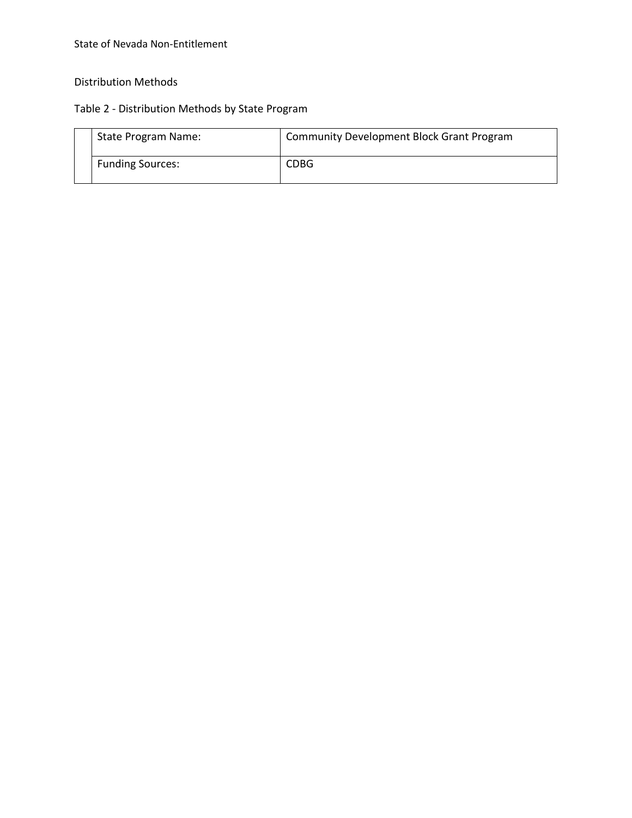# Distribution Methods

# Table 2 - Distribution Methods by State Program

| State Program Name:     | Community Development Block Grant Program |
|-------------------------|-------------------------------------------|
| <b>Funding Sources:</b> | <b>CDBG</b>                               |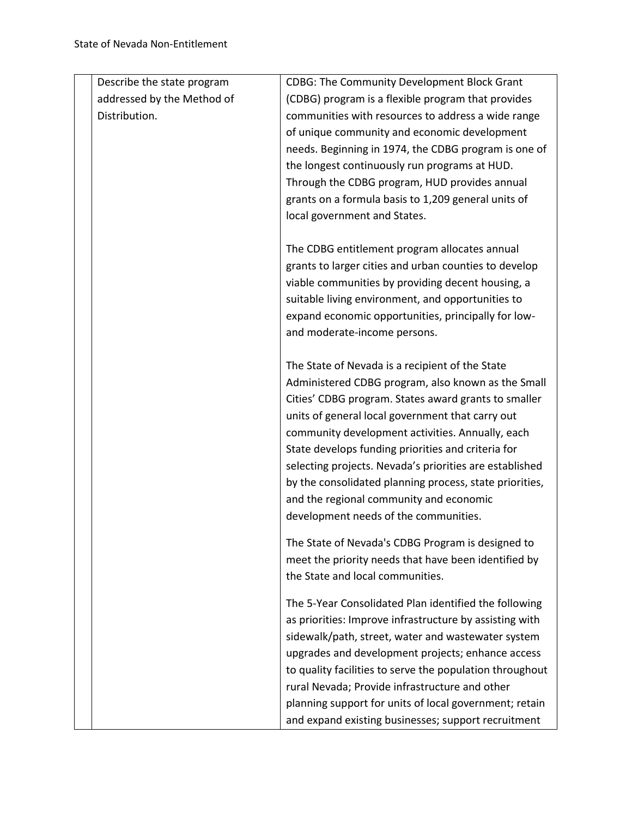| Describe the state program | <b>CDBG: The Community Development Block Grant</b>       |
|----------------------------|----------------------------------------------------------|
| addressed by the Method of | (CDBG) program is a flexible program that provides       |
| Distribution.              | communities with resources to address a wide range       |
|                            | of unique community and economic development             |
|                            | needs. Beginning in 1974, the CDBG program is one of     |
|                            | the longest continuously run programs at HUD.            |
|                            | Through the CDBG program, HUD provides annual            |
|                            | grants on a formula basis to 1,209 general units of      |
|                            | local government and States.                             |
|                            | The CDBG entitlement program allocates annual            |
|                            | grants to larger cities and urban counties to develop    |
|                            | viable communities by providing decent housing, a        |
|                            | suitable living environment, and opportunities to        |
|                            | expand economic opportunities, principally for low-      |
|                            | and moderate-income persons.                             |
|                            | The State of Nevada is a recipient of the State          |
|                            | Administered CDBG program, also known as the Small       |
|                            | Cities' CDBG program. States award grants to smaller     |
|                            | units of general local government that carry out         |
|                            | community development activities. Annually, each         |
|                            | State develops funding priorities and criteria for       |
|                            | selecting projects. Nevada's priorities are established  |
|                            | by the consolidated planning process, state priorities,  |
|                            | and the regional community and economic                  |
|                            | development needs of the communities.                    |
|                            | The State of Nevada's CDBG Program is designed to        |
|                            | meet the priority needs that have been identified by     |
|                            | the State and local communities.                         |
|                            | The 5-Year Consolidated Plan identified the following    |
|                            | as priorities: Improve infrastructure by assisting with  |
|                            | sidewalk/path, street, water and wastewater system       |
|                            | upgrades and development projects; enhance access        |
|                            | to quality facilities to serve the population throughout |
|                            | rural Nevada; Provide infrastructure and other           |
|                            | planning support for units of local government; retain   |
|                            | and expand existing businesses; support recruitment      |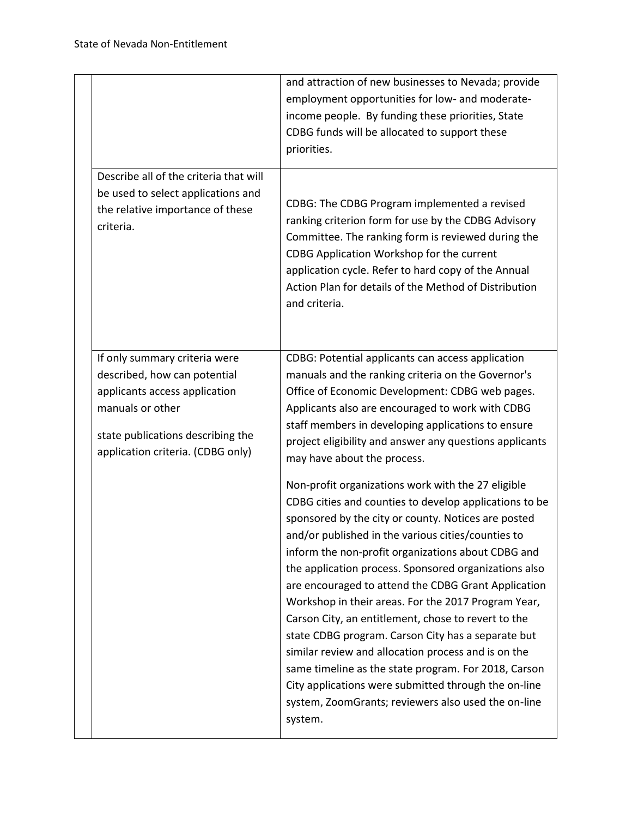|                                                                                                                                                                                              | and attraction of new businesses to Nevada; provide<br>employment opportunities for low- and moderate-<br>income people. By funding these priorities, State<br>CDBG funds will be allocated to support these<br>priorities.                                                                                                                                                                                                                                                                                                                                                                                                                                                                                                                                                                                                                                                                                                                                                                                                                                                                                                                                                    |
|----------------------------------------------------------------------------------------------------------------------------------------------------------------------------------------------|--------------------------------------------------------------------------------------------------------------------------------------------------------------------------------------------------------------------------------------------------------------------------------------------------------------------------------------------------------------------------------------------------------------------------------------------------------------------------------------------------------------------------------------------------------------------------------------------------------------------------------------------------------------------------------------------------------------------------------------------------------------------------------------------------------------------------------------------------------------------------------------------------------------------------------------------------------------------------------------------------------------------------------------------------------------------------------------------------------------------------------------------------------------------------------|
| Describe all of the criteria that will<br>be used to select applications and<br>the relative importance of these<br>criteria.                                                                | CDBG: The CDBG Program implemented a revised<br>ranking criterion form for use by the CDBG Advisory<br>Committee. The ranking form is reviewed during the<br>CDBG Application Workshop for the current<br>application cycle. Refer to hard copy of the Annual<br>Action Plan for details of the Method of Distribution<br>and criteria.                                                                                                                                                                                                                                                                                                                                                                                                                                                                                                                                                                                                                                                                                                                                                                                                                                        |
| If only summary criteria were<br>described, how can potential<br>applicants access application<br>manuals or other<br>state publications describing the<br>application criteria. (CDBG only) | CDBG: Potential applicants can access application<br>manuals and the ranking criteria on the Governor's<br>Office of Economic Development: CDBG web pages.<br>Applicants also are encouraged to work with CDBG<br>staff members in developing applications to ensure<br>project eligibility and answer any questions applicants<br>may have about the process.<br>Non-profit organizations work with the 27 eligible<br>CDBG cities and counties to develop applications to be<br>sponsored by the city or county. Notices are posted<br>and/or published in the various cities/counties to<br>inform the non-profit organizations about CDBG and<br>the application process. Sponsored organizations also<br>are encouraged to attend the CDBG Grant Application<br>Workshop in their areas. For the 2017 Program Year,<br>Carson City, an entitlement, chose to revert to the<br>state CDBG program. Carson City has a separate but<br>similar review and allocation process and is on the<br>same timeline as the state program. For 2018, Carson<br>City applications were submitted through the on-line<br>system, ZoomGrants; reviewers also used the on-line<br>system. |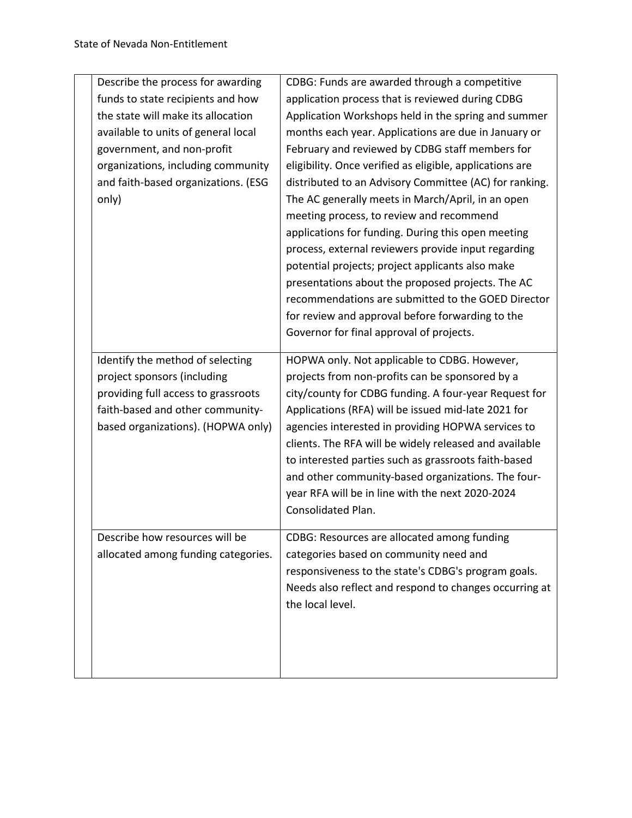| Describe the process for awarding   | CDBG: Funds are awarded through a competitive            |
|-------------------------------------|----------------------------------------------------------|
| funds to state recipients and how   | application process that is reviewed during CDBG         |
| the state will make its allocation  | Application Workshops held in the spring and summer      |
| available to units of general local | months each year. Applications are due in January or     |
| government, and non-profit          | February and reviewed by CDBG staff members for          |
| organizations, including community  | eligibility. Once verified as eligible, applications are |
| and faith-based organizations. (ESG | distributed to an Advisory Committee (AC) for ranking.   |
| only)                               | The AC generally meets in March/April, in an open        |
|                                     | meeting process, to review and recommend                 |
|                                     | applications for funding. During this open meeting       |
|                                     | process, external reviewers provide input regarding      |
|                                     | potential projects; project applicants also make         |
|                                     | presentations about the proposed projects. The AC        |
|                                     | recommendations are submitted to the GOED Director       |
|                                     | for review and approval before forwarding to the         |
|                                     | Governor for final approval of projects.                 |
|                                     |                                                          |
| Identify the method of selecting    | HOPWA only. Not applicable to CDBG. However,             |
| project sponsors (including         | projects from non-profits can be sponsored by a          |
| providing full access to grassroots | city/county for CDBG funding. A four-year Request for    |
| faith-based and other community-    | Applications (RFA) will be issued mid-late 2021 for      |
| based organizations). (HOPWA only)  | agencies interested in providing HOPWA services to       |
|                                     | clients. The RFA will be widely released and available   |
|                                     | to interested parties such as grassroots faith-based     |
|                                     | and other community-based organizations. The four-       |
|                                     | year RFA will be in line with the next 2020-2024         |
|                                     | Consolidated Plan.                                       |
| Describe how resources will be      | CDBG: Resources are allocated among funding              |
| allocated among funding categories. | categories based on community need and                   |
|                                     | responsiveness to the state's CDBG's program goals.      |
|                                     | Needs also reflect and respond to changes occurring at   |
|                                     | the local level.                                         |
|                                     |                                                          |
|                                     |                                                          |
|                                     |                                                          |
|                                     |                                                          |
|                                     |                                                          |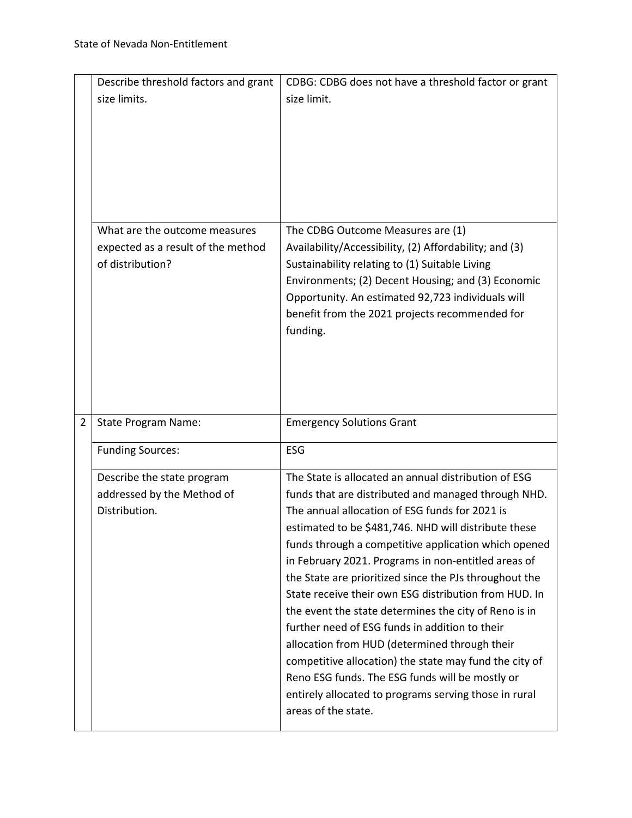|                | Describe threshold factors and grant                   | CDBG: CDBG does not have a threshold factor or grant                                                         |
|----------------|--------------------------------------------------------|--------------------------------------------------------------------------------------------------------------|
|                | size limits.                                           | size limit.                                                                                                  |
|                |                                                        |                                                                                                              |
|                |                                                        |                                                                                                              |
|                |                                                        |                                                                                                              |
|                |                                                        |                                                                                                              |
|                |                                                        |                                                                                                              |
|                |                                                        |                                                                                                              |
|                | What are the outcome measures                          | The CDBG Outcome Measures are (1)                                                                            |
|                | expected as a result of the method<br>of distribution? | Availability/Accessibility, (2) Affordability; and (3)<br>Sustainability relating to (1) Suitable Living     |
|                |                                                        | Environments; (2) Decent Housing; and (3) Economic                                                           |
|                |                                                        | Opportunity. An estimated 92,723 individuals will                                                            |
|                |                                                        | benefit from the 2021 projects recommended for                                                               |
|                |                                                        | funding.                                                                                                     |
|                |                                                        |                                                                                                              |
|                |                                                        |                                                                                                              |
|                |                                                        |                                                                                                              |
| $\overline{2}$ |                                                        |                                                                                                              |
|                | <b>State Program Name:</b>                             | <b>Emergency Solutions Grant</b>                                                                             |
|                | <b>Funding Sources:</b>                                | ESG                                                                                                          |
|                | Describe the state program                             | The State is allocated an annual distribution of ESG                                                         |
|                | addressed by the Method of                             | funds that are distributed and managed through NHD.                                                          |
|                | Distribution.                                          | The annual allocation of ESG funds for 2021 is                                                               |
|                |                                                        | estimated to be \$481,746. NHD will distribute these<br>funds through a competitive application which opened |
|                |                                                        | in February 2021. Programs in non-entitled areas of                                                          |
|                |                                                        | the State are prioritized since the PJs throughout the                                                       |
|                |                                                        | State receive their own ESG distribution from HUD. In                                                        |
|                |                                                        | the event the state determines the city of Reno is in                                                        |
|                |                                                        | further need of ESG funds in addition to their                                                               |
|                |                                                        | allocation from HUD (determined through their                                                                |
|                |                                                        | competitive allocation) the state may fund the city of<br>Reno ESG funds. The ESG funds will be mostly or    |
|                |                                                        | entirely allocated to programs serving those in rural                                                        |
|                |                                                        | areas of the state.                                                                                          |
|                |                                                        |                                                                                                              |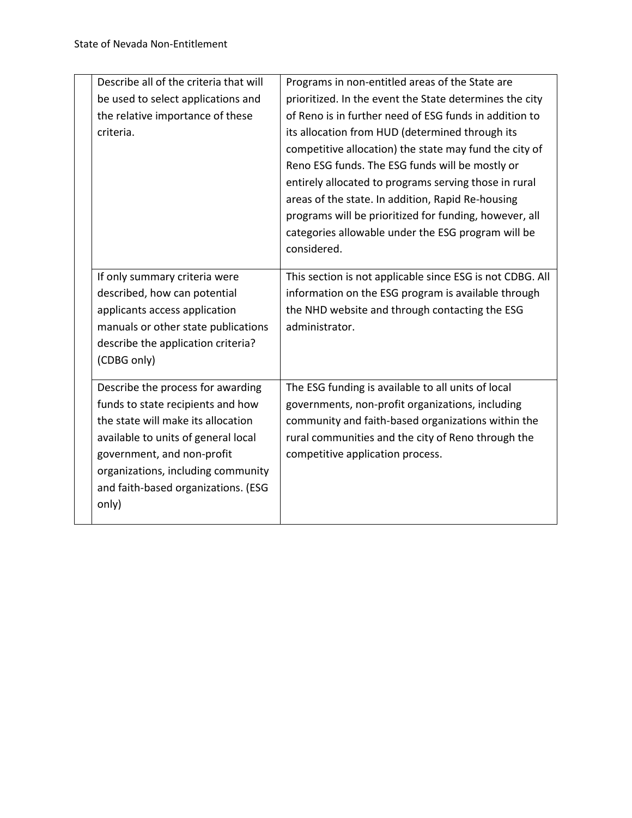| Describe all of the criteria that will | Programs in non-entitled areas of the State are           |
|----------------------------------------|-----------------------------------------------------------|
| be used to select applications and     | prioritized. In the event the State determines the city   |
| the relative importance of these       | of Reno is in further need of ESG funds in addition to    |
| criteria.                              | its allocation from HUD (determined through its           |
|                                        | competitive allocation) the state may fund the city of    |
|                                        | Reno ESG funds. The ESG funds will be mostly or           |
|                                        | entirely allocated to programs serving those in rural     |
|                                        | areas of the state. In addition, Rapid Re-housing         |
|                                        | programs will be prioritized for funding, however, all    |
|                                        | categories allowable under the ESG program will be        |
|                                        | considered.                                               |
|                                        |                                                           |
| If only summary criteria were          | This section is not applicable since ESG is not CDBG. All |
| described, how can potential           | information on the ESG program is available through       |
| applicants access application          | the NHD website and through contacting the ESG            |
| manuals or other state publications    | administrator.                                            |
| describe the application criteria?     |                                                           |
| (CDBG only)                            |                                                           |
|                                        |                                                           |
| Describe the process for awarding      | The ESG funding is available to all units of local        |
| funds to state recipients and how      | governments, non-profit organizations, including          |
| the state will make its allocation     | community and faith-based organizations within the        |
| available to units of general local    | rural communities and the city of Reno through the        |
| government, and non-profit             | competitive application process.                          |
| organizations, including community     |                                                           |
| and faith-based organizations. (ESG    |                                                           |
| only)                                  |                                                           |
|                                        |                                                           |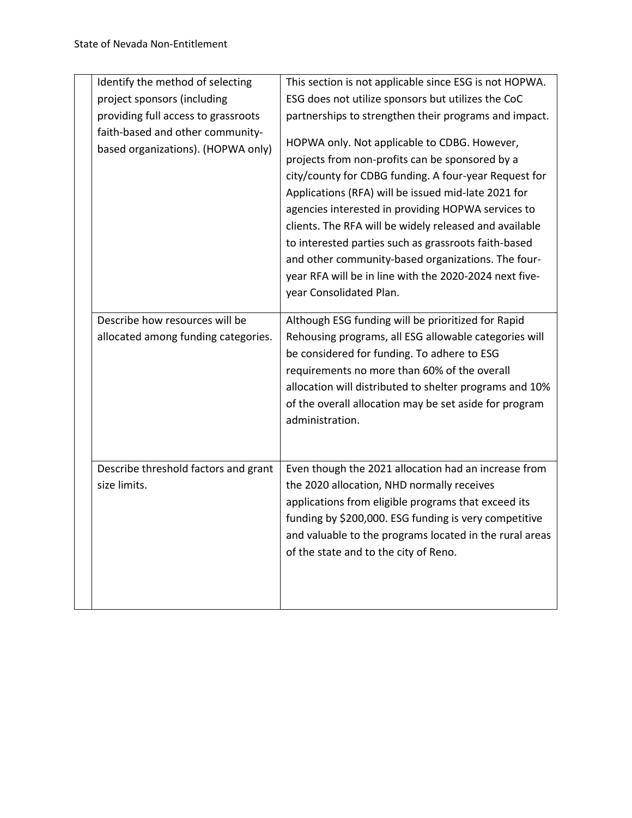| Identify the method of selecting                                       | This section is not applicable since ESG is not HOPWA.                                                                                                                                                                                                                                                                                                                                                                                                                                                                             |
|------------------------------------------------------------------------|------------------------------------------------------------------------------------------------------------------------------------------------------------------------------------------------------------------------------------------------------------------------------------------------------------------------------------------------------------------------------------------------------------------------------------------------------------------------------------------------------------------------------------|
| project sponsors (including                                            | ESG does not utilize sponsors but utilizes the CoC                                                                                                                                                                                                                                                                                                                                                                                                                                                                                 |
| providing full access to grassroots                                    | partnerships to strengthen their programs and impact.                                                                                                                                                                                                                                                                                                                                                                                                                                                                              |
| faith-based and other community-<br>based organizations). (HOPWA only) | HOPWA only. Not applicable to CDBG. However,<br>projects from non-profits can be sponsored by a<br>city/county for CDBG funding. A four-year Request for<br>Applications (RFA) will be issued mid-late 2021 for<br>agencies interested in providing HOPWA services to<br>clients. The RFA will be widely released and available<br>to interested parties such as grassroots faith-based<br>and other community-based organizations. The four-<br>year RFA will be in line with the 2020-2024 next five-<br>year Consolidated Plan. |
| Describe how resources will be<br>allocated among funding categories.  | Although ESG funding will be prioritized for Rapid<br>Rehousing programs, all ESG allowable categories will<br>be considered for funding. To adhere to ESG<br>requirements no more than 60% of the overall<br>allocation will distributed to shelter programs and 10%<br>of the overall allocation may be set aside for program<br>administration.                                                                                                                                                                                 |
| Describe threshold factors and grant<br>size limits.                   | Even though the 2021 allocation had an increase from<br>the 2020 allocation, NHD normally receives<br>applications from eligible programs that exceed its<br>funding by \$200,000. ESG funding is very competitive<br>and valuable to the programs located in the rural areas<br>of the state and to the city of Reno.                                                                                                                                                                                                             |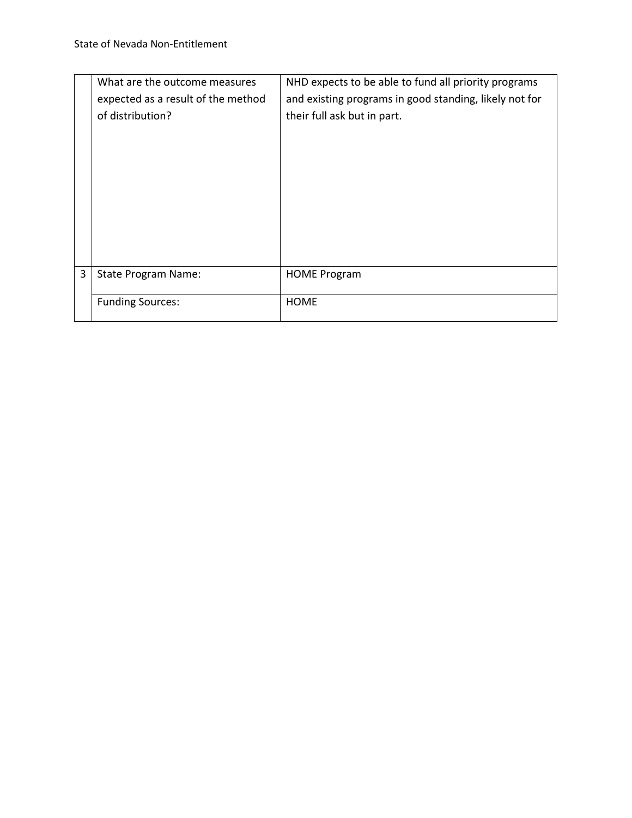|   | What are the outcome measures      | NHD expects to be able to fund all priority programs   |
|---|------------------------------------|--------------------------------------------------------|
|   | expected as a result of the method | and existing programs in good standing, likely not for |
|   | of distribution?                   | their full ask but in part.                            |
|   |                                    |                                                        |
|   |                                    |                                                        |
|   |                                    |                                                        |
|   |                                    |                                                        |
|   |                                    |                                                        |
|   |                                    |                                                        |
|   |                                    |                                                        |
|   |                                    |                                                        |
| 3 | <b>State Program Name:</b>         | <b>HOME Program</b>                                    |
|   |                                    |                                                        |
|   | <b>Funding Sources:</b>            | <b>HOME</b>                                            |
|   |                                    |                                                        |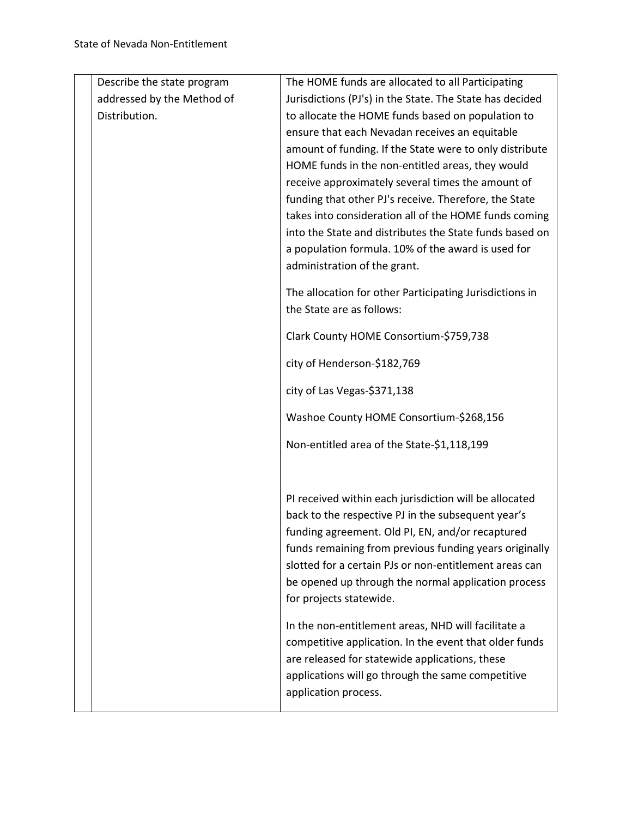| Describe the state program | The HOME funds are allocated to all Participating        |
|----------------------------|----------------------------------------------------------|
| addressed by the Method of | Jurisdictions (PJ's) in the State. The State has decided |
| Distribution.              | to allocate the HOME funds based on population to        |
|                            | ensure that each Nevadan receives an equitable           |
|                            | amount of funding. If the State were to only distribute  |
|                            | HOME funds in the non-entitled areas, they would         |
|                            | receive approximately several times the amount of        |
|                            | funding that other PJ's receive. Therefore, the State    |
|                            | takes into consideration all of the HOME funds coming    |
|                            | into the State and distributes the State funds based on  |
|                            | a population formula. 10% of the award is used for       |
|                            | administration of the grant.                             |
|                            | The allocation for other Participating Jurisdictions in  |
|                            | the State are as follows:                                |
|                            |                                                          |
|                            | Clark County HOME Consortium-\$759,738                   |
|                            | city of Henderson-\$182,769                              |
|                            | city of Las Vegas-\$371,138                              |
|                            | Washoe County HOME Consortium-\$268,156                  |
|                            | Non-entitled area of the State-\$1,118,199               |
|                            |                                                          |
|                            | PI received within each jurisdiction will be allocated   |
|                            | back to the respective PJ in the subsequent year's       |
|                            | funding agreement. Old PI, EN, and/or recaptured         |
|                            | funds remaining from previous funding years originally   |
|                            | slotted for a certain PJs or non-entitlement areas can   |
|                            | be opened up through the normal application process      |
|                            | for projects statewide.                                  |
|                            | In the non-entitlement areas, NHD will facilitate a      |
|                            | competitive application. In the event that older funds   |
|                            | are released for statewide applications, these           |
|                            | applications will go through the same competitive        |
|                            | application process.                                     |
|                            |                                                          |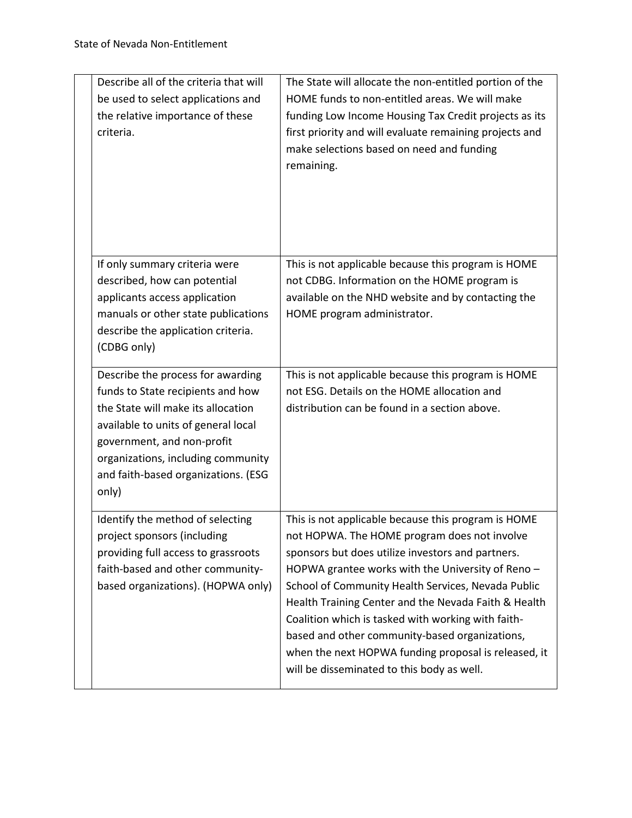| Describe all of the criteria that will<br>be used to select applications and<br>the relative importance of these<br>criteria.                                                                                                                                           | The State will allocate the non-entitled portion of the<br>HOME funds to non-entitled areas. We will make<br>funding Low Income Housing Tax Credit projects as its<br>first priority and will evaluate remaining projects and<br>make selections based on need and funding<br>remaining.                                                                                                                                                                                                                                                  |
|-------------------------------------------------------------------------------------------------------------------------------------------------------------------------------------------------------------------------------------------------------------------------|-------------------------------------------------------------------------------------------------------------------------------------------------------------------------------------------------------------------------------------------------------------------------------------------------------------------------------------------------------------------------------------------------------------------------------------------------------------------------------------------------------------------------------------------|
| If only summary criteria were<br>described, how can potential<br>applicants access application<br>manuals or other state publications<br>describe the application criteria.<br>(CDBG only)                                                                              | This is not applicable because this program is HOME<br>not CDBG. Information on the HOME program is<br>available on the NHD website and by contacting the<br>HOME program administrator.                                                                                                                                                                                                                                                                                                                                                  |
| Describe the process for awarding<br>funds to State recipients and how<br>the State will make its allocation<br>available to units of general local<br>government, and non-profit<br>organizations, including community<br>and faith-based organizations. (ESG<br>only) | This is not applicable because this program is HOME<br>not ESG. Details on the HOME allocation and<br>distribution can be found in a section above.                                                                                                                                                                                                                                                                                                                                                                                       |
| Identify the method of selecting<br>project sponsors (including<br>providing full access to grassroots<br>faith-based and other community-<br>based organizations). (HOPWA only)                                                                                        | This is not applicable because this program is HOME<br>not HOPWA. The HOME program does not involve<br>sponsors but does utilize investors and partners.<br>HOPWA grantee works with the University of Reno -<br>School of Community Health Services, Nevada Public<br>Health Training Center and the Nevada Faith & Health<br>Coalition which is tasked with working with faith-<br>based and other community-based organizations,<br>when the next HOPWA funding proposal is released, it<br>will be disseminated to this body as well. |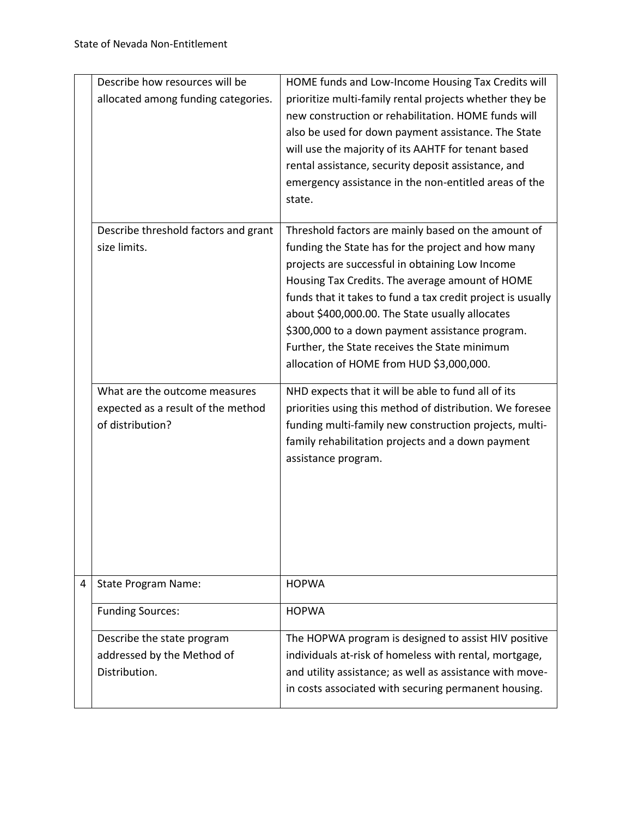|   | Describe how resources will be       | HOME funds and Low-Income Housing Tax Credits will          |
|---|--------------------------------------|-------------------------------------------------------------|
|   | allocated among funding categories.  | prioritize multi-family rental projects whether they be     |
|   |                                      | new construction or rehabilitation. HOME funds will         |
|   |                                      | also be used for down payment assistance. The State         |
|   |                                      | will use the majority of its AAHTF for tenant based         |
|   |                                      | rental assistance, security deposit assistance, and         |
|   |                                      | emergency assistance in the non-entitled areas of the       |
|   |                                      | state.                                                      |
|   |                                      |                                                             |
|   | Describe threshold factors and grant | Threshold factors are mainly based on the amount of         |
|   | size limits.                         | funding the State has for the project and how many          |
|   |                                      | projects are successful in obtaining Low Income             |
|   |                                      | Housing Tax Credits. The average amount of HOME             |
|   |                                      | funds that it takes to fund a tax credit project is usually |
|   |                                      | about \$400,000.00. The State usually allocates             |
|   |                                      | \$300,000 to a down payment assistance program.             |
|   |                                      | Further, the State receives the State minimum               |
|   |                                      |                                                             |
|   |                                      | allocation of HOME from HUD \$3,000,000.                    |
|   | What are the outcome measures        | NHD expects that it will be able to fund all of its         |
|   | expected as a result of the method   | priorities using this method of distribution. We foresee    |
|   | of distribution?                     | funding multi-family new construction projects, multi-      |
|   |                                      | family rehabilitation projects and a down payment           |
|   |                                      | assistance program.                                         |
|   |                                      |                                                             |
|   |                                      |                                                             |
|   |                                      |                                                             |
|   |                                      |                                                             |
|   |                                      |                                                             |
|   |                                      |                                                             |
| 4 | <b>State Program Name:</b>           | <b>HOPWA</b>                                                |
|   |                                      |                                                             |
|   | <b>Funding Sources:</b>              | <b>HOPWA</b>                                                |
|   | Describe the state program           | The HOPWA program is designed to assist HIV positive        |
|   | addressed by the Method of           | individuals at-risk of homeless with rental, mortgage,      |
|   | Distribution.                        | and utility assistance; as well as assistance with move-    |
|   |                                      | in costs associated with securing permanent housing.        |
|   |                                      |                                                             |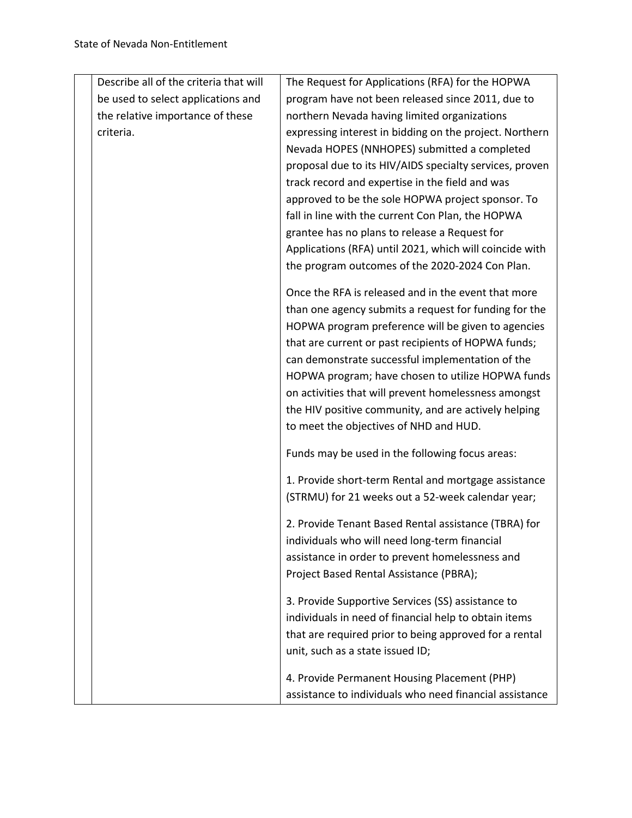| Describe all of the criteria that will | The Request for Applications (RFA) for the HOPWA        |
|----------------------------------------|---------------------------------------------------------|
| be used to select applications and     | program have not been released since 2011, due to       |
| the relative importance of these       | northern Nevada having limited organizations            |
| criteria.                              | expressing interest in bidding on the project. Northern |
|                                        | Nevada HOPES (NNHOPES) submitted a completed            |
|                                        | proposal due to its HIV/AIDS specialty services, proven |
|                                        | track record and expertise in the field and was         |
|                                        | approved to be the sole HOPWA project sponsor. To       |
|                                        | fall in line with the current Con Plan, the HOPWA       |
|                                        | grantee has no plans to release a Request for           |
|                                        | Applications (RFA) until 2021, which will coincide with |
|                                        | the program outcomes of the 2020-2024 Con Plan.         |
|                                        | Once the RFA is released and in the event that more     |
|                                        | than one agency submits a request for funding for the   |
|                                        | HOPWA program preference will be given to agencies      |
|                                        | that are current or past recipients of HOPWA funds;     |
|                                        | can demonstrate successful implementation of the        |
|                                        | HOPWA program; have chosen to utilize HOPWA funds       |
|                                        | on activities that will prevent homelessness amongst    |
|                                        | the HIV positive community, and are actively helping    |
|                                        | to meet the objectives of NHD and HUD.                  |
|                                        | Funds may be used in the following focus areas:         |
|                                        | 1. Provide short-term Rental and mortgage assistance    |
|                                        | (STRMU) for 21 weeks out a 52-week calendar year;       |
|                                        | 2. Provide Tenant Based Rental assistance (TBRA) for    |
|                                        | individuals who will need long-term financial           |
|                                        | assistance in order to prevent homelessness and         |
|                                        | Project Based Rental Assistance (PBRA);                 |
|                                        | 3. Provide Supportive Services (SS) assistance to       |
|                                        | individuals in need of financial help to obtain items   |
|                                        | that are required prior to being approved for a rental  |
|                                        | unit, such as a state issued ID;                        |
|                                        | 4. Provide Permanent Housing Placement (PHP)            |
|                                        | assistance to individuals who need financial assistance |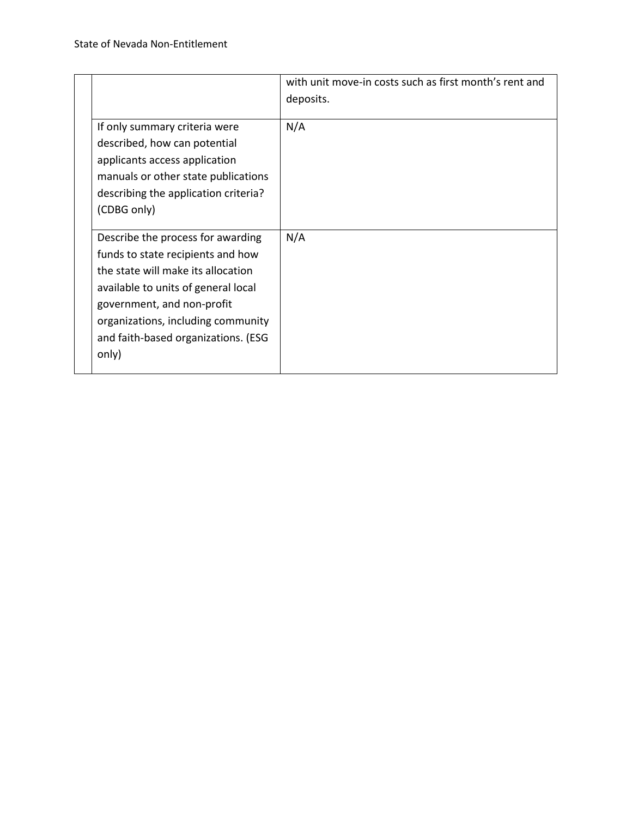|                                                                                                                                                                                                                                                                         | with unit move-in costs such as first month's rent and<br>deposits. |
|-------------------------------------------------------------------------------------------------------------------------------------------------------------------------------------------------------------------------------------------------------------------------|---------------------------------------------------------------------|
| If only summary criteria were<br>described, how can potential<br>applicants access application<br>manuals or other state publications<br>describing the application criteria?<br>(CDBG only)                                                                            | N/A                                                                 |
| Describe the process for awarding<br>funds to state recipients and how<br>the state will make its allocation<br>available to units of general local<br>government, and non-profit<br>organizations, including community<br>and faith-based organizations. (ESG<br>only) | N/A                                                                 |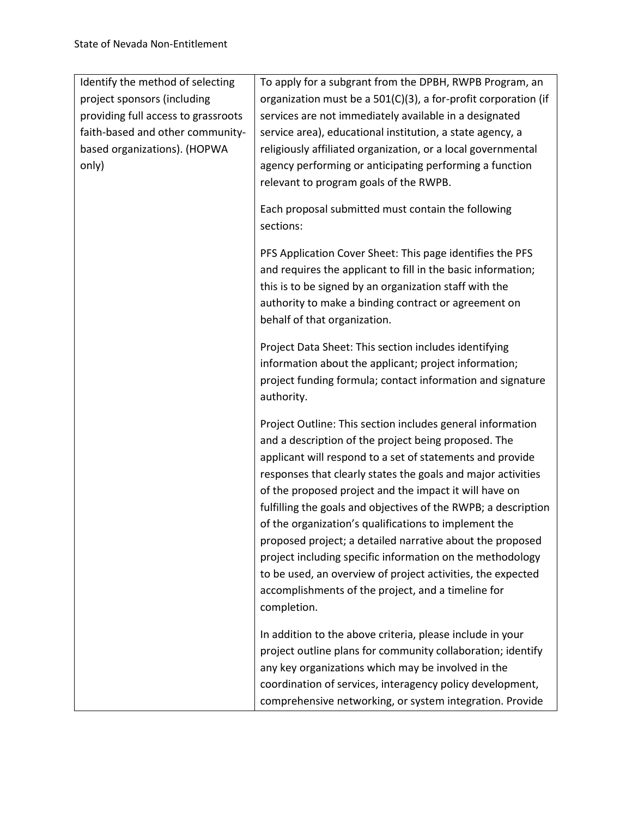| Identify the method of selecting<br>project sponsors (including<br>providing full access to grassroots<br>faith-based and other community-<br>based organizations). (HOPWA<br>only) | To apply for a subgrant from the DPBH, RWPB Program, an<br>organization must be a 501(C)(3), a for-profit corporation (if<br>services are not immediately available in a designated<br>service area), educational institution, a state agency, a<br>religiously affiliated organization, or a local governmental<br>agency performing or anticipating performing a function<br>relevant to program goals of the RWPB.<br>Each proposal submitted must contain the following                                                                                                                                                                                                                        |
|-------------------------------------------------------------------------------------------------------------------------------------------------------------------------------------|----------------------------------------------------------------------------------------------------------------------------------------------------------------------------------------------------------------------------------------------------------------------------------------------------------------------------------------------------------------------------------------------------------------------------------------------------------------------------------------------------------------------------------------------------------------------------------------------------------------------------------------------------------------------------------------------------|
|                                                                                                                                                                                     | sections:                                                                                                                                                                                                                                                                                                                                                                                                                                                                                                                                                                                                                                                                                          |
|                                                                                                                                                                                     | PFS Application Cover Sheet: This page identifies the PFS<br>and requires the applicant to fill in the basic information;<br>this is to be signed by an organization staff with the<br>authority to make a binding contract or agreement on<br>behalf of that organization.                                                                                                                                                                                                                                                                                                                                                                                                                        |
|                                                                                                                                                                                     | Project Data Sheet: This section includes identifying<br>information about the applicant; project information;<br>project funding formula; contact information and signature<br>authority.                                                                                                                                                                                                                                                                                                                                                                                                                                                                                                         |
|                                                                                                                                                                                     | Project Outline: This section includes general information<br>and a description of the project being proposed. The<br>applicant will respond to a set of statements and provide<br>responses that clearly states the goals and major activities<br>of the proposed project and the impact it will have on<br>fulfilling the goals and objectives of the RWPB; a description<br>of the organization's qualifications to implement the<br>proposed project; a detailed narrative about the proposed<br>project including specific information on the methodology<br>to be used, an overview of project activities, the expected<br>accomplishments of the project, and a timeline for<br>completion. |
|                                                                                                                                                                                     | In addition to the above criteria, please include in your<br>project outline plans for community collaboration; identify<br>any key organizations which may be involved in the<br>coordination of services, interagency policy development,<br>comprehensive networking, or system integration. Provide                                                                                                                                                                                                                                                                                                                                                                                            |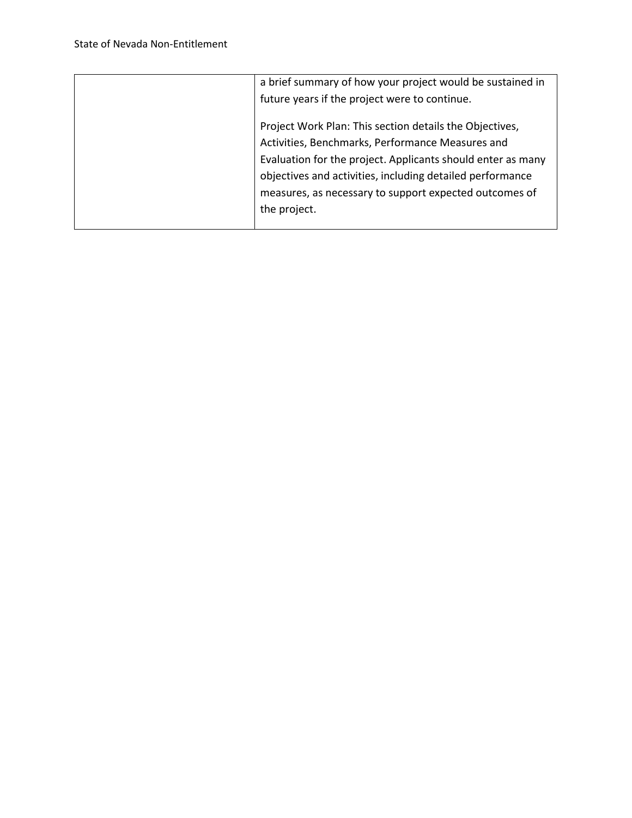| a brief summary of how your project would be sustained in   |
|-------------------------------------------------------------|
| future years if the project were to continue.               |
| Project Work Plan: This section details the Objectives,     |
| Activities, Benchmarks, Performance Measures and            |
| Evaluation for the project. Applicants should enter as many |
| objectives and activities, including detailed performance   |
| measures, as necessary to support expected outcomes of      |
| the project.                                                |
|                                                             |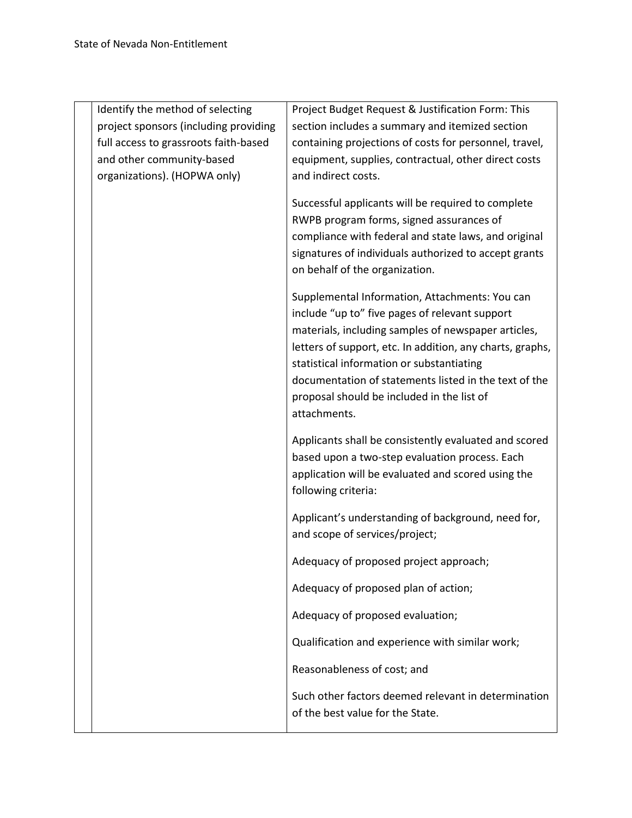| Identify the method of selecting<br>project sponsors (including providing<br>full access to grassroots faith-based<br>and other community-based<br>organizations). (HOPWA only) | Project Budget Request & Justification Form: This<br>section includes a summary and itemized section<br>containing projections of costs for personnel, travel,<br>equipment, supplies, contractual, other direct costs<br>and indirect costs.                                                                                                                                            |
|---------------------------------------------------------------------------------------------------------------------------------------------------------------------------------|------------------------------------------------------------------------------------------------------------------------------------------------------------------------------------------------------------------------------------------------------------------------------------------------------------------------------------------------------------------------------------------|
|                                                                                                                                                                                 | Successful applicants will be required to complete<br>RWPB program forms, signed assurances of<br>compliance with federal and state laws, and original<br>signatures of individuals authorized to accept grants<br>on behalf of the organization.                                                                                                                                        |
|                                                                                                                                                                                 | Supplemental Information, Attachments: You can<br>include "up to" five pages of relevant support<br>materials, including samples of newspaper articles,<br>letters of support, etc. In addition, any charts, graphs,<br>statistical information or substantiating<br>documentation of statements listed in the text of the<br>proposal should be included in the list of<br>attachments. |
|                                                                                                                                                                                 | Applicants shall be consistently evaluated and scored<br>based upon a two-step evaluation process. Each<br>application will be evaluated and scored using the<br>following criteria:                                                                                                                                                                                                     |
|                                                                                                                                                                                 | Applicant's understanding of background, need for,<br>and scope of services/project;                                                                                                                                                                                                                                                                                                     |
|                                                                                                                                                                                 | Adequacy of proposed project approach;                                                                                                                                                                                                                                                                                                                                                   |
|                                                                                                                                                                                 | Adequacy of proposed plan of action;                                                                                                                                                                                                                                                                                                                                                     |
|                                                                                                                                                                                 | Adequacy of proposed evaluation;                                                                                                                                                                                                                                                                                                                                                         |
|                                                                                                                                                                                 | Qualification and experience with similar work;                                                                                                                                                                                                                                                                                                                                          |
|                                                                                                                                                                                 | Reasonableness of cost; and                                                                                                                                                                                                                                                                                                                                                              |
|                                                                                                                                                                                 | Such other factors deemed relevant in determination<br>of the best value for the State.                                                                                                                                                                                                                                                                                                  |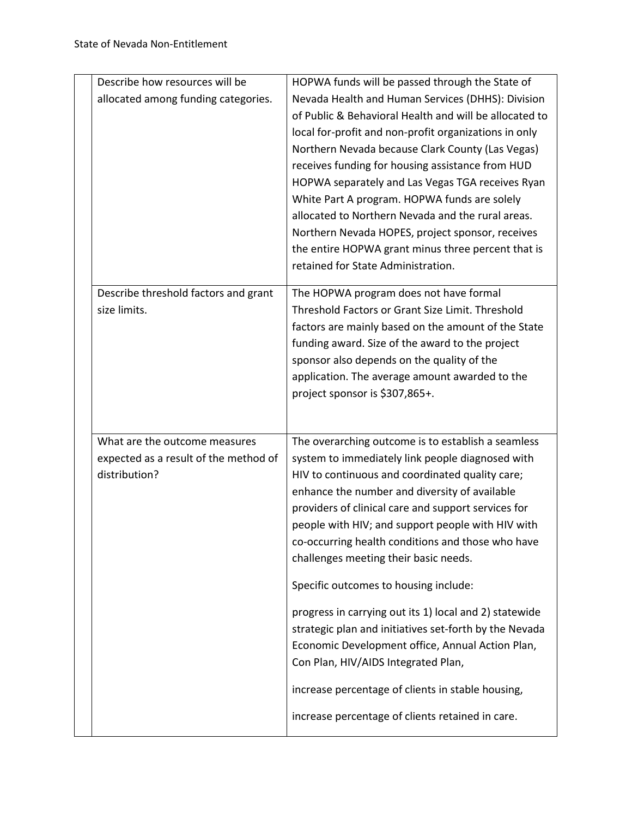| Describe how resources will be        | HOPWA funds will be passed through the State of        |
|---------------------------------------|--------------------------------------------------------|
| allocated among funding categories.   | Nevada Health and Human Services (DHHS): Division      |
|                                       | of Public & Behavioral Health and will be allocated to |
|                                       | local for-profit and non-profit organizations in only  |
|                                       | Northern Nevada because Clark County (Las Vegas)       |
|                                       | receives funding for housing assistance from HUD       |
|                                       | HOPWA separately and Las Vegas TGA receives Ryan       |
|                                       | White Part A program. HOPWA funds are solely           |
|                                       | allocated to Northern Nevada and the rural areas.      |
|                                       | Northern Nevada HOPES, project sponsor, receives       |
|                                       | the entire HOPWA grant minus three percent that is     |
|                                       | retained for State Administration.                     |
|                                       |                                                        |
| Describe threshold factors and grant  | The HOPWA program does not have formal                 |
| size limits.                          | Threshold Factors or Grant Size Limit. Threshold       |
|                                       | factors are mainly based on the amount of the State    |
|                                       | funding award. Size of the award to the project        |
|                                       | sponsor also depends on the quality of the             |
|                                       | application. The average amount awarded to the         |
|                                       | project sponsor is \$307,865+.                         |
|                                       |                                                        |
| What are the outcome measures         | The overarching outcome is to establish a seamless     |
| expected as a result of the method of | system to immediately link people diagnosed with       |
| distribution?                         | HIV to continuous and coordinated quality care;        |
|                                       | enhance the number and diversity of available          |
|                                       | providers of clinical care and support services for    |
|                                       | people with HIV; and support people with HIV with      |
|                                       | co-occurring health conditions and those who have      |
|                                       | challenges meeting their basic needs.                  |
|                                       | Specific outcomes to housing include:                  |
|                                       |                                                        |
|                                       | progress in carrying out its 1) local and 2) statewide |
|                                       | strategic plan and initiatives set-forth by the Nevada |
|                                       | Economic Development office, Annual Action Plan,       |
|                                       |                                                        |
|                                       | Con Plan, HIV/AIDS Integrated Plan,                    |
|                                       | increase percentage of clients in stable housing,      |
|                                       | increase percentage of clients retained in care.       |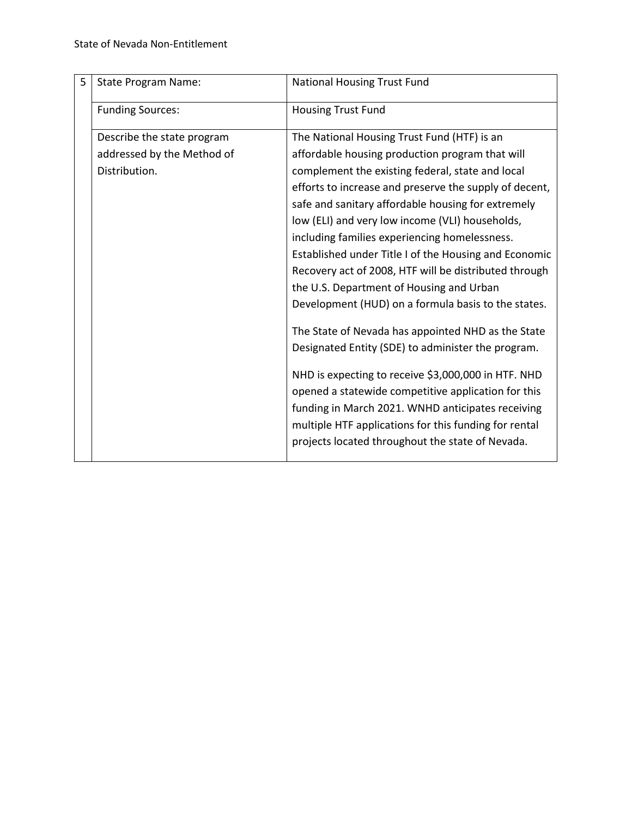| 5 | <b>State Program Name:</b> | National Housing Trust Fund                                                                                                                                                                                                                                                  |
|---|----------------------------|------------------------------------------------------------------------------------------------------------------------------------------------------------------------------------------------------------------------------------------------------------------------------|
|   | <b>Funding Sources:</b>    | <b>Housing Trust Fund</b>                                                                                                                                                                                                                                                    |
|   | Describe the state program | The National Housing Trust Fund (HTF) is an                                                                                                                                                                                                                                  |
|   | addressed by the Method of | affordable housing production program that will                                                                                                                                                                                                                              |
|   | Distribution.              | complement the existing federal, state and local                                                                                                                                                                                                                             |
|   |                            | efforts to increase and preserve the supply of decent,                                                                                                                                                                                                                       |
|   |                            | safe and sanitary affordable housing for extremely                                                                                                                                                                                                                           |
|   |                            | low (ELI) and very low income (VLI) households,                                                                                                                                                                                                                              |
|   |                            | including families experiencing homelessness.                                                                                                                                                                                                                                |
|   |                            | Established under Title I of the Housing and Economic                                                                                                                                                                                                                        |
|   |                            | Recovery act of 2008, HTF will be distributed through                                                                                                                                                                                                                        |
|   |                            | the U.S. Department of Housing and Urban                                                                                                                                                                                                                                     |
|   |                            | Development (HUD) on a formula basis to the states.                                                                                                                                                                                                                          |
|   |                            | The State of Nevada has appointed NHD as the State<br>Designated Entity (SDE) to administer the program.                                                                                                                                                                     |
|   |                            | NHD is expecting to receive \$3,000,000 in HTF. NHD<br>opened a statewide competitive application for this<br>funding in March 2021. WNHD anticipates receiving<br>multiple HTF applications for this funding for rental<br>projects located throughout the state of Nevada. |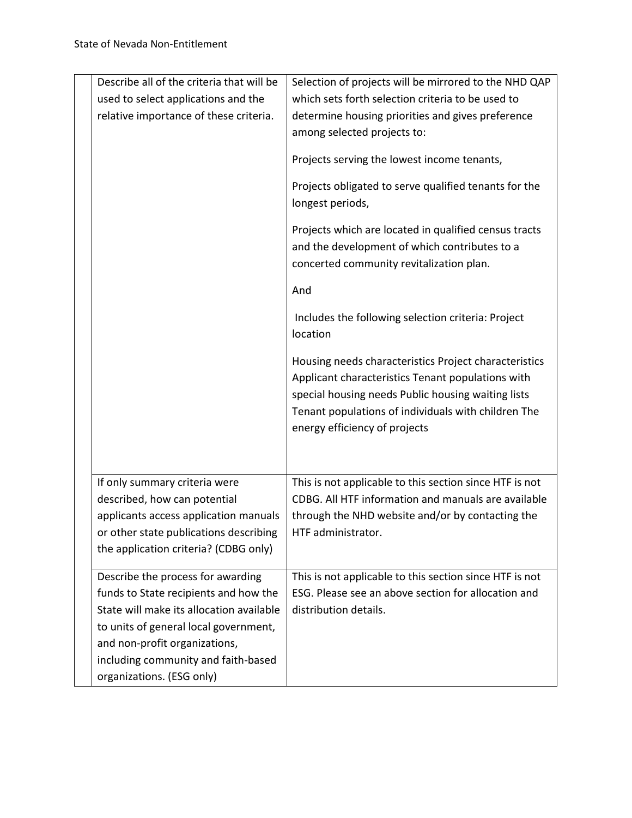| Describe all of the criteria that will be | Selection of projects will be mirrored to the NHD QAP                                                                                                                                                                                                    |
|-------------------------------------------|----------------------------------------------------------------------------------------------------------------------------------------------------------------------------------------------------------------------------------------------------------|
| used to select applications and the       | which sets forth selection criteria to be used to                                                                                                                                                                                                        |
| relative importance of these criteria.    | determine housing priorities and gives preference                                                                                                                                                                                                        |
|                                           | among selected projects to:                                                                                                                                                                                                                              |
|                                           | Projects serving the lowest income tenants,                                                                                                                                                                                                              |
|                                           | Projects obligated to serve qualified tenants for the<br>longest periods,                                                                                                                                                                                |
|                                           | Projects which are located in qualified census tracts<br>and the development of which contributes to a<br>concerted community revitalization plan.                                                                                                       |
|                                           | And                                                                                                                                                                                                                                                      |
|                                           | Includes the following selection criteria: Project<br>location                                                                                                                                                                                           |
|                                           | Housing needs characteristics Project characteristics<br>Applicant characteristics Tenant populations with<br>special housing needs Public housing waiting lists<br>Tenant populations of individuals with children The<br>energy efficiency of projects |
| If only summary criteria were             | This is not applicable to this section since HTF is not                                                                                                                                                                                                  |
| described, how can potential              | CDBG. All HTF information and manuals are available                                                                                                                                                                                                      |
| applicants access application manuals     | through the NHD website and/or by contacting the                                                                                                                                                                                                         |
| or other state publications describing    | HTF administrator.                                                                                                                                                                                                                                       |
| the application criteria? (CDBG only)     |                                                                                                                                                                                                                                                          |
| Describe the process for awarding         | This is not applicable to this section since HTF is not                                                                                                                                                                                                  |
| funds to State recipients and how the     | ESG. Please see an above section for allocation and                                                                                                                                                                                                      |
| State will make its allocation available  | distribution details.                                                                                                                                                                                                                                    |
| to units of general local government,     |                                                                                                                                                                                                                                                          |
| and non-profit organizations,             |                                                                                                                                                                                                                                                          |
| including community and faith-based       |                                                                                                                                                                                                                                                          |
| organizations. (ESG only)                 |                                                                                                                                                                                                                                                          |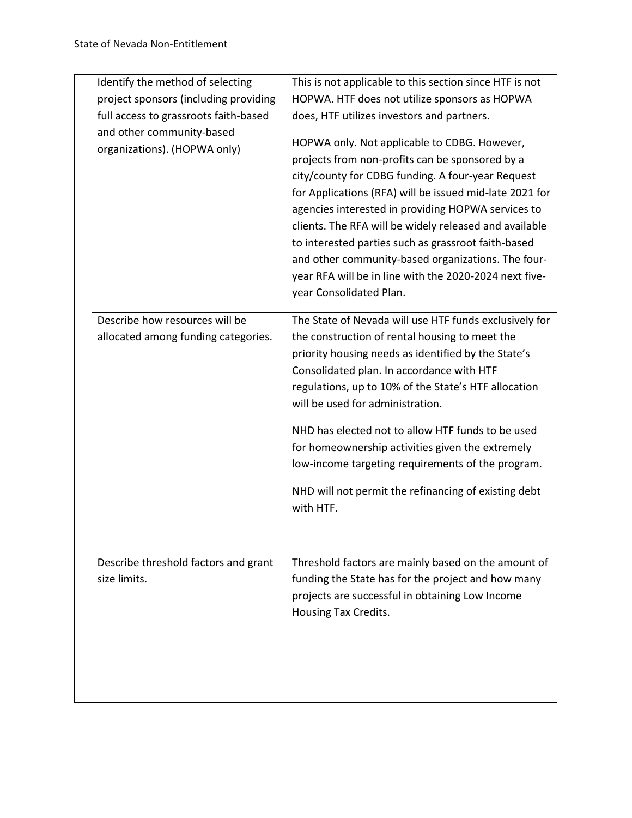| Identify the method of selecting<br>project sponsors (including providing<br>full access to grassroots faith-based<br>and other community-based<br>organizations). (HOPWA only) | This is not applicable to this section since HTF is not<br>HOPWA. HTF does not utilize sponsors as HOPWA<br>does, HTF utilizes investors and partners.<br>HOPWA only. Not applicable to CDBG. However,<br>projects from non-profits can be sponsored by a<br>city/county for CDBG funding. A four-year Request<br>for Applications (RFA) will be issued mid-late 2021 for<br>agencies interested in providing HOPWA services to<br>clients. The RFA will be widely released and available<br>to interested parties such as grassroot faith-based<br>and other community-based organizations. The four-<br>year RFA will be in line with the 2020-2024 next five- |
|---------------------------------------------------------------------------------------------------------------------------------------------------------------------------------|------------------------------------------------------------------------------------------------------------------------------------------------------------------------------------------------------------------------------------------------------------------------------------------------------------------------------------------------------------------------------------------------------------------------------------------------------------------------------------------------------------------------------------------------------------------------------------------------------------------------------------------------------------------|
| Describe how resources will be<br>allocated among funding categories.                                                                                                           | year Consolidated Plan.<br>The State of Nevada will use HTF funds exclusively for<br>the construction of rental housing to meet the<br>priority housing needs as identified by the State's<br>Consolidated plan. In accordance with HTF<br>regulations, up to 10% of the State's HTF allocation<br>will be used for administration.<br>NHD has elected not to allow HTF funds to be used<br>for homeownership activities given the extremely<br>low-income targeting requirements of the program.<br>NHD will not permit the refinancing of existing debt<br>with HTF.                                                                                           |
| Describe threshold factors and grant<br>size limits.                                                                                                                            | Threshold factors are mainly based on the amount of<br>funding the State has for the project and how many<br>projects are successful in obtaining Low Income<br>Housing Tax Credits.                                                                                                                                                                                                                                                                                                                                                                                                                                                                             |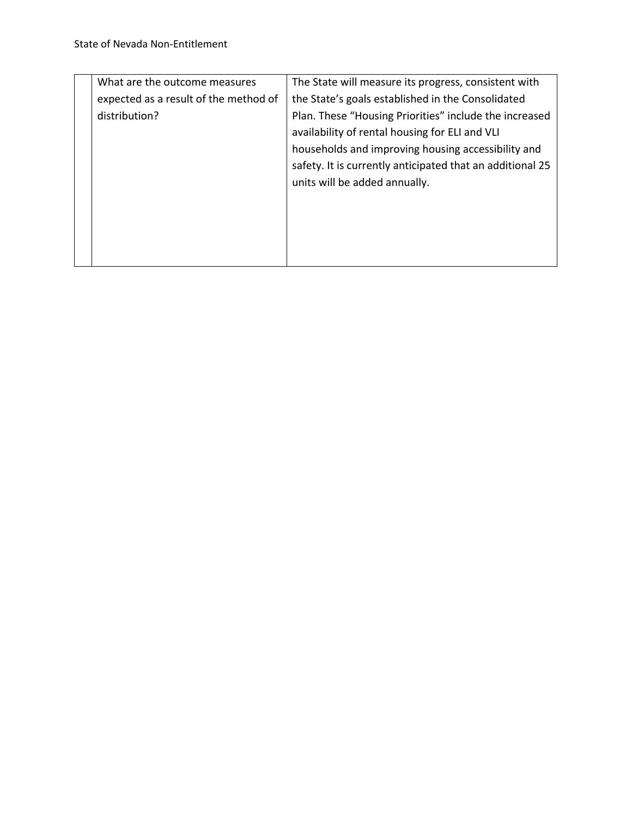| What are the outcome measures         | The State will measure its progress, consistent with      |
|---------------------------------------|-----------------------------------------------------------|
| expected as a result of the method of | the State's goals established in the Consolidated         |
| distribution?                         | Plan. These "Housing Priorities" include the increased    |
|                                       | availability of rental housing for ELI and VLI            |
|                                       | households and improving housing accessibility and        |
|                                       | safety. It is currently anticipated that an additional 25 |
|                                       | units will be added annually.                             |
|                                       |                                                           |
|                                       |                                                           |
|                                       |                                                           |
|                                       |                                                           |
|                                       |                                                           |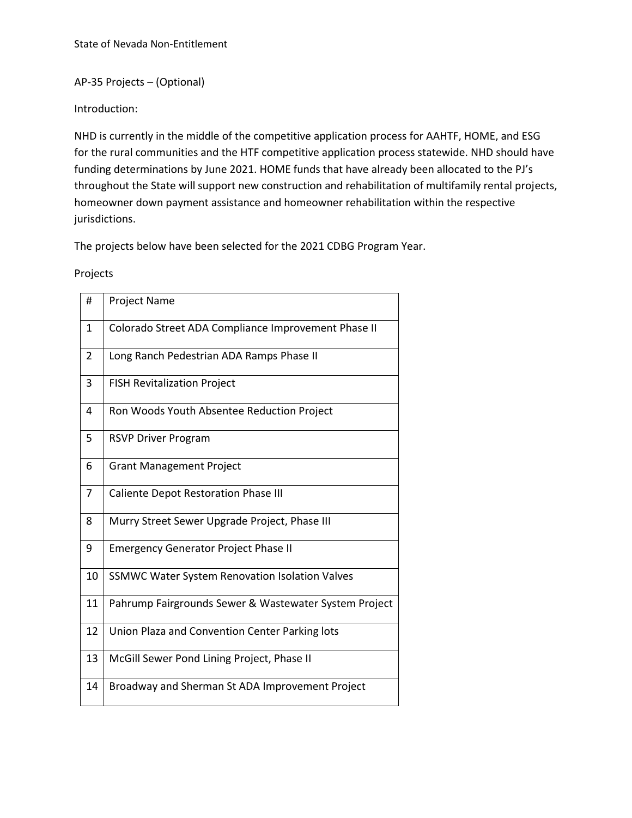# AP-35 Projects – (Optional)

Introduction:

NHD is currently in the middle of the competitive application process for AAHTF, HOME, and ESG for the rural communities and the HTF competitive application process statewide. NHD should have funding determinations by June 2021. HOME funds that have already been allocated to the PJ's throughout the State will support new construction and rehabilitation of multifamily rental projects, homeowner down payment assistance and homeowner rehabilitation within the respective jurisdictions.

The projects below have been selected for the 2021 CDBG Program Year.

#### Projects

| #              | <b>Project Name</b>                                   |
|----------------|-------------------------------------------------------|
| 1              | Colorado Street ADA Compliance Improvement Phase II   |
| $\overline{2}$ | Long Ranch Pedestrian ADA Ramps Phase II              |
| 3              | <b>FISH Revitalization Project</b>                    |
| 4              | Ron Woods Youth Absentee Reduction Project            |
| 5              | <b>RSVP Driver Program</b>                            |
| 6              | <b>Grant Management Project</b>                       |
| 7              | <b>Caliente Depot Restoration Phase III</b>           |
| 8              | Murry Street Sewer Upgrade Project, Phase III         |
| 9              | <b>Emergency Generator Project Phase II</b>           |
| 10             | <b>SSMWC Water System Renovation Isolation Valves</b> |
| 11             | Pahrump Fairgrounds Sewer & Wastewater System Project |
| 12             | Union Plaza and Convention Center Parking lots        |
| 13             | McGill Sewer Pond Lining Project, Phase II            |
| 14             | Broadway and Sherman St ADA Improvement Project       |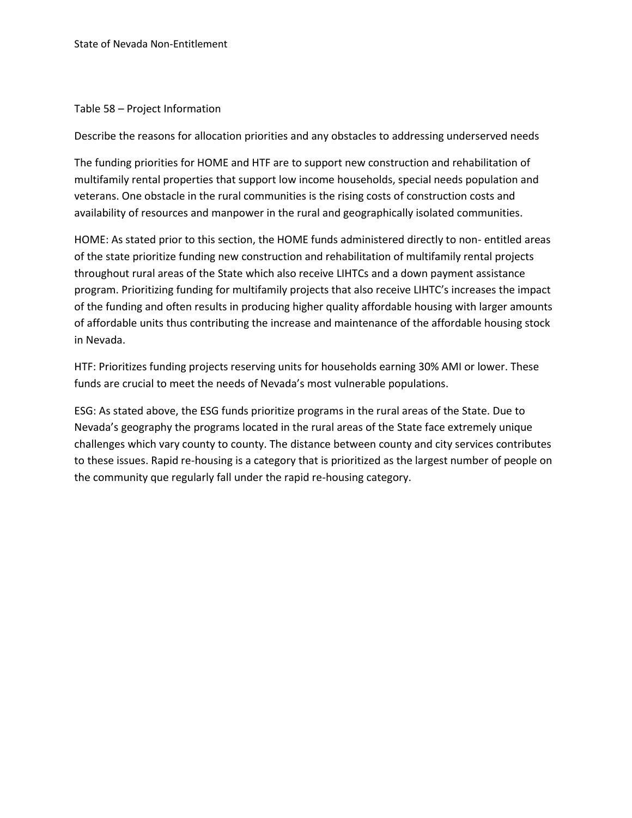#### Table 58 – Project Information

Describe the reasons for allocation priorities and any obstacles to addressing underserved needs

The funding priorities for HOME and HTF are to support new construction and rehabilitation of multifamily rental properties that support low income households, special needs population and veterans. One obstacle in the rural communities is the rising costs of construction costs and availability of resources and manpower in the rural and geographically isolated communities.

HOME: As stated prior to this section, the HOME funds administered directly to non- entitled areas of the state prioritize funding new construction and rehabilitation of multifamily rental projects throughout rural areas of the State which also receive LIHTCs and a down payment assistance program. Prioritizing funding for multifamily projects that also receive LIHTC's increases the impact of the funding and often results in producing higher quality affordable housing with larger amounts of affordable units thus contributing the increase and maintenance of the affordable housing stock in Nevada.

HTF: Prioritizes funding projects reserving units for households earning 30% AMI or lower. These funds are crucial to meet the needs of Nevada's most vulnerable populations.

ESG: As stated above, the ESG funds prioritize programs in the rural areas of the State. Due to Nevada's geography the programs located in the rural areas of the State face extremely unique challenges which vary county to county. The distance between county and city services contributes to these issues. Rapid re-housing is a category that is prioritized as the largest number of people on the community que regularly fall under the rapid re-housing category.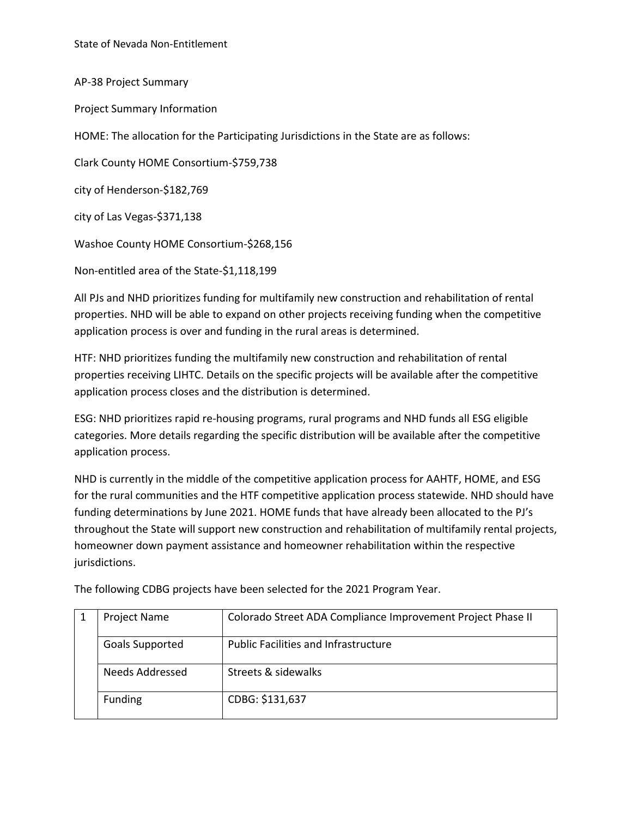AP-38 Project Summary Project Summary Information HOME: The allocation for the Participating Jurisdictions in the State are as follows: Clark County HOME Consortium-\$759,738 city of Henderson-\$182,769 city of Las Vegas-\$371,138 Washoe County HOME Consortium-\$268,156 Non-entitled area of the State-\$1,118,199

All PJs and NHD prioritizes funding for multifamily new construction and rehabilitation of rental properties. NHD will be able to expand on other projects receiving funding when the competitive application process is over and funding in the rural areas is determined.

HTF: NHD prioritizes funding the multifamily new construction and rehabilitation of rental properties receiving LIHTC. Details on the specific projects will be available after the competitive application process closes and the distribution is determined.

ESG: NHD prioritizes rapid re-housing programs, rural programs and NHD funds all ESG eligible categories. More details regarding the specific distribution will be available after the competitive application process.

NHD is currently in the middle of the competitive application process for AAHTF, HOME, and ESG for the rural communities and the HTF competitive application process statewide. NHD should have funding determinations by June 2021. HOME funds that have already been allocated to the PJ's throughout the State will support new construction and rehabilitation of multifamily rental projects, homeowner down payment assistance and homeowner rehabilitation within the respective jurisdictions.

| <b>Project Name</b>    | Colorado Street ADA Compliance Improvement Project Phase II |
|------------------------|-------------------------------------------------------------|
| <b>Goals Supported</b> | <b>Public Facilities and Infrastructure</b>                 |
| Needs Addressed        | Streets & sidewalks                                         |
| Funding                | CDBG: \$131,637                                             |

The following CDBG projects have been selected for the 2021 Program Year.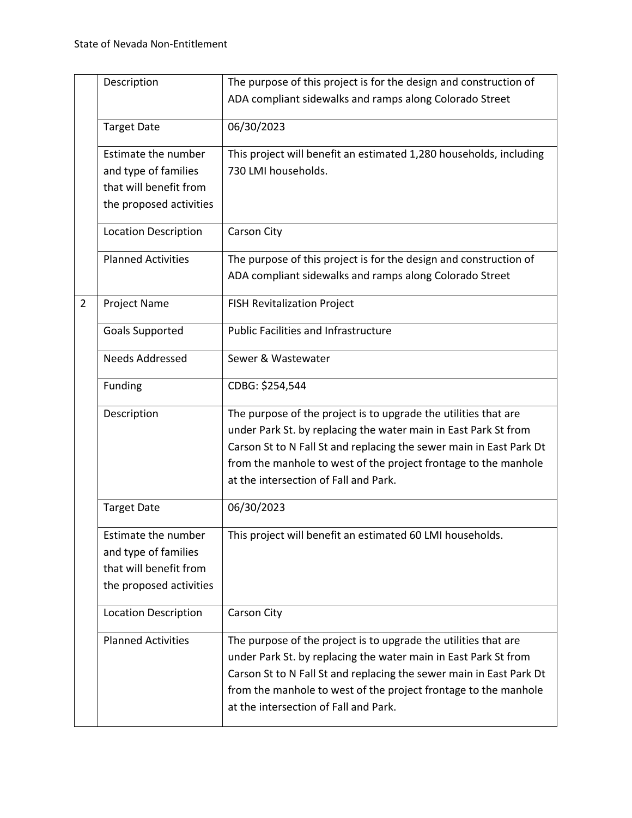|                | Description                 | The purpose of this project is for the design and construction of   |
|----------------|-----------------------------|---------------------------------------------------------------------|
|                |                             | ADA compliant sidewalks and ramps along Colorado Street             |
|                |                             |                                                                     |
|                | <b>Target Date</b>          | 06/30/2023                                                          |
|                | Estimate the number         | This project will benefit an estimated 1,280 households, including  |
|                | and type of families        | 730 LMI households.                                                 |
|                | that will benefit from      |                                                                     |
|                | the proposed activities     |                                                                     |
|                |                             |                                                                     |
|                | <b>Location Description</b> | Carson City                                                         |
|                |                             |                                                                     |
|                | <b>Planned Activities</b>   | The purpose of this project is for the design and construction of   |
|                |                             | ADA compliant sidewalks and ramps along Colorado Street             |
|                |                             |                                                                     |
| $\overline{2}$ | Project Name                | <b>FISH Revitalization Project</b>                                  |
|                | <b>Goals Supported</b>      | <b>Public Facilities and Infrastructure</b>                         |
|                |                             |                                                                     |
|                | <b>Needs Addressed</b>      | Sewer & Wastewater                                                  |
|                | Funding                     | CDBG: \$254,544                                                     |
|                | Description                 | The purpose of the project is to upgrade the utilities that are     |
|                |                             | under Park St. by replacing the water main in East Park St from     |
|                |                             | Carson St to N Fall St and replacing the sewer main in East Park Dt |
|                |                             |                                                                     |
|                |                             | from the manhole to west of the project frontage to the manhole     |
|                |                             | at the intersection of Fall and Park.                               |
|                | <b>Target Date</b>          | 06/30/2023                                                          |
|                |                             |                                                                     |
|                | Estimate the number         | This project will benefit an estimated 60 LMI households.           |
|                | and type of families        |                                                                     |
|                | that will benefit from      |                                                                     |
|                |                             |                                                                     |
|                | the proposed activities     |                                                                     |
|                | <b>Location Description</b> | Carson City                                                         |
|                |                             |                                                                     |
|                | <b>Planned Activities</b>   | The purpose of the project is to upgrade the utilities that are     |
|                |                             | under Park St. by replacing the water main in East Park St from     |
|                |                             | Carson St to N Fall St and replacing the sewer main in East Park Dt |
|                |                             | from the manhole to west of the project frontage to the manhole     |
|                |                             | at the intersection of Fall and Park.                               |
|                |                             |                                                                     |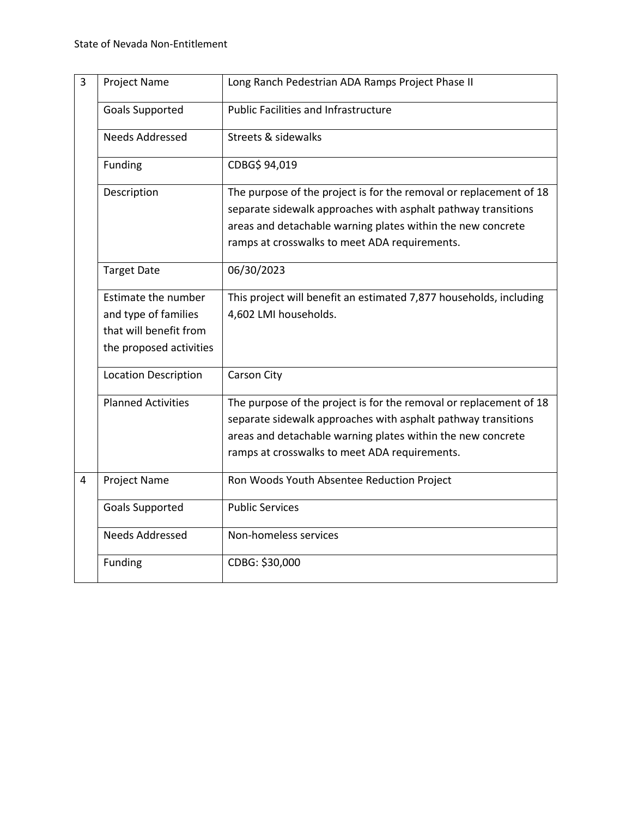| 3 | Project Name                                                                                     | Long Ranch Pedestrian ADA Ramps Project Phase II                                                                                                                                                                                                    |
|---|--------------------------------------------------------------------------------------------------|-----------------------------------------------------------------------------------------------------------------------------------------------------------------------------------------------------------------------------------------------------|
|   | <b>Goals Supported</b>                                                                           | <b>Public Facilities and Infrastructure</b>                                                                                                                                                                                                         |
|   | <b>Needs Addressed</b>                                                                           | <b>Streets &amp; sidewalks</b>                                                                                                                                                                                                                      |
|   | Funding                                                                                          | CDBG\$ 94,019                                                                                                                                                                                                                                       |
|   | Description                                                                                      | The purpose of the project is for the removal or replacement of 18<br>separate sidewalk approaches with asphalt pathway transitions<br>areas and detachable warning plates within the new concrete<br>ramps at crosswalks to meet ADA requirements. |
|   | <b>Target Date</b>                                                                               | 06/30/2023                                                                                                                                                                                                                                          |
|   | Estimate the number<br>and type of families<br>that will benefit from<br>the proposed activities | This project will benefit an estimated 7,877 households, including<br>4,602 LMI households.                                                                                                                                                         |
|   | <b>Location Description</b>                                                                      | Carson City                                                                                                                                                                                                                                         |
|   | <b>Planned Activities</b>                                                                        | The purpose of the project is for the removal or replacement of 18<br>separate sidewalk approaches with asphalt pathway transitions<br>areas and detachable warning plates within the new concrete<br>ramps at crosswalks to meet ADA requirements. |
| 4 | Project Name                                                                                     | Ron Woods Youth Absentee Reduction Project                                                                                                                                                                                                          |
|   | <b>Goals Supported</b>                                                                           | <b>Public Services</b>                                                                                                                                                                                                                              |
|   | <b>Needs Addressed</b>                                                                           | Non-homeless services                                                                                                                                                                                                                               |
|   | Funding                                                                                          | CDBG: \$30,000                                                                                                                                                                                                                                      |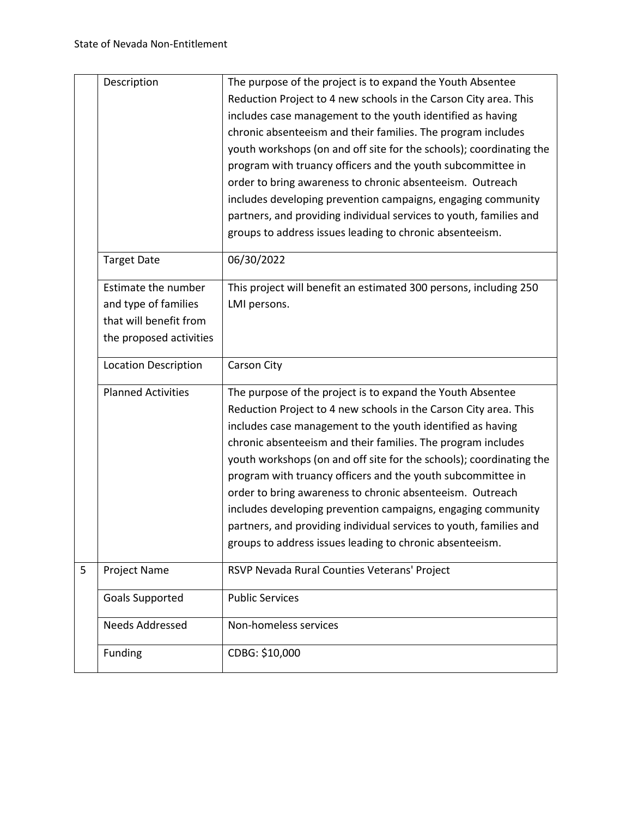|                | Description                                                                                      | The purpose of the project is to expand the Youth Absentee<br>Reduction Project to 4 new schools in the Carson City area. This<br>includes case management to the youth identified as having<br>chronic absenteeism and their families. The program includes<br>youth workshops (on and off site for the schools); coordinating the<br>program with truancy officers and the youth subcommittee in<br>order to bring awareness to chronic absenteeism. Outreach<br>includes developing prevention campaigns, engaging community<br>partners, and providing individual services to youth, families and<br>groups to address issues leading to chronic absenteeism. |
|----------------|--------------------------------------------------------------------------------------------------|-------------------------------------------------------------------------------------------------------------------------------------------------------------------------------------------------------------------------------------------------------------------------------------------------------------------------------------------------------------------------------------------------------------------------------------------------------------------------------------------------------------------------------------------------------------------------------------------------------------------------------------------------------------------|
|                | <b>Target Date</b>                                                                               | 06/30/2022                                                                                                                                                                                                                                                                                                                                                                                                                                                                                                                                                                                                                                                        |
|                | Estimate the number<br>and type of families<br>that will benefit from<br>the proposed activities | This project will benefit an estimated 300 persons, including 250<br>LMI persons.                                                                                                                                                                                                                                                                                                                                                                                                                                                                                                                                                                                 |
|                | <b>Location Description</b>                                                                      | Carson City                                                                                                                                                                                                                                                                                                                                                                                                                                                                                                                                                                                                                                                       |
|                | <b>Planned Activities</b>                                                                        | The purpose of the project is to expand the Youth Absentee<br>Reduction Project to 4 new schools in the Carson City area. This<br>includes case management to the youth identified as having<br>chronic absenteeism and their families. The program includes<br>youth workshops (on and off site for the schools); coordinating the<br>program with truancy officers and the youth subcommittee in<br>order to bring awareness to chronic absenteeism. Outreach<br>includes developing prevention campaigns, engaging community<br>partners, and providing individual services to youth, families and<br>groups to address issues leading to chronic absenteeism. |
| $\overline{5}$ | <b>Project Name</b>                                                                              | RSVP Nevada Rural Counties Veterans' Project                                                                                                                                                                                                                                                                                                                                                                                                                                                                                                                                                                                                                      |
|                | Goals Supported                                                                                  | <b>Public Services</b>                                                                                                                                                                                                                                                                                                                                                                                                                                                                                                                                                                                                                                            |
|                | <b>Needs Addressed</b>                                                                           | Non-homeless services                                                                                                                                                                                                                                                                                                                                                                                                                                                                                                                                                                                                                                             |
|                | Funding                                                                                          | CDBG: \$10,000                                                                                                                                                                                                                                                                                                                                                                                                                                                                                                                                                                                                                                                    |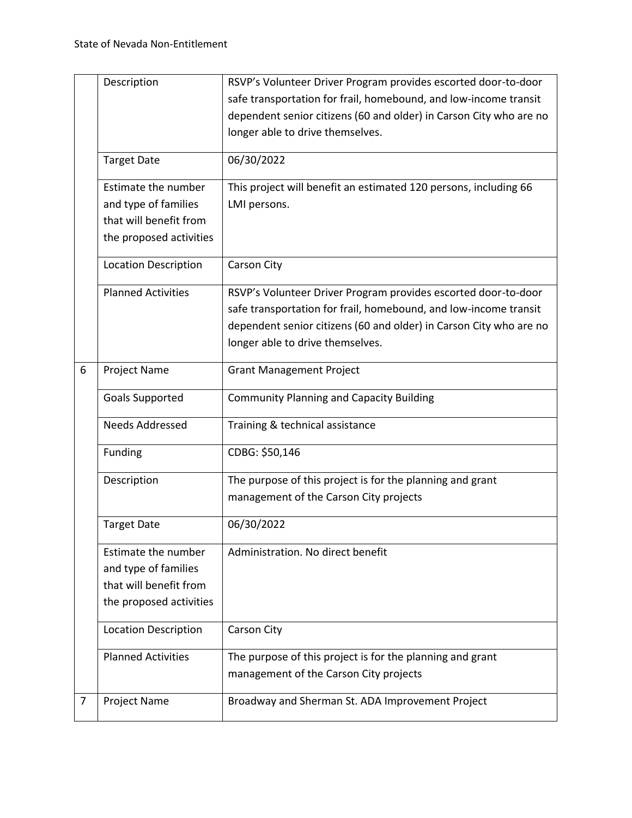|   | Description                 | RSVP's Volunteer Driver Program provides escorted door-to-door     |
|---|-----------------------------|--------------------------------------------------------------------|
|   |                             | safe transportation for frail, homebound, and low-income transit   |
|   |                             | dependent senior citizens (60 and older) in Carson City who are no |
|   |                             | longer able to drive themselves.                                   |
|   |                             |                                                                    |
|   | <b>Target Date</b>          | 06/30/2022                                                         |
|   | Estimate the number         | This project will benefit an estimated 120 persons, including 66   |
|   | and type of families        | LMI persons.                                                       |
|   | that will benefit from      |                                                                    |
|   | the proposed activities     |                                                                    |
|   | <b>Location Description</b> | Carson City                                                        |
|   | <b>Planned Activities</b>   | RSVP's Volunteer Driver Program provides escorted door-to-door     |
|   |                             | safe transportation for frail, homebound, and low-income transit   |
|   |                             | dependent senior citizens (60 and older) in Carson City who are no |
|   |                             | longer able to drive themselves.                                   |
| 6 | Project Name                | <b>Grant Management Project</b>                                    |
|   | Goals Supported             | <b>Community Planning and Capacity Building</b>                    |
|   | <b>Needs Addressed</b>      | Training & technical assistance                                    |
|   | Funding                     | CDBG: \$50,146                                                     |
|   | Description                 | The purpose of this project is for the planning and grant          |
|   |                             | management of the Carson City projects                             |
|   | <b>Target Date</b>          | 06/30/2022                                                         |
|   | Estimate the number         | Administration. No direct benefit                                  |
|   | and type of families        |                                                                    |
|   | that will benefit from      |                                                                    |
|   | the proposed activities     |                                                                    |
|   | <b>Location Description</b> | Carson City                                                        |
|   |                             |                                                                    |
|   | <b>Planned Activities</b>   | The purpose of this project is for the planning and grant          |
|   |                             | management of the Carson City projects                             |
| 7 | <b>Project Name</b>         | Broadway and Sherman St. ADA Improvement Project                   |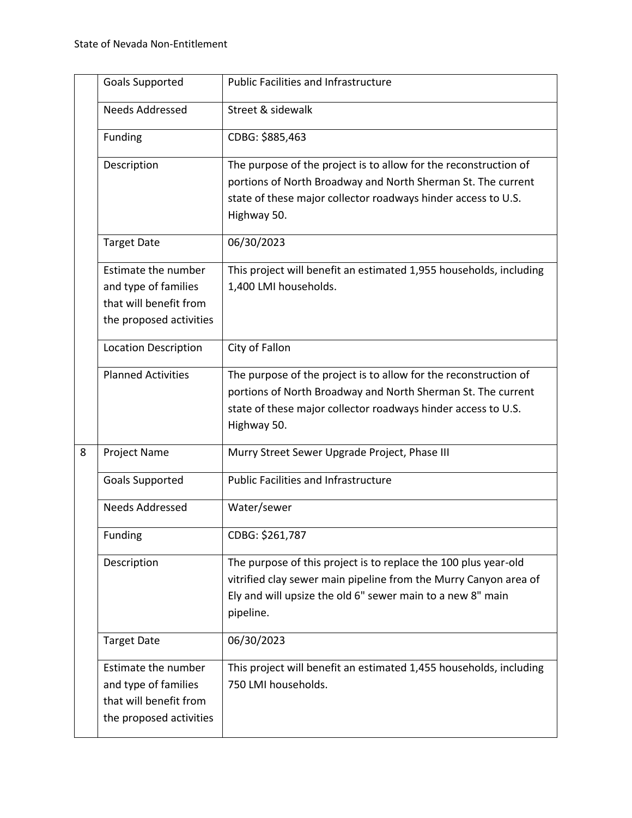|   | <b>Goals Supported</b>                                                                           | <b>Public Facilities and Infrastructure</b>                                                                                                                                                                      |
|---|--------------------------------------------------------------------------------------------------|------------------------------------------------------------------------------------------------------------------------------------------------------------------------------------------------------------------|
|   | <b>Needs Addressed</b>                                                                           | Street & sidewalk                                                                                                                                                                                                |
|   | Funding                                                                                          | CDBG: \$885,463                                                                                                                                                                                                  |
|   | Description                                                                                      | The purpose of the project is to allow for the reconstruction of<br>portions of North Broadway and North Sherman St. The current<br>state of these major collector roadways hinder access to U.S.<br>Highway 50. |
|   | <b>Target Date</b>                                                                               | 06/30/2023                                                                                                                                                                                                       |
|   | Estimate the number<br>and type of families<br>that will benefit from<br>the proposed activities | This project will benefit an estimated 1,955 households, including<br>1,400 LMI households.                                                                                                                      |
|   | <b>Location Description</b>                                                                      | City of Fallon                                                                                                                                                                                                   |
|   | <b>Planned Activities</b>                                                                        | The purpose of the project is to allow for the reconstruction of<br>portions of North Broadway and North Sherman St. The current<br>state of these major collector roadways hinder access to U.S.<br>Highway 50. |
| 8 | <b>Project Name</b>                                                                              | Murry Street Sewer Upgrade Project, Phase III                                                                                                                                                                    |
|   | Goals Supported                                                                                  | <b>Public Facilities and Infrastructure</b>                                                                                                                                                                      |
|   | <b>Needs Addressed</b>                                                                           | Water/sewer                                                                                                                                                                                                      |
|   | Funding                                                                                          | CDBG: \$261,787                                                                                                                                                                                                  |
|   | Description                                                                                      | The purpose of this project is to replace the 100 plus year-old<br>vitrified clay sewer main pipeline from the Murry Canyon area of<br>Ely and will upsize the old 6" sewer main to a new 8" main<br>pipeline.   |
|   | <b>Target Date</b>                                                                               | 06/30/2023                                                                                                                                                                                                       |
|   | Estimate the number<br>and type of families<br>that will benefit from<br>the proposed activities | This project will benefit an estimated 1,455 households, including<br>750 LMI households.                                                                                                                        |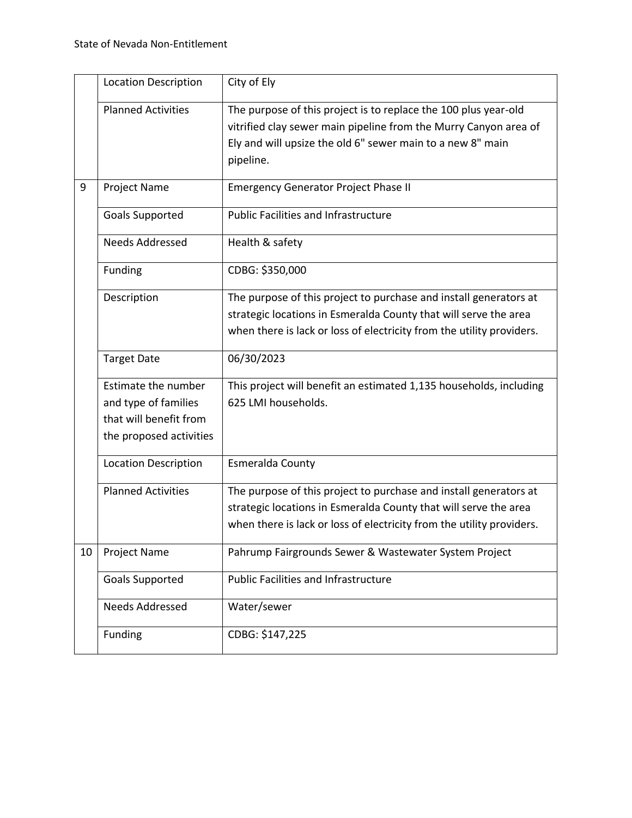|    | <b>Location Description</b>                                                                      | City of Ely                                                                                                                                                                                                    |
|----|--------------------------------------------------------------------------------------------------|----------------------------------------------------------------------------------------------------------------------------------------------------------------------------------------------------------------|
|    | <b>Planned Activities</b>                                                                        | The purpose of this project is to replace the 100 plus year-old<br>vitrified clay sewer main pipeline from the Murry Canyon area of<br>Ely and will upsize the old 6" sewer main to a new 8" main<br>pipeline. |
| 9  | <b>Project Name</b>                                                                              | <b>Emergency Generator Project Phase II</b>                                                                                                                                                                    |
|    | <b>Goals Supported</b>                                                                           | <b>Public Facilities and Infrastructure</b>                                                                                                                                                                    |
|    | <b>Needs Addressed</b>                                                                           | Health & safety                                                                                                                                                                                                |
|    | Funding                                                                                          | CDBG: \$350,000                                                                                                                                                                                                |
|    | Description                                                                                      | The purpose of this project to purchase and install generators at<br>strategic locations in Esmeralda County that will serve the area<br>when there is lack or loss of electricity from the utility providers. |
|    | <b>Target Date</b>                                                                               | 06/30/2023                                                                                                                                                                                                     |
|    | Estimate the number<br>and type of families<br>that will benefit from<br>the proposed activities | This project will benefit an estimated 1,135 households, including<br>625 LMI households.                                                                                                                      |
|    | <b>Location Description</b>                                                                      | Esmeralda County                                                                                                                                                                                               |
|    | <b>Planned Activities</b>                                                                        | The purpose of this project to purchase and install generators at<br>strategic locations in Esmeralda County that will serve the area<br>when there is lack or loss of electricity from the utility providers. |
| 10 | Project Name                                                                                     | Pahrump Fairgrounds Sewer & Wastewater System Project                                                                                                                                                          |
|    | <b>Goals Supported</b>                                                                           | <b>Public Facilities and Infrastructure</b>                                                                                                                                                                    |
|    | <b>Needs Addressed</b>                                                                           | Water/sewer                                                                                                                                                                                                    |
|    | Funding                                                                                          | CDBG: \$147,225                                                                                                                                                                                                |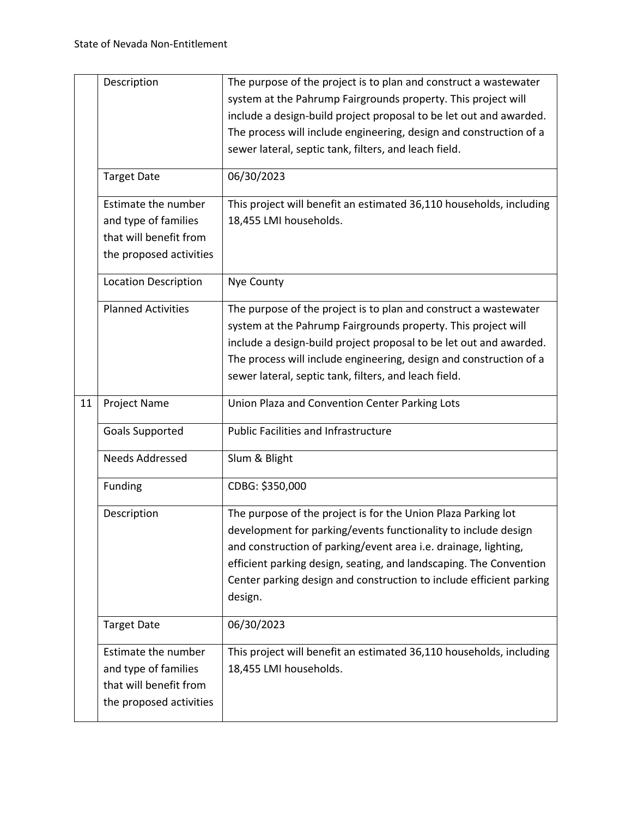|    | Description                                       | The purpose of the project is to plan and construct a wastewater<br>system at the Pahrump Fairgrounds property. This project will<br>include a design-build project proposal to be let out and awarded.<br>The process will include engineering, design and construction of a<br>sewer lateral, septic tank, filters, and leach field.                     |
|----|---------------------------------------------------|------------------------------------------------------------------------------------------------------------------------------------------------------------------------------------------------------------------------------------------------------------------------------------------------------------------------------------------------------------|
|    | <b>Target Date</b>                                | 06/30/2023                                                                                                                                                                                                                                                                                                                                                 |
|    | Estimate the number                               | This project will benefit an estimated 36,110 households, including                                                                                                                                                                                                                                                                                        |
|    | and type of families                              | 18,455 LMI households.                                                                                                                                                                                                                                                                                                                                     |
|    | that will benefit from                            |                                                                                                                                                                                                                                                                                                                                                            |
|    | the proposed activities                           |                                                                                                                                                                                                                                                                                                                                                            |
|    | <b>Location Description</b>                       | Nye County                                                                                                                                                                                                                                                                                                                                                 |
|    | <b>Planned Activities</b>                         | The purpose of the project is to plan and construct a wastewater                                                                                                                                                                                                                                                                                           |
|    |                                                   | system at the Pahrump Fairgrounds property. This project will                                                                                                                                                                                                                                                                                              |
|    |                                                   | include a design-build project proposal to be let out and awarded.                                                                                                                                                                                                                                                                                         |
|    |                                                   | The process will include engineering, design and construction of a<br>sewer lateral, septic tank, filters, and leach field.                                                                                                                                                                                                                                |
|    |                                                   |                                                                                                                                                                                                                                                                                                                                                            |
| 11 | <b>Project Name</b>                               | Union Plaza and Convention Center Parking Lots                                                                                                                                                                                                                                                                                                             |
|    |                                                   |                                                                                                                                                                                                                                                                                                                                                            |
|    | <b>Goals Supported</b>                            | <b>Public Facilities and Infrastructure</b>                                                                                                                                                                                                                                                                                                                |
|    | <b>Needs Addressed</b>                            | Slum & Blight                                                                                                                                                                                                                                                                                                                                              |
|    | Funding                                           | CDBG: \$350,000                                                                                                                                                                                                                                                                                                                                            |
|    | Description                                       | The purpose of the project is for the Union Plaza Parking lot<br>development for parking/events functionality to include design<br>and construction of parking/event area i.e. drainage, lighting,<br>efficient parking design, seating, and landscaping. The Convention<br>Center parking design and construction to include efficient parking<br>design. |
|    | <b>Target Date</b>                                | 06/30/2023                                                                                                                                                                                                                                                                                                                                                 |
|    | Estimate the number                               | This project will benefit an estimated 36,110 households, including                                                                                                                                                                                                                                                                                        |
|    | and type of families                              | 18,455 LMI households.                                                                                                                                                                                                                                                                                                                                     |
|    | that will benefit from<br>the proposed activities |                                                                                                                                                                                                                                                                                                                                                            |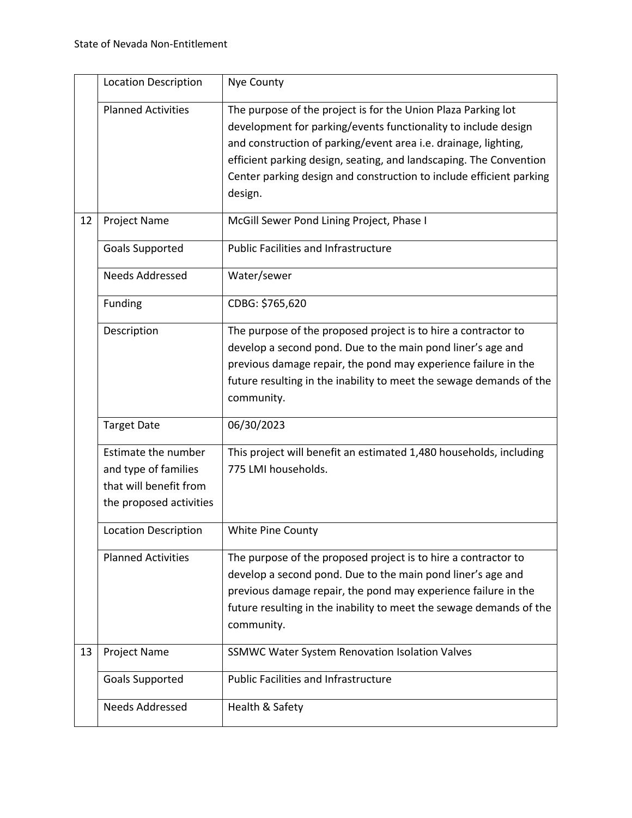|    | <b>Location Description</b> | Nye County                                                          |
|----|-----------------------------|---------------------------------------------------------------------|
|    | <b>Planned Activities</b>   | The purpose of the project is for the Union Plaza Parking lot       |
|    |                             | development for parking/events functionality to include design      |
|    |                             | and construction of parking/event area i.e. drainage, lighting,     |
|    |                             | efficient parking design, seating, and landscaping. The Convention  |
|    |                             | Center parking design and construction to include efficient parking |
|    |                             | design.                                                             |
| 12 | <b>Project Name</b>         | McGill Sewer Pond Lining Project, Phase I                           |
|    | <b>Goals Supported</b>      | <b>Public Facilities and Infrastructure</b>                         |
|    | <b>Needs Addressed</b>      | Water/sewer                                                         |
|    | Funding                     | CDBG: \$765,620                                                     |
|    | Description                 | The purpose of the proposed project is to hire a contractor to      |
|    |                             | develop a second pond. Due to the main pond liner's age and         |
|    |                             | previous damage repair, the pond may experience failure in the      |
|    |                             | future resulting in the inability to meet the sewage demands of the |
|    |                             | community.                                                          |
|    | <b>Target Date</b>          | 06/30/2023                                                          |
|    | Estimate the number         | This project will benefit an estimated 1,480 households, including  |
|    | and type of families        | 775 LMI households.                                                 |
|    | that will benefit from      |                                                                     |
|    | the proposed activities     |                                                                     |
|    | <b>Location Description</b> | <b>White Pine County</b>                                            |
|    | <b>Planned Activities</b>   | The purpose of the proposed project is to hire a contractor to      |
|    |                             | develop a second pond. Due to the main pond liner's age and         |
|    |                             | previous damage repair, the pond may experience failure in the      |
|    |                             | future resulting in the inability to meet the sewage demands of the |
|    |                             | community.                                                          |
| 13 | <b>Project Name</b>         | <b>SSMWC Water System Renovation Isolation Valves</b>               |
|    | Goals Supported             | <b>Public Facilities and Infrastructure</b>                         |
|    | <b>Needs Addressed</b>      | Health & Safety                                                     |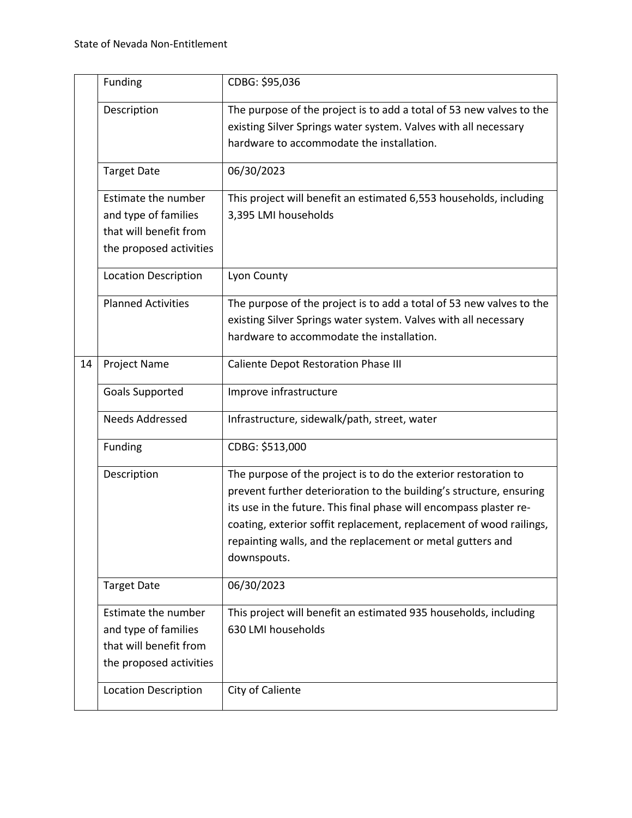|    | Funding                                                                                          | CDBG: \$95,036                                                                                                                                                                                                                                                                                                                                                   |
|----|--------------------------------------------------------------------------------------------------|------------------------------------------------------------------------------------------------------------------------------------------------------------------------------------------------------------------------------------------------------------------------------------------------------------------------------------------------------------------|
|    | Description                                                                                      | The purpose of the project is to add a total of 53 new valves to the<br>existing Silver Springs water system. Valves with all necessary<br>hardware to accommodate the installation.                                                                                                                                                                             |
|    | <b>Target Date</b>                                                                               | 06/30/2023                                                                                                                                                                                                                                                                                                                                                       |
|    | Estimate the number<br>and type of families<br>that will benefit from<br>the proposed activities | This project will benefit an estimated 6,553 households, including<br>3,395 LMI households                                                                                                                                                                                                                                                                       |
|    | <b>Location Description</b>                                                                      | Lyon County                                                                                                                                                                                                                                                                                                                                                      |
|    | <b>Planned Activities</b>                                                                        | The purpose of the project is to add a total of 53 new valves to the<br>existing Silver Springs water system. Valves with all necessary<br>hardware to accommodate the installation.                                                                                                                                                                             |
| 14 | Project Name                                                                                     | <b>Caliente Depot Restoration Phase III</b>                                                                                                                                                                                                                                                                                                                      |
|    | <b>Goals Supported</b>                                                                           | Improve infrastructure                                                                                                                                                                                                                                                                                                                                           |
|    | <b>Needs Addressed</b>                                                                           | Infrastructure, sidewalk/path, street, water                                                                                                                                                                                                                                                                                                                     |
|    | Funding                                                                                          | CDBG: \$513,000                                                                                                                                                                                                                                                                                                                                                  |
|    | Description                                                                                      | The purpose of the project is to do the exterior restoration to<br>prevent further deterioration to the building's structure, ensuring<br>its use in the future. This final phase will encompass plaster re-<br>coating, exterior soffit replacement, replacement of wood railings,<br>repainting walls, and the replacement or metal gutters and<br>downspouts. |
|    | <b>Target Date</b>                                                                               | 06/30/2023                                                                                                                                                                                                                                                                                                                                                       |
|    | Estimate the number<br>and type of families<br>that will benefit from<br>the proposed activities | This project will benefit an estimated 935 households, including<br>630 LMI households                                                                                                                                                                                                                                                                           |
|    | <b>Location Description</b>                                                                      | City of Caliente                                                                                                                                                                                                                                                                                                                                                 |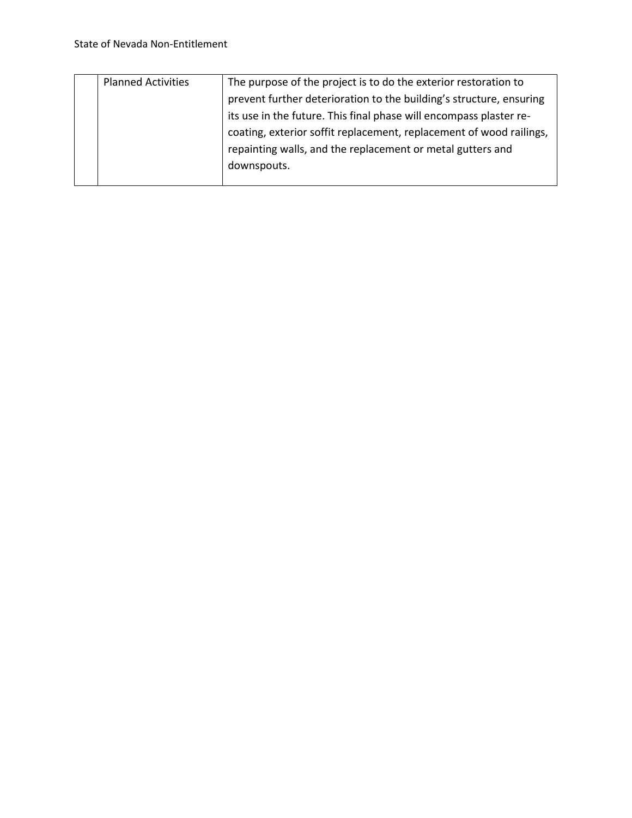| <b>Planned Activities</b> | The purpose of the project is to do the exterior restoration to     |
|---------------------------|---------------------------------------------------------------------|
|                           | prevent further deterioration to the building's structure, ensuring |
|                           | its use in the future. This final phase will encompass plaster re-  |
|                           | coating, exterior soffit replacement, replacement of wood railings, |
|                           | repainting walls, and the replacement or metal gutters and          |
|                           | downspouts.                                                         |
|                           |                                                                     |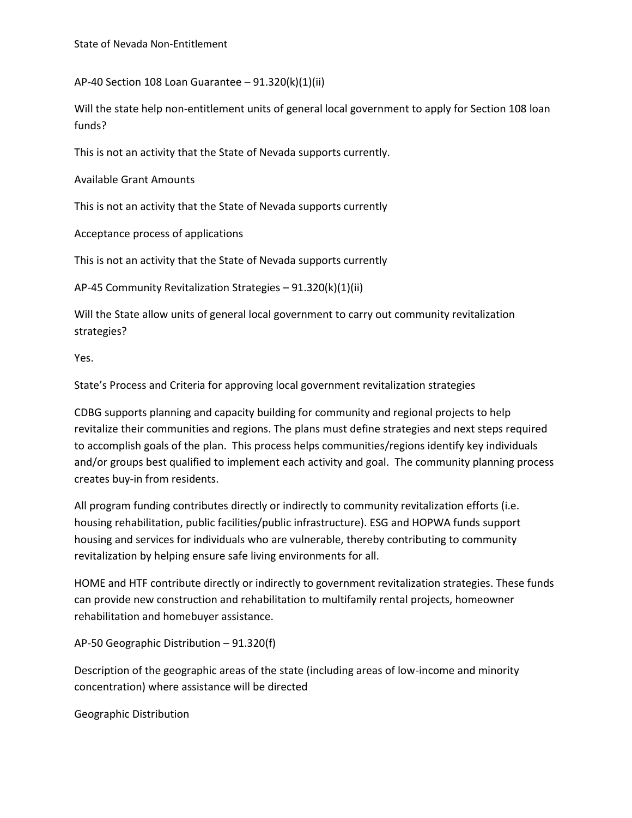AP-40 Section 108 Loan Guarantee – 91.320(k)(1)(ii)

Will the state help non-entitlement units of general local government to apply for Section 108 loan funds?

This is not an activity that the State of Nevada supports currently.

Available Grant Amounts

This is not an activity that the State of Nevada supports currently

Acceptance process of applications

This is not an activity that the State of Nevada supports currently

AP-45 Community Revitalization Strategies – 91.320(k)(1)(ii)

Will the State allow units of general local government to carry out community revitalization strategies?

Yes.

State's Process and Criteria for approving local government revitalization strategies

CDBG supports planning and capacity building for community and regional projects to help revitalize their communities and regions. The plans must define strategies and next steps required to accomplish goals of the plan. This process helps communities/regions identify key individuals and/or groups best qualified to implement each activity and goal. The community planning process creates buy-in from residents.

All program funding contributes directly or indirectly to community revitalization efforts (i.e. housing rehabilitation, public facilities/public infrastructure). ESG and HOPWA funds support housing and services for individuals who are vulnerable, thereby contributing to community revitalization by helping ensure safe living environments for all.

HOME and HTF contribute directly or indirectly to government revitalization strategies. These funds can provide new construction and rehabilitation to multifamily rental projects, homeowner rehabilitation and homebuyer assistance.

AP-50 Geographic Distribution – 91.320(f)

Description of the geographic areas of the state (including areas of low-income and minority concentration) where assistance will be directed

Geographic Distribution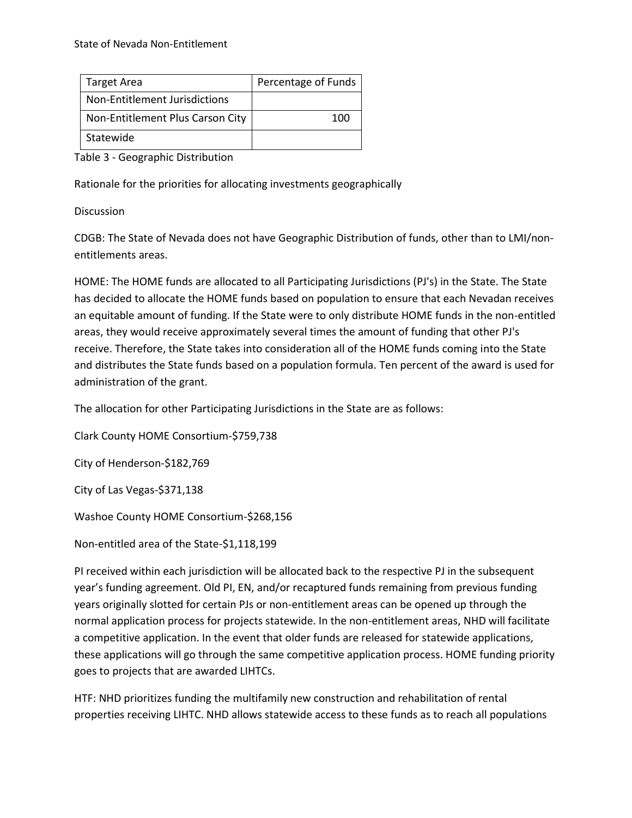| <b>Target Area</b>               | Percentage of Funds |
|----------------------------------|---------------------|
| Non-Entitlement Jurisdictions    |                     |
| Non-Entitlement Plus Carson City | 100                 |
| Statewide                        |                     |

Table 3 - Geographic Distribution

Rationale for the priorities for allocating investments geographically

Discussion

CDGB: The State of Nevada does not have Geographic Distribution of funds, other than to LMI/nonentitlements areas.

HOME: The HOME funds are allocated to all Participating Jurisdictions (PJ's) in the State. The State has decided to allocate the HOME funds based on population to ensure that each Nevadan receives an equitable amount of funding. If the State were to only distribute HOME funds in the non-entitled areas, they would receive approximately several times the amount of funding that other PJ's receive. Therefore, the State takes into consideration all of the HOME funds coming into the State and distributes the State funds based on a population formula. Ten percent of the award is used for administration of the grant.

The allocation for other Participating Jurisdictions in the State are as follows:

Clark County HOME Consortium-\$759,738

City of Henderson-\$182,769

City of Las Vegas-\$371,138

Washoe County HOME Consortium-\$268,156

Non-entitled area of the State-\$1,118,199

PI received within each jurisdiction will be allocated back to the respective PJ in the subsequent year's funding agreement. Old PI, EN, and/or recaptured funds remaining from previous funding years originally slotted for certain PJs or non-entitlement areas can be opened up through the normal application process for projects statewide. In the non-entitlement areas, NHD will facilitate a competitive application. In the event that older funds are released for statewide applications, these applications will go through the same competitive application process. HOME funding priority goes to projects that are awarded LIHTCs.

HTF: NHD prioritizes funding the multifamily new construction and rehabilitation of rental properties receiving LIHTC. NHD allows statewide access to these funds as to reach all populations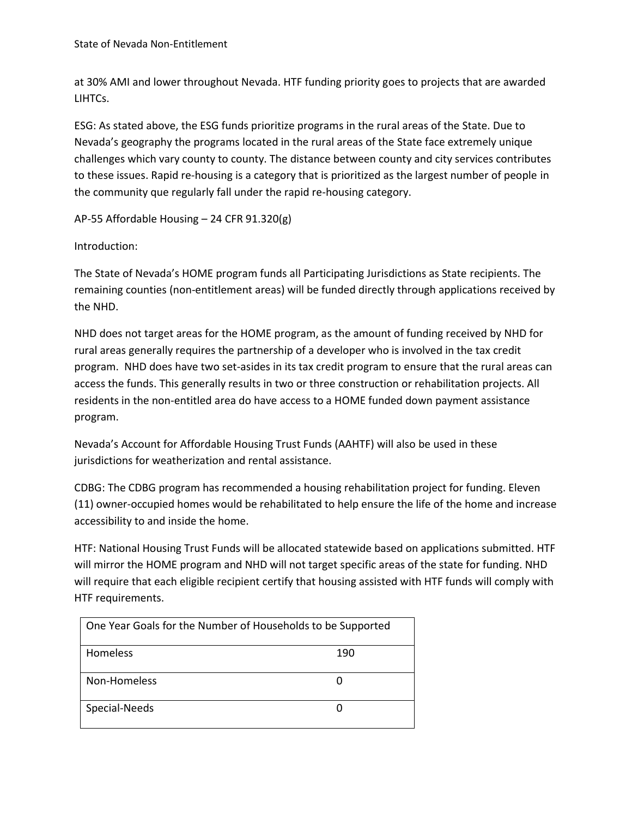State of Nevada Non-Entitlement

at 30% AMI and lower throughout Nevada. HTF funding priority goes to projects that are awarded LIHTCs.

ESG: As stated above, the ESG funds prioritize programs in the rural areas of the State. Due to Nevada's geography the programs located in the rural areas of the State face extremely unique challenges which vary county to county. The distance between county and city services contributes to these issues. Rapid re-housing is a category that is prioritized as the largest number of people in the community que regularly fall under the rapid re-housing category.

AP-55 Affordable Housing – 24 CFR 91.320(g)

Introduction:

The State of Nevada's HOME program funds all Participating Jurisdictions as State recipients. The remaining counties (non-entitlement areas) will be funded directly through applications received by the NHD.

NHD does not target areas for the HOME program, as the amount of funding received by NHD for rural areas generally requires the partnership of a developer who is involved in the tax credit program. NHD does have two set-asides in its tax credit program to ensure that the rural areas can access the funds. This generally results in two or three construction or rehabilitation projects. All residents in the non-entitled area do have access to a HOME funded down payment assistance program.

Nevada's Account for Affordable Housing Trust Funds (AAHTF) will also be used in these jurisdictions for weatherization and rental assistance.

CDBG: The CDBG program has recommended a housing rehabilitation project for funding. Eleven (11) owner-occupied homes would be rehabilitated to help ensure the life of the home and increase accessibility to and inside the home.

HTF: National Housing Trust Funds will be allocated statewide based on applications submitted. HTF will mirror the HOME program and NHD will not target specific areas of the state for funding. NHD will require that each eligible recipient certify that housing assisted with HTF funds will comply with HTF requirements.

| One Year Goals for the Number of Households to be Supported |     |
|-------------------------------------------------------------|-----|
| Homeless                                                    | 190 |
| Non-Homeless                                                |     |
| Special-Needs                                               |     |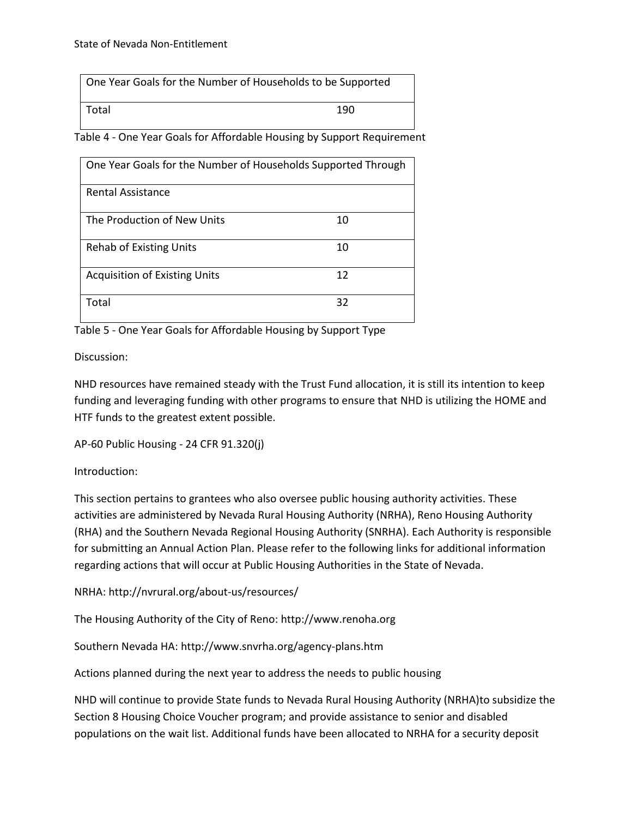| One Year Goals for the Number of Households to be Supported |     |  |
|-------------------------------------------------------------|-----|--|
| Total                                                       | 190 |  |

Table 4 - One Year Goals for Affordable Housing by Support Requirement

| One Year Goals for the Number of Households Supported Through |    |  |
|---------------------------------------------------------------|----|--|
| <b>Rental Assistance</b>                                      |    |  |
| The Production of New Units                                   | 10 |  |
| <b>Rehab of Existing Units</b>                                | 10 |  |
| <b>Acquisition of Existing Units</b>                          | 12 |  |
| Total                                                         | 32 |  |

Table 5 - One Year Goals for Affordable Housing by Support Type

Discussion:

NHD resources have remained steady with the Trust Fund allocation, it is still its intention to keep funding and leveraging funding with other programs to ensure that NHD is utilizing the HOME and HTF funds to the greatest extent possible.

AP-60 Public Housing - 24 CFR 91.320(j)

Introduction:

This section pertains to grantees who also oversee public housing authority activities. These activities are administered by Nevada Rural Housing Authority (NRHA), Reno Housing Authority (RHA) and the Southern Nevada Regional Housing Authority (SNRHA). Each Authority is responsible for submitting an Annual Action Plan. Please refer to the following links for additional information regarding actions that will occur at Public Housing Authorities in the State of Nevada.

NRHA:<http://nvrural.org/about-us/resources/>

The Housing Authority of the City of Reno: [http://www.renoha.org](http://www.renoha.org/)

Southern Nevada HA:<http://www.snvrha.org/agency-plans.htm>

Actions planned during the next year to address the needs to public housing

NHD will continue to provide State funds to Nevada Rural Housing Authority (NRHA)to subsidize the Section 8 Housing Choice Voucher program; and provide assistance to senior and disabled populations on the wait list. Additional funds have been allocated to NRHA for a security deposit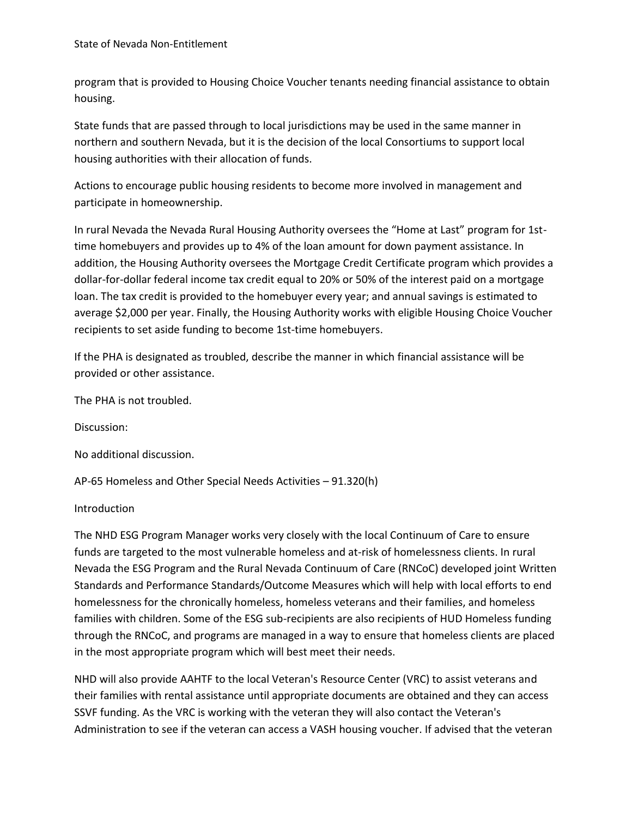program that is provided to Housing Choice Voucher tenants needing financial assistance to obtain housing.

State funds that are passed through to local jurisdictions may be used in the same manner in northern and southern Nevada, but it is the decision of the local Consortiums to support local housing authorities with their allocation of funds.

Actions to encourage public housing residents to become more involved in management and participate in homeownership.

In rural Nevada the Nevada Rural Housing Authority oversees the "Home at Last" program for 1sttime homebuyers and provides up to 4% of the loan amount for down payment assistance. In addition, the Housing Authority oversees the Mortgage Credit Certificate program which provides a dollar-for-dollar federal income tax credit equal to 20% or 50% of the interest paid on a mortgage loan. The tax credit is provided to the homebuyer every year; and annual savings is estimated to average \$2,000 per year. Finally, the Housing Authority works with eligible Housing Choice Voucher recipients to set aside funding to become 1st-time homebuyers.

If the PHA is designated as troubled, describe the manner in which financial assistance will be provided or other assistance.

The PHA is not troubled.

Discussion:

No additional discussion.

AP-65 Homeless and Other Special Needs Activities – 91.320(h)

#### Introduction

The NHD ESG Program Manager works very closely with the local Continuum of Care to ensure funds are targeted to the most vulnerable homeless and at-risk of homelessness clients. In rural Nevada the ESG Program and the Rural Nevada Continuum of Care (RNCoC) developed joint Written Standards and Performance Standards/Outcome Measures which will help with local efforts to end homelessness for the chronically homeless, homeless veterans and their families, and homeless families with children. Some of the ESG sub-recipients are also recipients of HUD Homeless funding through the RNCoC, and programs are managed in a way to ensure that homeless clients are placed in the most appropriate program which will best meet their needs.

NHD will also provide AAHTF to the local Veteran's Resource Center (VRC) to assist veterans and their families with rental assistance until appropriate documents are obtained and they can access SSVF funding. As the VRC is working with the veteran they will also contact the Veteran's Administration to see if the veteran can access a VASH housing voucher. If advised that the veteran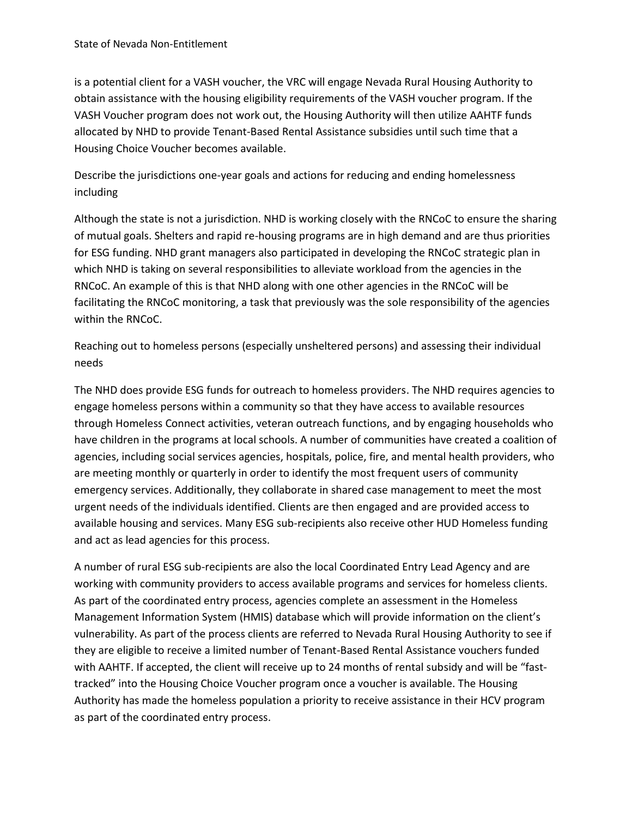is a potential client for a VASH voucher, the VRC will engage Nevada Rural Housing Authority to obtain assistance with the housing eligibility requirements of the VASH voucher program. If the VASH Voucher program does not work out, the Housing Authority will then utilize AAHTF funds allocated by NHD to provide Tenant-Based Rental Assistance subsidies until such time that a Housing Choice Voucher becomes available.

Describe the jurisdictions one-year goals and actions for reducing and ending homelessness including

Although the state is not a jurisdiction. NHD is working closely with the RNCoC to ensure the sharing of mutual goals. Shelters and rapid re-housing programs are in high demand and are thus priorities for ESG funding. NHD grant managers also participated in developing the RNCoC strategic plan in which NHD is taking on several responsibilities to alleviate workload from the agencies in the RNCoC. An example of this is that NHD along with one other agencies in the RNCoC will be facilitating the RNCoC monitoring, a task that previously was the sole responsibility of the agencies within the RNCoC.

Reaching out to homeless persons (especially unsheltered persons) and assessing their individual needs

The NHD does provide ESG funds for outreach to homeless providers. The NHD requires agencies to engage homeless persons within a community so that they have access to available resources through Homeless Connect activities, veteran outreach functions, and by engaging households who have children in the programs at local schools. A number of communities have created a coalition of agencies, including social services agencies, hospitals, police, fire, and mental health providers, who are meeting monthly or quarterly in order to identify the most frequent users of community emergency services. Additionally, they collaborate in shared case management to meet the most urgent needs of the individuals identified. Clients are then engaged and are provided access to available housing and services. Many ESG sub-recipients also receive other HUD Homeless funding and act as lead agencies for this process.

A number of rural ESG sub-recipients are also the local Coordinated Entry Lead Agency and are working with community providers to access available programs and services for homeless clients. As part of the coordinated entry process, agencies complete an assessment in the Homeless Management Information System (HMIS) database which will provide information on the client's vulnerability. As part of the process clients are referred to Nevada Rural Housing Authority to see if they are eligible to receive a limited number of Tenant-Based Rental Assistance vouchers funded with AAHTF. If accepted, the client will receive up to 24 months of rental subsidy and will be "fasttracked" into the Housing Choice Voucher program once a voucher is available. The Housing Authority has made the homeless population a priority to receive assistance in their HCV program as part of the coordinated entry process.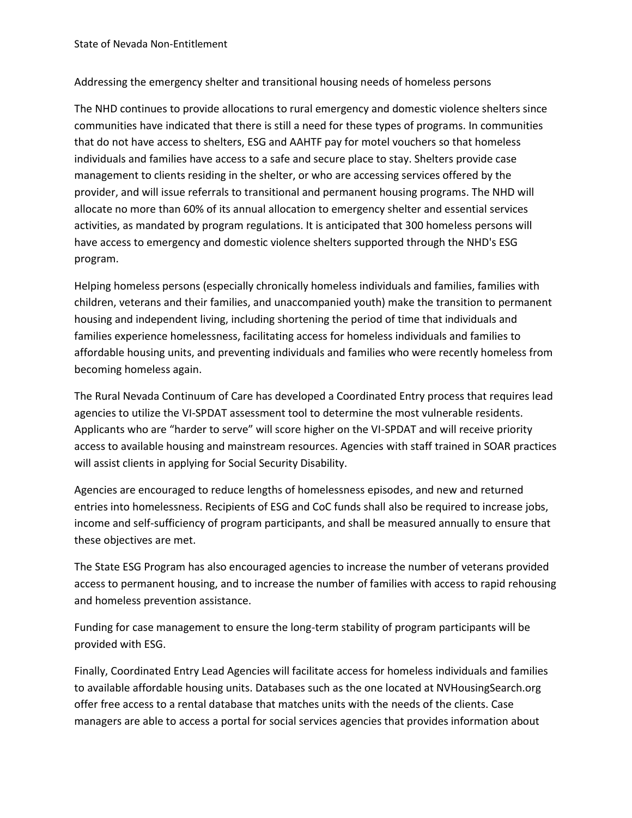# Addressing the emergency shelter and transitional housing needs of homeless persons

The NHD continues to provide allocations to rural emergency and domestic violence shelters since communities have indicated that there is still a need for these types of programs. In communities that do not have access to shelters, ESG and AAHTF pay for motel vouchers so that homeless individuals and families have access to a safe and secure place to stay. Shelters provide case management to clients residing in the shelter, or who are accessing services offered by the provider, and will issue referrals to transitional and permanent housing programs. The NHD will allocate no more than 60% of its annual allocation to emergency shelter and essential services activities, as mandated by program regulations. It is anticipated that 300 homeless persons will have access to emergency and domestic violence shelters supported through the NHD's ESG program.

Helping homeless persons (especially chronically homeless individuals and families, families with children, veterans and their families, and unaccompanied youth) make the transition to permanent housing and independent living, including shortening the period of time that individuals and families experience homelessness, facilitating access for homeless individuals and families to affordable housing units, and preventing individuals and families who were recently homeless from becoming homeless again.

The Rural Nevada Continuum of Care has developed a Coordinated Entry process that requires lead agencies to utilize the VI-SPDAT assessment tool to determine the most vulnerable residents. Applicants who are "harder to serve" will score higher on the VI-SPDAT and will receive priority access to available housing and mainstream resources. Agencies with staff trained in SOAR practices will assist clients in applying for Social Security Disability.

Agencies are encouraged to reduce lengths of homelessness episodes, and new and returned entries into homelessness. Recipients of ESG and CoC funds shall also be required to increase jobs, income and self-sufficiency of program participants, and shall be measured annually to ensure that these objectives are met.

The State ESG Program has also encouraged agencies to increase the number of veterans provided access to permanent housing, and to increase the number of families with access to rapid rehousing and homeless prevention assistance.

Funding for case management to ensure the long-term stability of program participants will be provided with ESG.

Finally, Coordinated Entry Lead Agencies will facilitate access for homeless individuals and families to available affordable housing units. Databases such as the one located at NVHousingSearch.org offer free access to a rental database that matches units with the needs of the clients. Case managers are able to access a portal for social services agencies that provides information about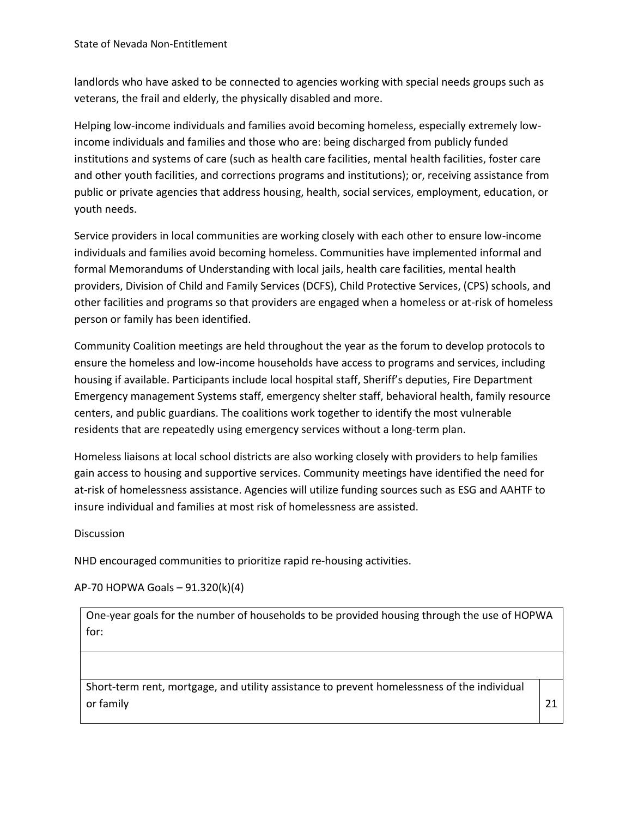landlords who have asked to be connected to agencies working with special needs groups such as veterans, the frail and elderly, the physically disabled and more.

Helping low-income individuals and families avoid becoming homeless, especially extremely lowincome individuals and families and those who are: being discharged from publicly funded institutions and systems of care (such as health care facilities, mental health facilities, foster care and other youth facilities, and corrections programs and institutions); or, receiving assistance from public or private agencies that address housing, health, social services, employment, education, or youth needs.

Service providers in local communities are working closely with each other to ensure low-income individuals and families avoid becoming homeless. Communities have implemented informal and formal Memorandums of Understanding with local jails, health care facilities, mental health providers, Division of Child and Family Services (DCFS), Child Protective Services, (CPS) schools, and other facilities and programs so that providers are engaged when a homeless or at-risk of homeless person or family has been identified.

Community Coalition meetings are held throughout the year as the forum to develop protocols to ensure the homeless and low-income households have access to programs and services, including housing if available. Participants include local hospital staff, Sheriff's deputies, Fire Department Emergency management Systems staff, emergency shelter staff, behavioral health, family resource centers, and public guardians. The coalitions work together to identify the most vulnerable residents that are repeatedly using emergency services without a long-term plan.

Homeless liaisons at local school districts are also working closely with providers to help families gain access to housing and supportive services. Community meetings have identified the need for at-risk of homelessness assistance. Agencies will utilize funding sources such as ESG and AAHTF to insure individual and families at most risk of homelessness are assisted.

## **Discussion**

NHD encouraged communities to prioritize rapid re-housing activities.

AP-70 HOPWA Goals – 91.320(k)(4)

One-year goals for the number of households to be provided housing through the use of HOPWA for:

Short-term rent, mortgage, and utility assistance to prevent homelessness of the individual or family  $\vert$  21  $\vert$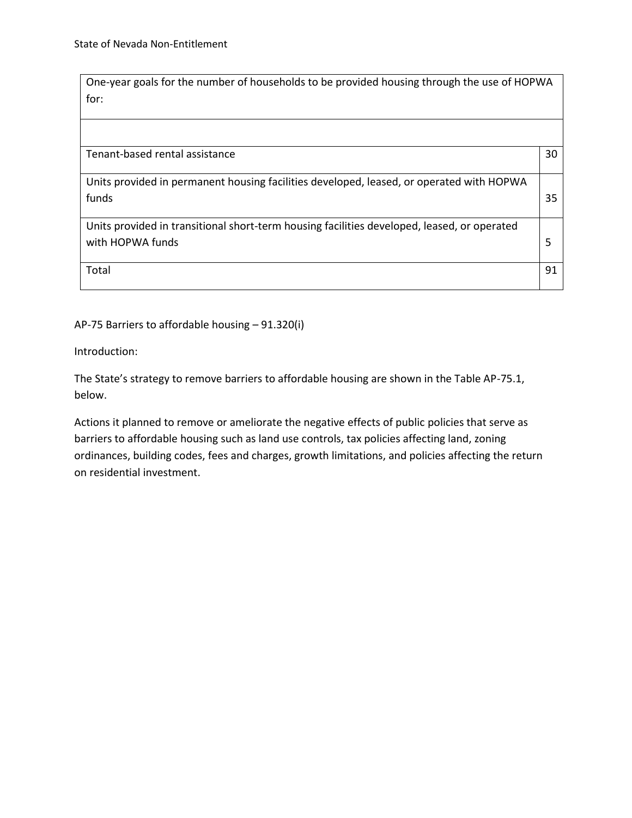One-year goals for the number of households to be provided housing through the use of HOPWA for:

Tenant-based rental assistance 30 and 30 and 30 and 30 and 30 and 30 and 30 and 30 and 30 and 30 and 30 and 30  $\pm$ 

Units provided in permanent housing facilities developed, leased, or operated with HOPWA funds 35

Units provided in transitional short-term housing facilities developed, leased, or operated with HOPWA funds 5

Total 91

### AP-75 Barriers to affordable housing – 91.320(i)

Introduction:

The State's strategy to remove barriers to affordable housing are shown in the Table AP-75.1, below.

Actions it planned to remove or ameliorate the negative effects of public policies that serve as barriers to affordable housing such as land use controls, tax policies affecting land, zoning ordinances, building codes, fees and charges, growth limitations, and policies affecting the return on residential investment.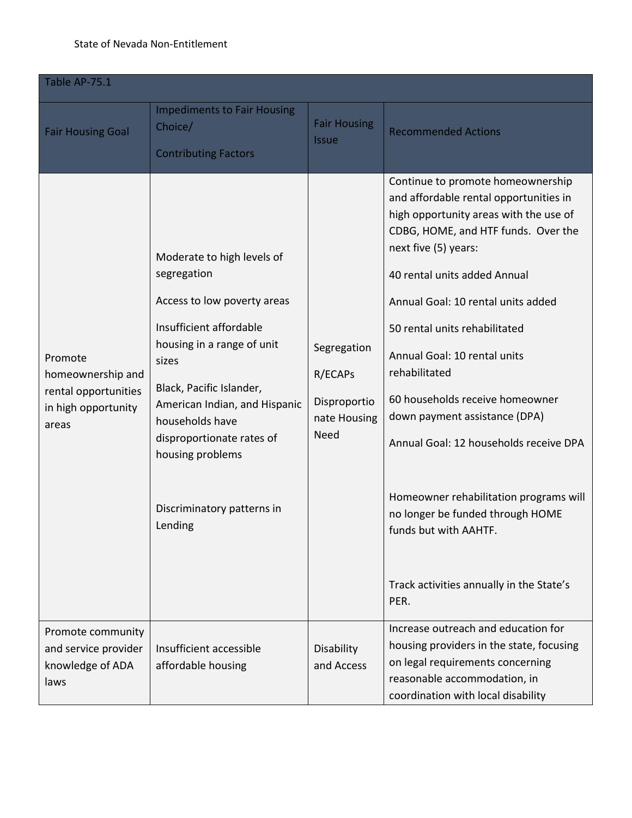### State of Nevada Non-Entitlement

| Table AP-75.1                                                                        |                                                                                                                                                                                                                                                                                                                      |                                                                       |                                                                                                                                                                                                                                                                                                                                                                                                                                                                                                                                                                                                                       |  |  |
|--------------------------------------------------------------------------------------|----------------------------------------------------------------------------------------------------------------------------------------------------------------------------------------------------------------------------------------------------------------------------------------------------------------------|-----------------------------------------------------------------------|-----------------------------------------------------------------------------------------------------------------------------------------------------------------------------------------------------------------------------------------------------------------------------------------------------------------------------------------------------------------------------------------------------------------------------------------------------------------------------------------------------------------------------------------------------------------------------------------------------------------------|--|--|
| <b>Fair Housing Goal</b>                                                             | <b>Impediments to Fair Housing</b><br>Choice/<br><b>Contributing Factors</b>                                                                                                                                                                                                                                         | <b>Fair Housing</b><br><b>Issue</b>                                   | <b>Recommended Actions</b>                                                                                                                                                                                                                                                                                                                                                                                                                                                                                                                                                                                            |  |  |
| Promote<br>homeownership and<br>rental opportunities<br>in high opportunity<br>areas | Moderate to high levels of<br>segregation<br>Access to low poverty areas<br>Insufficient affordable<br>housing in a range of unit<br>sizes<br>Black, Pacific Islander,<br>American Indian, and Hispanic<br>households have<br>disproportionate rates of<br>housing problems<br>Discriminatory patterns in<br>Lending | Segregation<br>R/ECAPS<br>Disproportio<br>nate Housing<br><b>Need</b> | Continue to promote homeownership<br>and affordable rental opportunities in<br>high opportunity areas with the use of<br>CDBG, HOME, and HTF funds. Over the<br>next five (5) years:<br>40 rental units added Annual<br>Annual Goal: 10 rental units added<br>50 rental units rehabilitated<br>Annual Goal: 10 rental units<br>rehabilitated<br>60 households receive homeowner<br>down payment assistance (DPA)<br>Annual Goal: 12 households receive DPA<br>Homeowner rehabilitation programs will<br>no longer be funded through HOME<br>funds but with AAHTF.<br>Track activities annually in the State's<br>PER. |  |  |
| Promote community<br>and service provider<br>knowledge of ADA<br>laws                | Insufficient accessible<br>affordable housing                                                                                                                                                                                                                                                                        | Disability<br>and Access                                              | Increase outreach and education for<br>housing providers in the state, focusing<br>on legal requirements concerning<br>reasonable accommodation, in<br>coordination with local disability                                                                                                                                                                                                                                                                                                                                                                                                                             |  |  |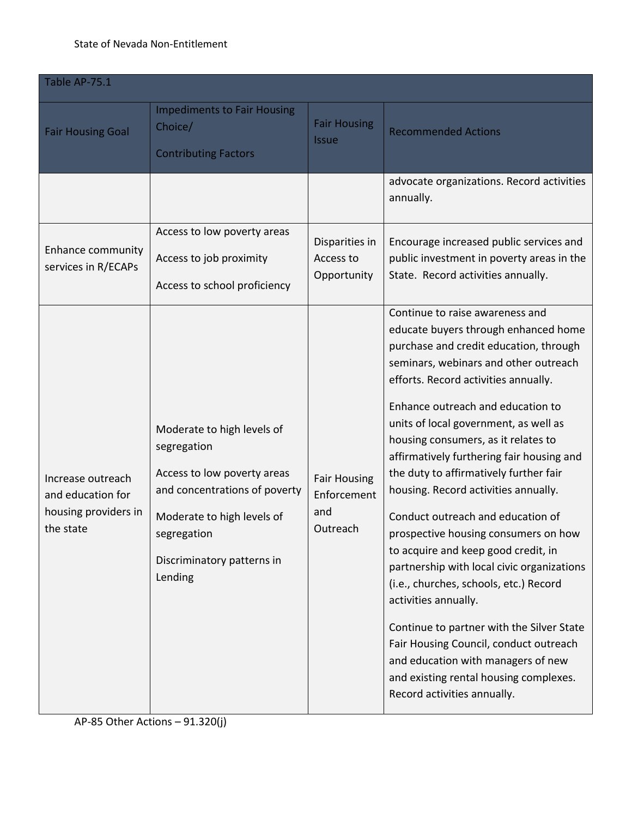### State of Nevada Non-Entitlement

| Table AP-75.1                                                               |                                                                                                                                                                                                 |                                                       |                                                                                                                                                                                                                                                                                                                                                                                                                                                                                                                                                                                                                                                                                                                                                                                                                                                                                                  |  |
|-----------------------------------------------------------------------------|-------------------------------------------------------------------------------------------------------------------------------------------------------------------------------------------------|-------------------------------------------------------|--------------------------------------------------------------------------------------------------------------------------------------------------------------------------------------------------------------------------------------------------------------------------------------------------------------------------------------------------------------------------------------------------------------------------------------------------------------------------------------------------------------------------------------------------------------------------------------------------------------------------------------------------------------------------------------------------------------------------------------------------------------------------------------------------------------------------------------------------------------------------------------------------|--|
| <b>Fair Housing Goal</b>                                                    | <b>Impediments to Fair Housing</b><br>Choice/<br><b>Contributing Factors</b>                                                                                                                    | <b>Fair Housing</b><br><b>Issue</b>                   | <b>Recommended Actions</b>                                                                                                                                                                                                                                                                                                                                                                                                                                                                                                                                                                                                                                                                                                                                                                                                                                                                       |  |
|                                                                             |                                                                                                                                                                                                 |                                                       | advocate organizations. Record activities<br>annually.                                                                                                                                                                                                                                                                                                                                                                                                                                                                                                                                                                                                                                                                                                                                                                                                                                           |  |
| Enhance community<br>services in R/ECAPs                                    | Access to low poverty areas<br>Access to job proximity<br>Access to school proficiency                                                                                                          | Disparities in<br>Access to<br>Opportunity            | Encourage increased public services and<br>public investment in poverty areas in the<br>State. Record activities annually.                                                                                                                                                                                                                                                                                                                                                                                                                                                                                                                                                                                                                                                                                                                                                                       |  |
| Increase outreach<br>and education for<br>housing providers in<br>the state | Moderate to high levels of<br>segregation<br>Access to low poverty areas<br>and concentrations of poverty<br>Moderate to high levels of<br>segregation<br>Discriminatory patterns in<br>Lending | <b>Fair Housing</b><br>Enforcement<br>and<br>Outreach | Continue to raise awareness and<br>educate buyers through enhanced home<br>purchase and credit education, through<br>seminars, webinars and other outreach<br>efforts. Record activities annually.<br>Enhance outreach and education to<br>units of local government, as well as<br>housing consumers, as it relates to<br>affirmatively furthering fair housing and<br>the duty to affirmatively further fair<br>housing. Record activities annually.<br>Conduct outreach and education of<br>prospective housing consumers on how<br>to acquire and keep good credit, in<br>partnership with local civic organizations<br>(i.e., churches, schools, etc.) Record<br>activities annually.<br>Continue to partner with the Silver State<br>Fair Housing Council, conduct outreach<br>and education with managers of new<br>and existing rental housing complexes.<br>Record activities annually. |  |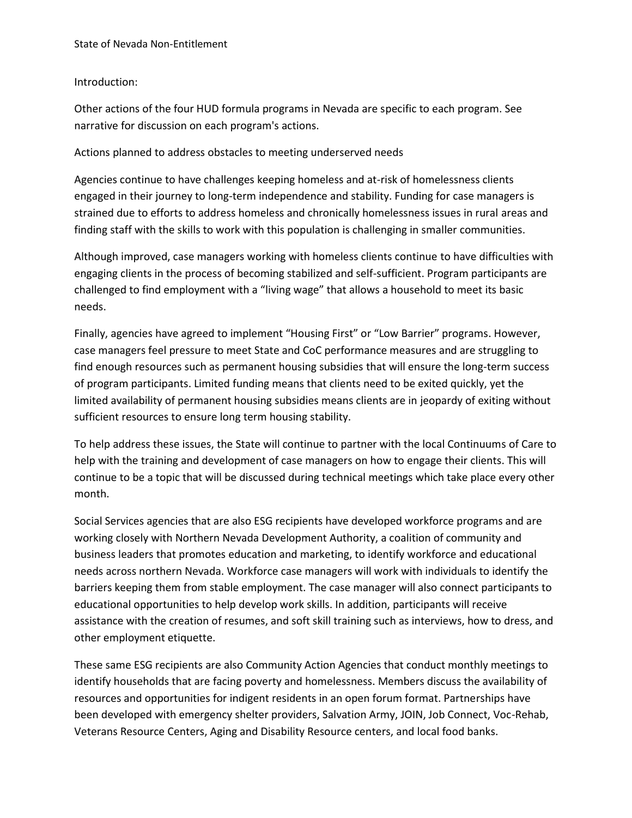## Introduction:

Other actions of the four HUD formula programs in Nevada are specific to each program. See narrative for discussion on each program's actions.

## Actions planned to address obstacles to meeting underserved needs

Agencies continue to have challenges keeping homeless and at-risk of homelessness clients engaged in their journey to long-term independence and stability. Funding for case managers is strained due to efforts to address homeless and chronically homelessness issues in rural areas and finding staff with the skills to work with this population is challenging in smaller communities.

Although improved, case managers working with homeless clients continue to have difficulties with engaging clients in the process of becoming stabilized and self-sufficient. Program participants are challenged to find employment with a "living wage" that allows a household to meet its basic needs.

Finally, agencies have agreed to implement "Housing First" or "Low Barrier" programs. However, case managers feel pressure to meet State and CoC performance measures and are struggling to find enough resources such as permanent housing subsidies that will ensure the long-term success of program participants. Limited funding means that clients need to be exited quickly, yet the limited availability of permanent housing subsidies means clients are in jeopardy of exiting without sufficient resources to ensure long term housing stability.

To help address these issues, the State will continue to partner with the local Continuums of Care to help with the training and development of case managers on how to engage their clients. This will continue to be a topic that will be discussed during technical meetings which take place every other month.

Social Services agencies that are also ESG recipients have developed workforce programs and are working closely with Northern Nevada Development Authority, a coalition of community and business leaders that promotes education and marketing, to identify workforce and educational needs across northern Nevada. Workforce case managers will work with individuals to identify the barriers keeping them from stable employment. The case manager will also connect participants to educational opportunities to help develop work skills. In addition, participants will receive assistance with the creation of resumes, and soft skill training such as interviews, how to dress, and other employment etiquette.

These same ESG recipients are also Community Action Agencies that conduct monthly meetings to identify households that are facing poverty and homelessness. Members discuss the availability of resources and opportunities for indigent residents in an open forum format. Partnerships have been developed with emergency shelter providers, Salvation Army, JOIN, Job Connect, Voc-Rehab, Veterans Resource Centers, Aging and Disability Resource centers, and local food banks.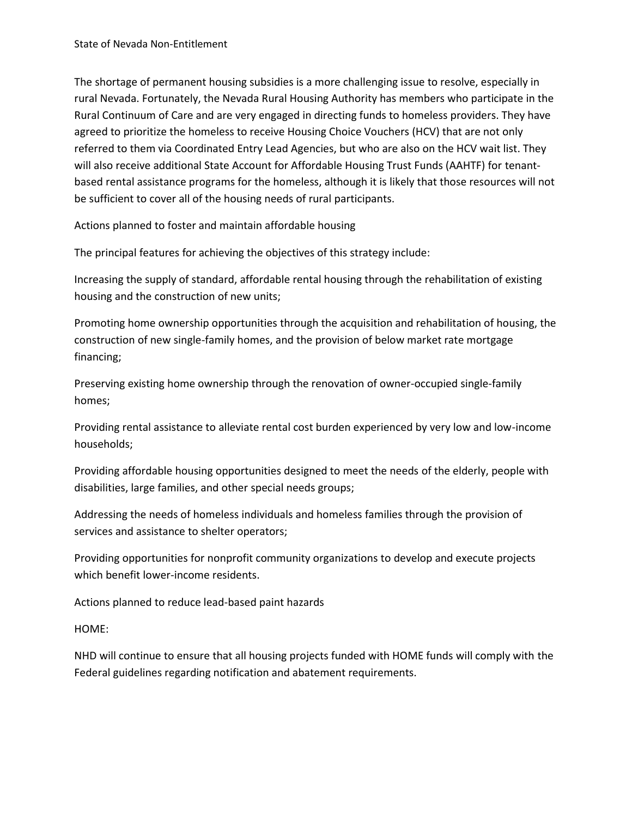The shortage of permanent housing subsidies is a more challenging issue to resolve, especially in rural Nevada. Fortunately, the Nevada Rural Housing Authority has members who participate in the Rural Continuum of Care and are very engaged in directing funds to homeless providers. They have agreed to prioritize the homeless to receive Housing Choice Vouchers (HCV) that are not only referred to them via Coordinated Entry Lead Agencies, but who are also on the HCV wait list. They will also receive additional State Account for Affordable Housing Trust Funds (AAHTF) for tenantbased rental assistance programs for the homeless, although it is likely that those resources will not be sufficient to cover all of the housing needs of rural participants.

Actions planned to foster and maintain affordable housing

The principal features for achieving the objectives of this strategy include:

Increasing the supply of standard, affordable rental housing through the rehabilitation of existing housing and the construction of new units;

Promoting home ownership opportunities through the acquisition and rehabilitation of housing, the construction of new single-family homes, and the provision of below market rate mortgage financing;

Preserving existing home ownership through the renovation of owner-occupied single-family homes;

Providing rental assistance to alleviate rental cost burden experienced by very low and low-income households;

Providing affordable housing opportunities designed to meet the needs of the elderly, people with disabilities, large families, and other special needs groups;

Addressing the needs of homeless individuals and homeless families through the provision of services and assistance to shelter operators;

Providing opportunities for nonprofit community organizations to develop and execute projects which benefit lower-income residents.

Actions planned to reduce lead-based paint hazards

HOME:

NHD will continue to ensure that all housing projects funded with HOME funds will comply with the Federal guidelines regarding notification and abatement requirements.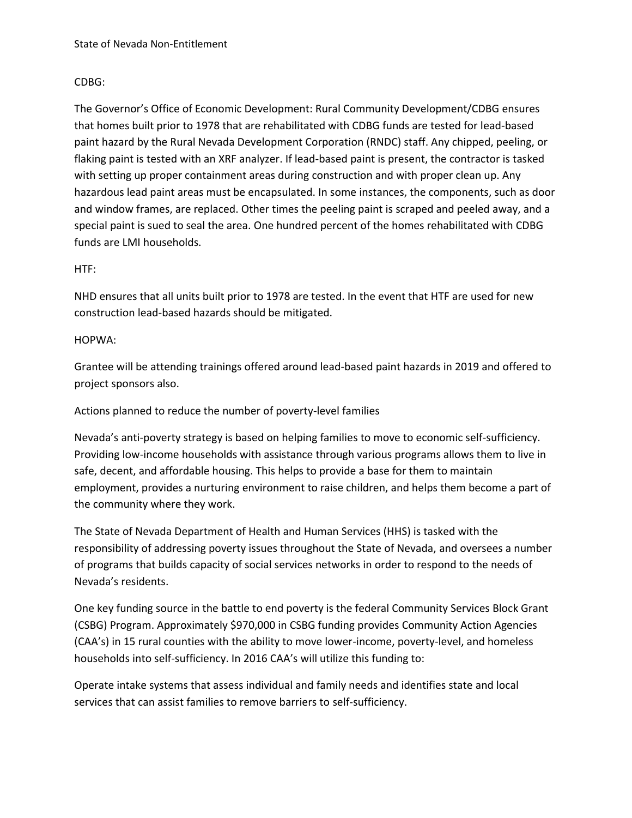## CDBG:

The Governor's Office of Economic Development: Rural Community Development/CDBG ensures that homes built prior to 1978 that are rehabilitated with CDBG funds are tested for lead-based paint hazard by the Rural Nevada Development Corporation (RNDC) staff. Any chipped, peeling, or flaking paint is tested with an XRF analyzer. If lead-based paint is present, the contractor is tasked with setting up proper containment areas during construction and with proper clean up. Any hazardous lead paint areas must be encapsulated. In some instances, the components, such as door and window frames, are replaced. Other times the peeling paint is scraped and peeled away, and a special paint is sued to seal the area. One hundred percent of the homes rehabilitated with CDBG funds are LMI households.

### HTF:

NHD ensures that all units built prior to 1978 are tested. In the event that HTF are used for new construction lead-based hazards should be mitigated.

### HOPWA:

Grantee will be attending trainings offered around lead-based paint hazards in 2019 and offered to project sponsors also.

Actions planned to reduce the number of poverty-level families

Nevada's anti-poverty strategy is based on helping families to move to economic self-sufficiency. Providing low-income households with assistance through various programs allows them to live in safe, decent, and affordable housing. This helps to provide a base for them to maintain employment, provides a nurturing environment to raise children, and helps them become a part of the community where they work.

The State of Nevada Department of Health and Human Services (HHS) is tasked with the responsibility of addressing poverty issues throughout the State of Nevada, and oversees a number of programs that builds capacity of social services networks in order to respond to the needs of Nevada's residents.

One key funding source in the battle to end poverty is the federal Community Services Block Grant (CSBG) Program. Approximately \$970,000 in CSBG funding provides Community Action Agencies (CAA's) in 15 rural counties with the ability to move lower-income, poverty-level, and homeless households into self-sufficiency. In 2016 CAA's will utilize this funding to:

Operate intake systems that assess individual and family needs and identifies state and local services that can assist families to remove barriers to self-sufficiency.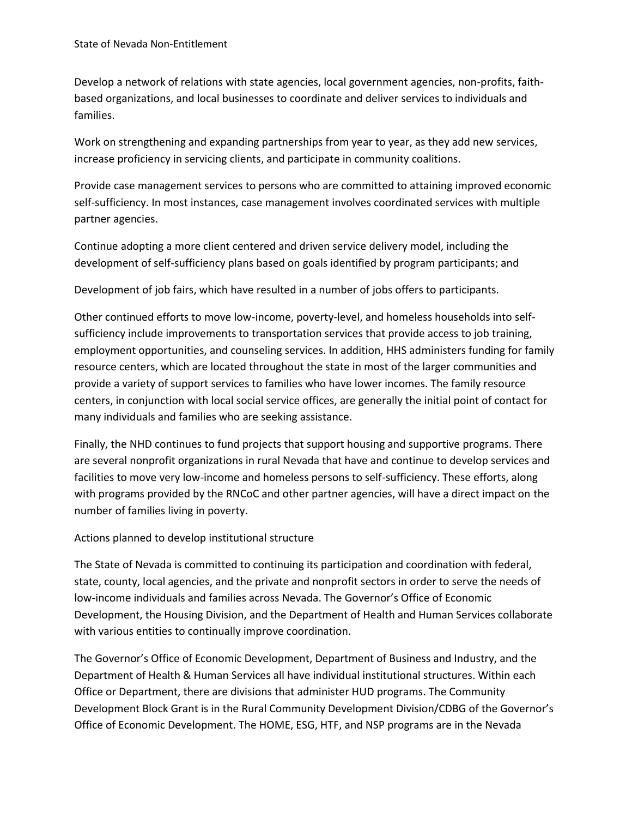Develop a network of relations with state agencies, local government agencies, non-profits, faithbased organizations, and local businesses to coordinate and deliver services to individuals and families.

Work on strengthening and expanding partnerships from year to year, as they add new services, increase proficiency in servicing clients, and participate in community coalitions.

Provide case management services to persons who are committed to attaining improved economic self-sufficiency. In most instances, case management involves coordinated services with multiple partner agencies.

Continue adopting a more client centered and driven service delivery model, including the development of self-sufficiency plans based on goals identified by program participants; and

Development of job fairs, which have resulted in a number of jobs offers to participants.

Other continued efforts to move low-income, poverty-level, and homeless households into selfsufficiency include improvements to transportation services that provide access to job training, employment opportunities, and counseling services. In addition, HHS administers funding for family resource centers, which are located throughout the state in most of the larger communities and provide a variety of support services to families who have lower incomes. The family resource centers, in conjunction with local social service offices, are generally the initial point of contact for many individuals and families who are seeking assistance.

Finally, the NHD continues to fund projects that support housing and supportive programs. There are several nonprofit organizations in rural Nevada that have and continue to develop services and facilities to move very low-income and homeless persons to self-sufficiency. These efforts, along with programs provided by the RNCoC and other partner agencies, will have a direct impact on the number of families living in poverty.

# Actions planned to develop institutional structure

The State of Nevada is committed to continuing its participation and coordination with federal, state, county, local agencies, and the private and nonprofit sectors in order to serve the needs of low-income individuals and families across Nevada. The Governor's Office of Economic Development, the Housing Division, and the Department of Health and Human Services collaborate with various entities to continually improve coordination.

The Governor's Office of Economic Development, Department of Business and Industry, and the Department of Health & Human Services all have individual institutional structures. Within each Office or Department, there are divisions that administer HUD programs. The Community Development Block Grant is in the Rural Community Development Division/CDBG of the Governor's Office of Economic Development. The HOME, ESG, HTF, and NSP programs are in the Nevada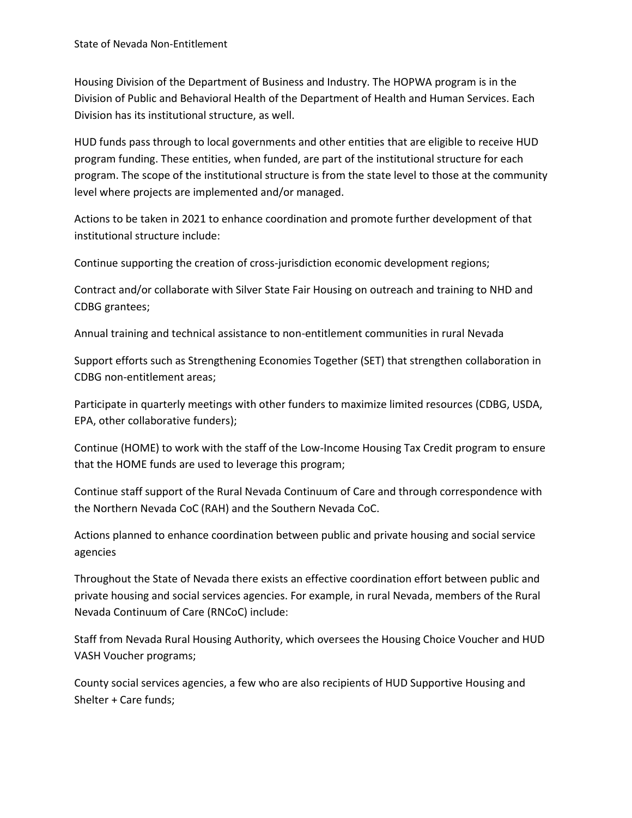Housing Division of the Department of Business and Industry. The HOPWA program is in the Division of Public and Behavioral Health of the Department of Health and Human Services. Each Division has its institutional structure, as well.

HUD funds pass through to local governments and other entities that are eligible to receive HUD program funding. These entities, when funded, are part of the institutional structure for each program. The scope of the institutional structure is from the state level to those at the community level where projects are implemented and/or managed.

Actions to be taken in 2021 to enhance coordination and promote further development of that institutional structure include:

Continue supporting the creation of cross-jurisdiction economic development regions;

Contract and/or collaborate with Silver State Fair Housing on outreach and training to NHD and CDBG grantees;

Annual training and technical assistance to non-entitlement communities in rural Nevada

Support efforts such as Strengthening Economies Together (SET) that strengthen collaboration in CDBG non-entitlement areas;

Participate in quarterly meetings with other funders to maximize limited resources (CDBG, USDA, EPA, other collaborative funders);

Continue (HOME) to work with the staff of the Low-Income Housing Tax Credit program to ensure that the HOME funds are used to leverage this program;

Continue staff support of the Rural Nevada Continuum of Care and through correspondence with the Northern Nevada CoC (RAH) and the Southern Nevada CoC.

Actions planned to enhance coordination between public and private housing and social service agencies

Throughout the State of Nevada there exists an effective coordination effort between public and private housing and social services agencies. For example, in rural Nevada, members of the Rural Nevada Continuum of Care (RNCoC) include:

Staff from Nevada Rural Housing Authority, which oversees the Housing Choice Voucher and HUD VASH Voucher programs;

County social services agencies, a few who are also recipients of HUD Supportive Housing and Shelter + Care funds;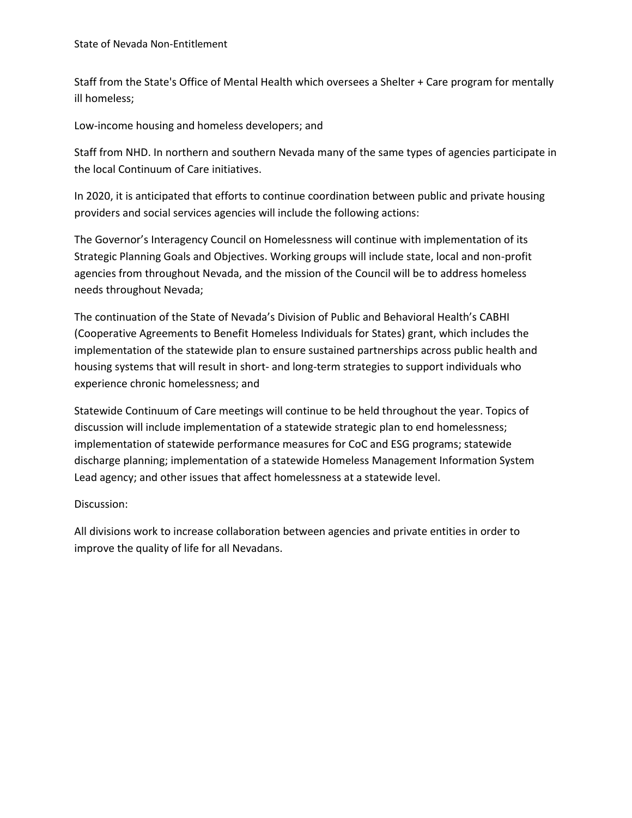Staff from the State's Office of Mental Health which oversees a Shelter + Care program for mentally ill homeless;

Low-income housing and homeless developers; and

Staff from NHD. In northern and southern Nevada many of the same types of agencies participate in the local Continuum of Care initiatives.

In 2020, it is anticipated that efforts to continue coordination between public and private housing providers and social services agencies will include the following actions:

The Governor's Interagency Council on Homelessness will continue with implementation of its Strategic Planning Goals and Objectives. Working groups will include state, local and non-profit agencies from throughout Nevada, and the mission of the Council will be to address homeless needs throughout Nevada;

The continuation of the State of Nevada's Division of Public and Behavioral Health's CABHI (Cooperative Agreements to Benefit Homeless Individuals for States) grant, which includes the implementation of the statewide plan to ensure sustained partnerships across public health and housing systems that will result in short- and long-term strategies to support individuals who experience chronic homelessness; and

Statewide Continuum of Care meetings will continue to be held throughout the year. Topics of discussion will include implementation of a statewide strategic plan to end homelessness; implementation of statewide performance measures for CoC and ESG programs; statewide discharge planning; implementation of a statewide Homeless Management Information System Lead agency; and other issues that affect homelessness at a statewide level.

Discussion:

All divisions work to increase collaboration between agencies and private entities in order to improve the quality of life for all Nevadans.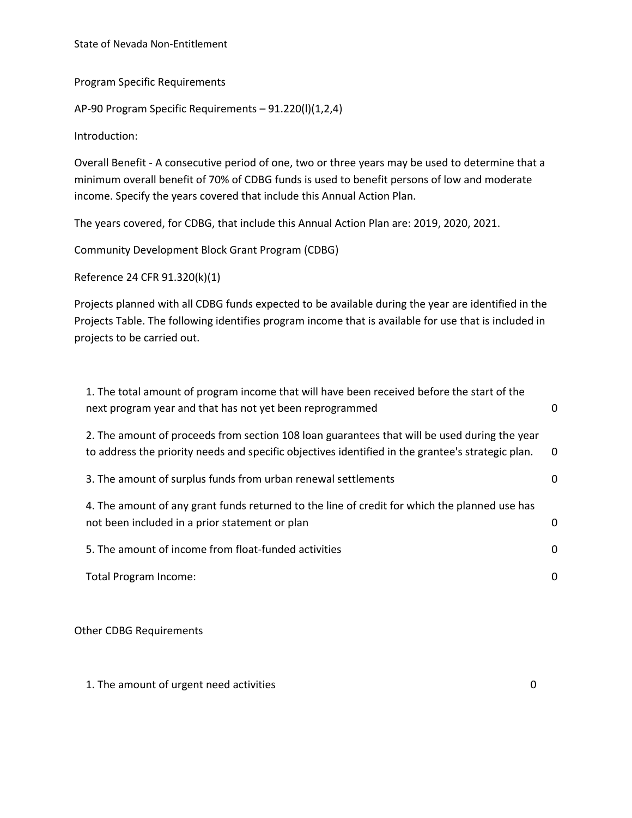State of Nevada Non-Entitlement

Program Specific Requirements

AP-90 Program Specific Requirements – 91.220(l)(1,2,4)

Introduction:

Overall Benefit - A consecutive period of one, two or three years may be used to determine that a minimum overall benefit of 70% of CDBG funds is used to benefit persons of low and moderate income. Specify the years covered that include this Annual Action Plan.

The years covered, for CDBG, that include this Annual Action Plan are: 2019, 2020, 2021.

Community Development Block Grant Program (CDBG)

Reference 24 CFR 91.320(k)(1)

Projects planned with all CDBG funds expected to be available during the year are identified in the Projects Table. The following identifies program income that is available for use that is included in projects to be carried out.

| 1. The total amount of program income that will have been received before the start of the<br>next program year and that has not yet been reprogrammed                                            | 0        |
|---------------------------------------------------------------------------------------------------------------------------------------------------------------------------------------------------|----------|
| 2. The amount of proceeds from section 108 loan guarantees that will be used during the year<br>to address the priority needs and specific objectives identified in the grantee's strategic plan. | $\Omega$ |
| 3. The amount of surplus funds from urban renewal settlements                                                                                                                                     | 0        |
| 4. The amount of any grant funds returned to the line of credit for which the planned use has<br>not been included in a prior statement or plan                                                   | 0        |
| 5. The amount of income from float-funded activities                                                                                                                                              | 0        |
| Total Program Income:                                                                                                                                                                             | 0        |
|                                                                                                                                                                                                   |          |

Other CDBG Requirements

1. The amount of urgent need activities of the control of the control of the control of the control of the control of the control of the control of the control of the control of the control of the control of the control of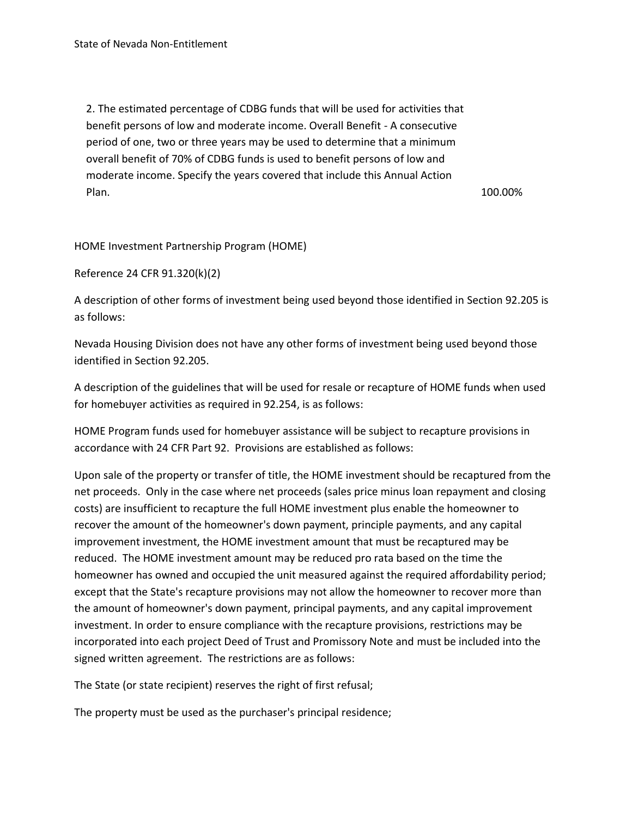2. The estimated percentage of CDBG funds that will be used for activities that benefit persons of low and moderate income. Overall Benefit - A consecutive period of one, two or three years may be used to determine that a minimum overall benefit of 70% of CDBG funds is used to benefit persons of low and moderate income. Specify the years covered that include this Annual Action Plan. 200.00% and 200.00% and 200.00% and 200.00% and 200.00% and 200.00% and 200.00% and 200.00% and 200.00% and 200.00% and 200.00% and 200.00% and 200.00% and 200.00% and 200.00% and 200.00% and 200.00% and 200.00% and

HOME Investment Partnership Program (HOME)

Reference 24 CFR 91.320(k)(2)

A description of other forms of investment being used beyond those identified in Section 92.205 is as follows:

Nevada Housing Division does not have any other forms of investment being used beyond those identified in Section 92.205.

A description of the guidelines that will be used for resale or recapture of HOME funds when used for homebuyer activities as required in 92.254, is as follows:

HOME Program funds used for homebuyer assistance will be subject to recapture provisions in accordance with 24 CFR Part 92. Provisions are established as follows:

Upon sale of the property or transfer of title, the HOME investment should be recaptured from the net proceeds. Only in the case where net proceeds (sales price minus loan repayment and closing costs) are insufficient to recapture the full HOME investment plus enable the homeowner to recover the amount of the homeowner's down payment, principle payments, and any capital improvement investment, the HOME investment amount that must be recaptured may be reduced. The HOME investment amount may be reduced pro rata based on the time the homeowner has owned and occupied the unit measured against the required affordability period; except that the State's recapture provisions may not allow the homeowner to recover more than the amount of homeowner's down payment, principal payments, and any capital improvement investment. In order to ensure compliance with the recapture provisions, restrictions may be incorporated into each project Deed of Trust and Promissory Note and must be included into the signed written agreement. The restrictions are as follows:

The State (or state recipient) reserves the right of first refusal;

The property must be used as the purchaser's principal residence;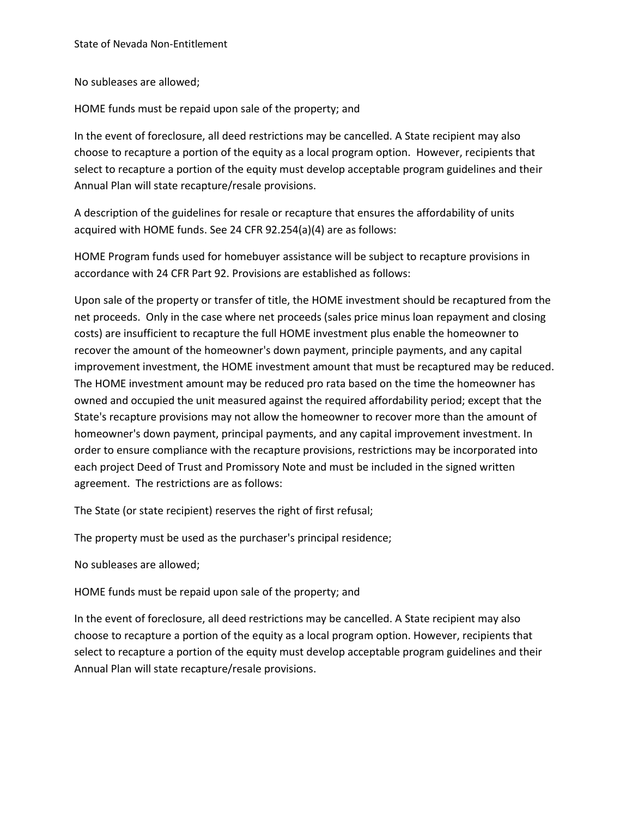No subleases are allowed;

HOME funds must be repaid upon sale of the property; and

In the event of foreclosure, all deed restrictions may be cancelled. A State recipient may also choose to recapture a portion of the equity as a local program option. However, recipients that select to recapture a portion of the equity must develop acceptable program guidelines and their Annual Plan will state recapture/resale provisions.

A description of the guidelines for resale or recapture that ensures the affordability of units acquired with HOME funds. See 24 CFR 92.254(a)(4) are as follows:

HOME Program funds used for homebuyer assistance will be subject to recapture provisions in accordance with 24 CFR Part 92. Provisions are established as follows:

Upon sale of the property or transfer of title, the HOME investment should be recaptured from the net proceeds. Only in the case where net proceeds (sales price minus loan repayment and closing costs) are insufficient to recapture the full HOME investment plus enable the homeowner to recover the amount of the homeowner's down payment, principle payments, and any capital improvement investment, the HOME investment amount that must be recaptured may be reduced. The HOME investment amount may be reduced pro rata based on the time the homeowner has owned and occupied the unit measured against the required affordability period; except that the State's recapture provisions may not allow the homeowner to recover more than the amount of homeowner's down payment, principal payments, and any capital improvement investment. In order to ensure compliance with the recapture provisions, restrictions may be incorporated into each project Deed of Trust and Promissory Note and must be included in the signed written agreement. The restrictions are as follows:

The State (or state recipient) reserves the right of first refusal;

The property must be used as the purchaser's principal residence;

No subleases are allowed;

HOME funds must be repaid upon sale of the property; and

In the event of foreclosure, all deed restrictions may be cancelled. A State recipient may also choose to recapture a portion of the equity as a local program option. However, recipients that select to recapture a portion of the equity must develop acceptable program guidelines and their Annual Plan will state recapture/resale provisions.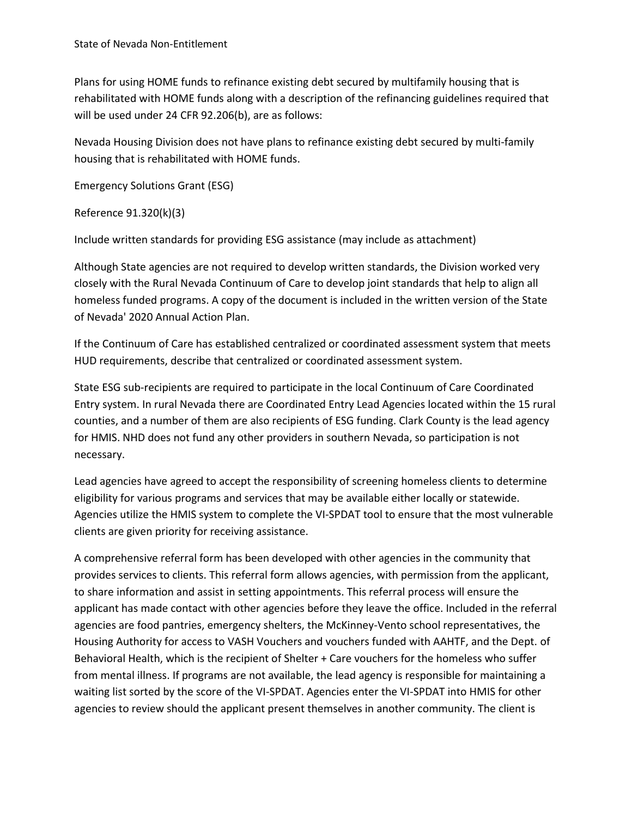Plans for using HOME funds to refinance existing debt secured by multifamily housing that is rehabilitated with HOME funds along with a description of the refinancing guidelines required that will be used under 24 CFR 92.206(b), are as follows:

Nevada Housing Division does not have plans to refinance existing debt secured by multi-family housing that is rehabilitated with HOME funds.

Emergency Solutions Grant (ESG)

Reference 91.320(k)(3)

Include written standards for providing ESG assistance (may include as attachment)

Although State agencies are not required to develop written standards, the Division worked very closely with the Rural Nevada Continuum of Care to develop joint standards that help to align all homeless funded programs. A copy of the document is included in the written version of the State of Nevada' 2020 Annual Action Plan.

If the Continuum of Care has established centralized or coordinated assessment system that meets HUD requirements, describe that centralized or coordinated assessment system.

State ESG sub-recipients are required to participate in the local Continuum of Care Coordinated Entry system. In rural Nevada there are Coordinated Entry Lead Agencies located within the 15 rural counties, and a number of them are also recipients of ESG funding. Clark County is the lead agency for HMIS. NHD does not fund any other providers in southern Nevada, so participation is not necessary.

Lead agencies have agreed to accept the responsibility of screening homeless clients to determine eligibility for various programs and services that may be available either locally or statewide. Agencies utilize the HMIS system to complete the VI-SPDAT tool to ensure that the most vulnerable clients are given priority for receiving assistance.

A comprehensive referral form has been developed with other agencies in the community that provides services to clients. This referral form allows agencies, with permission from the applicant, to share information and assist in setting appointments. This referral process will ensure the applicant has made contact with other agencies before they leave the office. Included in the referral agencies are food pantries, emergency shelters, the McKinney-Vento school representatives, the Housing Authority for access to VASH Vouchers and vouchers funded with AAHTF, and the Dept. of Behavioral Health, which is the recipient of Shelter + Care vouchers for the homeless who suffer from mental illness. If programs are not available, the lead agency is responsible for maintaining a waiting list sorted by the score of the VI-SPDAT. Agencies enter the VI-SPDAT into HMIS for other agencies to review should the applicant present themselves in another community. The client is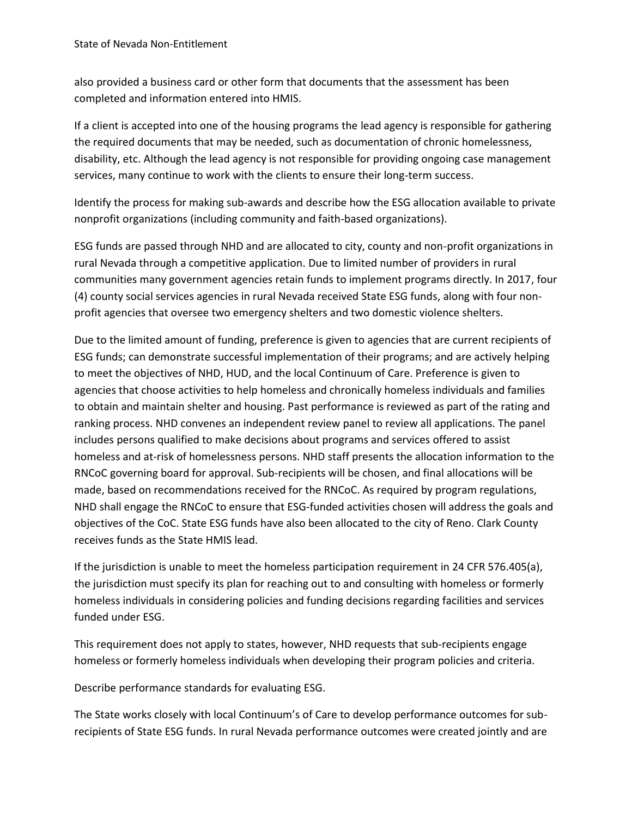also provided a business card or other form that documents that the assessment has been completed and information entered into HMIS.

If a client is accepted into one of the housing programs the lead agency is responsible for gathering the required documents that may be needed, such as documentation of chronic homelessness, disability, etc. Although the lead agency is not responsible for providing ongoing case management services, many continue to work with the clients to ensure their long-term success.

Identify the process for making sub-awards and describe how the ESG allocation available to private nonprofit organizations (including community and faith-based organizations).

ESG funds are passed through NHD and are allocated to city, county and non-profit organizations in rural Nevada through a competitive application. Due to limited number of providers in rural communities many government agencies retain funds to implement programs directly. In 2017, four (4) county social services agencies in rural Nevada received State ESG funds, along with four nonprofit agencies that oversee two emergency shelters and two domestic violence shelters.

Due to the limited amount of funding, preference is given to agencies that are current recipients of ESG funds; can demonstrate successful implementation of their programs; and are actively helping to meet the objectives of NHD, HUD, and the local Continuum of Care. Preference is given to agencies that choose activities to help homeless and chronically homeless individuals and families to obtain and maintain shelter and housing. Past performance is reviewed as part of the rating and ranking process. NHD convenes an independent review panel to review all applications. The panel includes persons qualified to make decisions about programs and services offered to assist homeless and at-risk of homelessness persons. NHD staff presents the allocation information to the RNCoC governing board for approval. Sub-recipients will be chosen, and final allocations will be made, based on recommendations received for the RNCoC. As required by program regulations, NHD shall engage the RNCoC to ensure that ESG-funded activities chosen will address the goals and objectives of the CoC. State ESG funds have also been allocated to the city of Reno. Clark County receives funds as the State HMIS lead.

If the jurisdiction is unable to meet the homeless participation requirement in 24 CFR 576.405(a), the jurisdiction must specify its plan for reaching out to and consulting with homeless or formerly homeless individuals in considering policies and funding decisions regarding facilities and services funded under ESG.

This requirement does not apply to states, however, NHD requests that sub-recipients engage homeless or formerly homeless individuals when developing their program policies and criteria.

Describe performance standards for evaluating ESG.

The State works closely with local Continuum's of Care to develop performance outcomes for subrecipients of State ESG funds. In rural Nevada performance outcomes were created jointly and are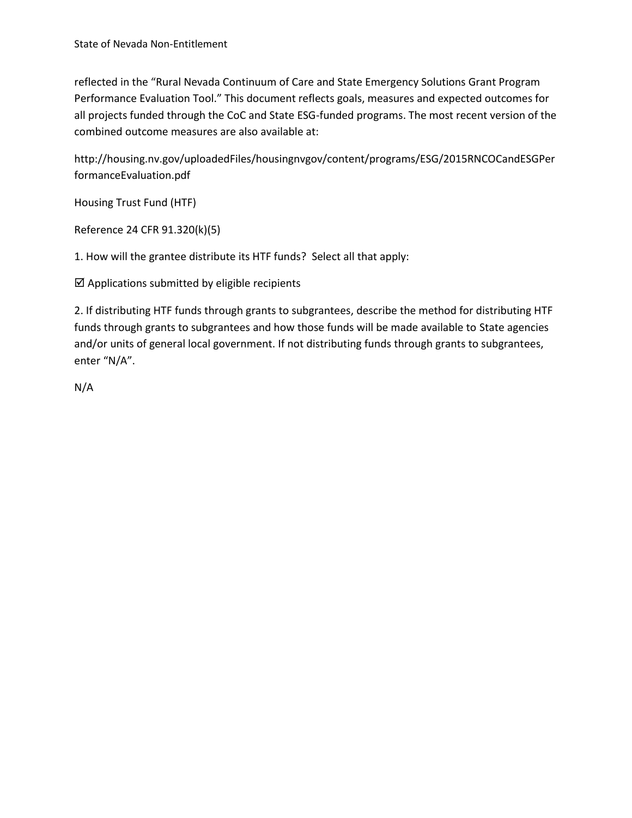reflected in the "Rural Nevada Continuum of Care and State Emergency Solutions Grant Program Performance Evaluation Tool." This document reflects goals, measures and expected outcomes for all projects funded through the CoC and State ESG-funded programs. The most recent version of the combined outcome measures are also available at:

http://housing.nv.gov/uploadedFiles/housingnvgov/content/programs/ESG/2015RNCOCandESGPer formanceEvaluation.pdf

Housing Trust Fund (HTF)

Reference 24 CFR 91.320(k)(5)

1. How will the grantee distribute its HTF funds? Select all that apply:

 $\boxtimes$  Applications submitted by eligible recipients

2. If distributing HTF funds through grants to subgrantees, describe the method for distributing HTF funds through grants to subgrantees and how those funds will be made available to State agencies and/or units of general local government. If not distributing funds through grants to subgrantees, enter "N/A".

N/A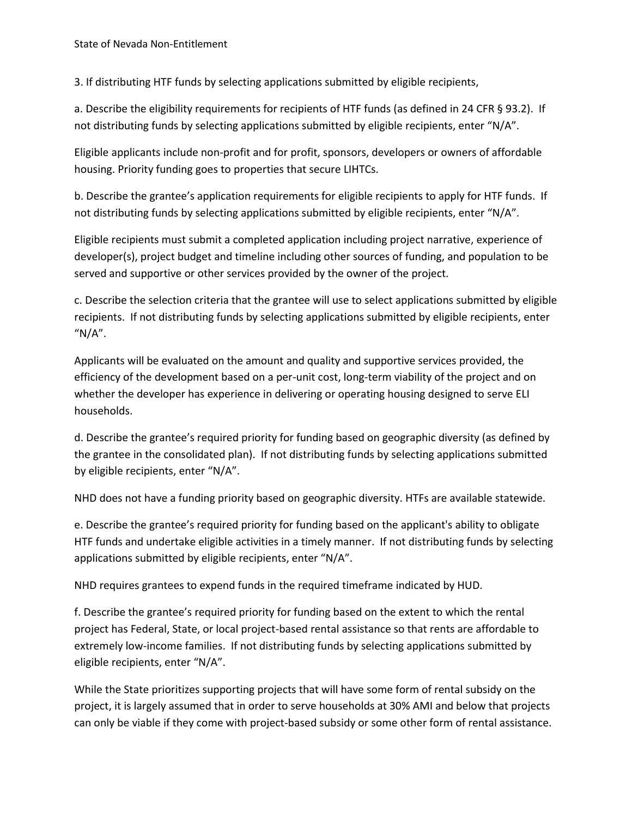3. If distributing HTF funds by selecting applications submitted by eligible recipients,

a. Describe the eligibility requirements for recipients of HTF funds (as defined in 24 CFR § 93.2). If not distributing funds by selecting applications submitted by eligible recipients, enter "N/A".

Eligible applicants include non-profit and for profit, sponsors, developers or owners of affordable housing. Priority funding goes to properties that secure LIHTCs.

b. Describe the grantee's application requirements for eligible recipients to apply for HTF funds. If not distributing funds by selecting applications submitted by eligible recipients, enter "N/A".

Eligible recipients must submit a completed application including project narrative, experience of developer(s), project budget and timeline including other sources of funding, and population to be served and supportive or other services provided by the owner of the project.

c. Describe the selection criteria that the grantee will use to select applications submitted by eligible recipients. If not distributing funds by selecting applications submitted by eligible recipients, enter "N/A".

Applicants will be evaluated on the amount and quality and supportive services provided, the efficiency of the development based on a per-unit cost, long-term viability of the project and on whether the developer has experience in delivering or operating housing designed to serve ELI households.

d. Describe the grantee's required priority for funding based on geographic diversity (as defined by the grantee in the consolidated plan). If not distributing funds by selecting applications submitted by eligible recipients, enter "N/A".

NHD does not have a funding priority based on geographic diversity. HTFs are available statewide.

e. Describe the grantee's required priority for funding based on the applicant's ability to obligate HTF funds and undertake eligible activities in a timely manner. If not distributing funds by selecting applications submitted by eligible recipients, enter "N/A".

NHD requires grantees to expend funds in the required timeframe indicated by HUD.

f. Describe the grantee's required priority for funding based on the extent to which the rental project has Federal, State, or local project-based rental assistance so that rents are affordable to extremely low-income families. If not distributing funds by selecting applications submitted by eligible recipients, enter "N/A".

While the State prioritizes supporting projects that will have some form of rental subsidy on the project, it is largely assumed that in order to serve households at 30% AMI and below that projects can only be viable if they come with project-based subsidy or some other form of rental assistance.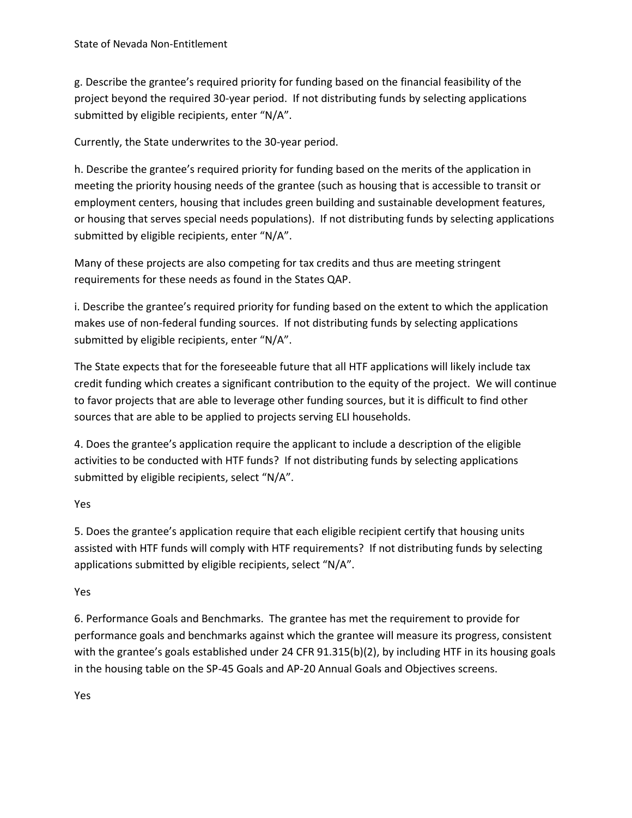g. Describe the grantee's required priority for funding based on the financial feasibility of the project beyond the required 30-year period. If not distributing funds by selecting applications submitted by eligible recipients, enter "N/A".

Currently, the State underwrites to the 30-year period.

h. Describe the grantee's required priority for funding based on the merits of the application in meeting the priority housing needs of the grantee (such as housing that is accessible to transit or employment centers, housing that includes green building and sustainable development features, or housing that serves special needs populations). If not distributing funds by selecting applications submitted by eligible recipients, enter "N/A".

Many of these projects are also competing for tax credits and thus are meeting stringent requirements for these needs as found in the States QAP.

i. Describe the grantee's required priority for funding based on the extent to which the application makes use of non-federal funding sources. If not distributing funds by selecting applications submitted by eligible recipients, enter "N/A".

The State expects that for the foreseeable future that all HTF applications will likely include tax credit funding which creates a significant contribution to the equity of the project. We will continue to favor projects that are able to leverage other funding sources, but it is difficult to find other sources that are able to be applied to projects serving ELI households.

4. Does the grantee's application require the applicant to include a description of the eligible activities to be conducted with HTF funds? If not distributing funds by selecting applications submitted by eligible recipients, select "N/A".

# Yes

5. Does the grantee's application require that each eligible recipient certify that housing units assisted with HTF funds will comply with HTF requirements? If not distributing funds by selecting applications submitted by eligible recipients, select "N/A".

### Yes

6. Performance Goals and Benchmarks. The grantee has met the requirement to provide for performance goals and benchmarks against which the grantee will measure its progress, consistent with the grantee's goals established under 24 CFR 91.315(b)(2), by including HTF in its housing goals in the housing table on the SP-45 Goals and AP-20 Annual Goals and Objectives screens.

Yes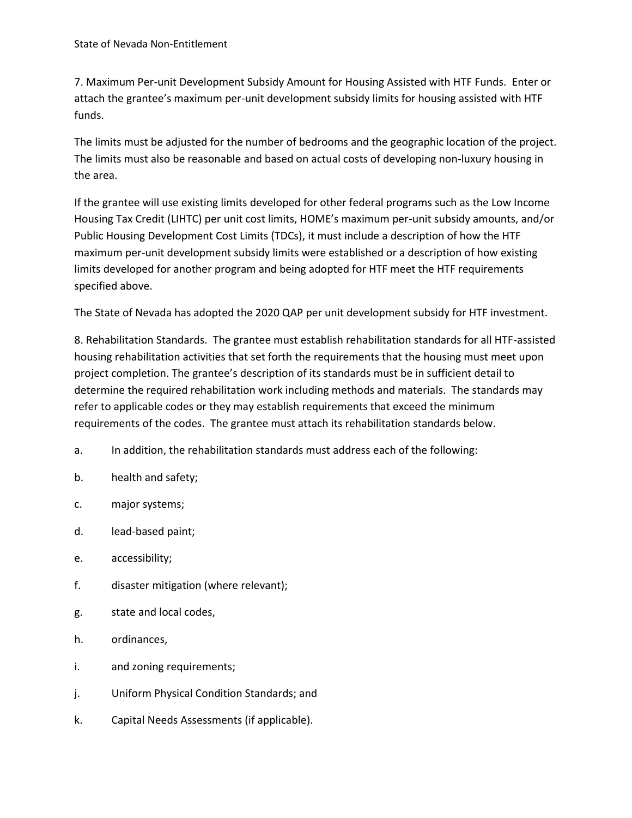7. Maximum Per-unit Development Subsidy Amount for Housing Assisted with HTF Funds. Enter or attach the grantee's maximum per-unit development subsidy limits for housing assisted with HTF funds.

The limits must be adjusted for the number of bedrooms and the geographic location of the project. The limits must also be reasonable and based on actual costs of developing non-luxury housing in the area.

If the grantee will use existing limits developed for other federal programs such as the Low Income Housing Tax Credit (LIHTC) per unit cost limits, HOME's maximum per-unit subsidy amounts, and/or Public Housing Development Cost Limits (TDCs), it must include a description of how the HTF maximum per-unit development subsidy limits were established or a description of how existing limits developed for another program and being adopted for HTF meet the HTF requirements specified above.

The State of Nevada has adopted the 2020 QAP per unit development subsidy for HTF investment.

8. Rehabilitation Standards. The grantee must establish rehabilitation standards for all HTF-assisted housing rehabilitation activities that set forth the requirements that the housing must meet upon project completion. The grantee's description of its standards must be in sufficient detail to determine the required rehabilitation work including methods and materials. The standards may refer to applicable codes or they may establish requirements that exceed the minimum requirements of the codes. The grantee must attach its rehabilitation standards below.

- a. In addition, the rehabilitation standards must address each of the following:
- b. health and safety;
- c. major systems;
- d. lead-based paint;
- e. accessibility;
- f. disaster mitigation (where relevant);
- g. state and local codes,
- h. ordinances,
- i. and zoning requirements;
- j. Uniform Physical Condition Standards; and
- k. Capital Needs Assessments (if applicable).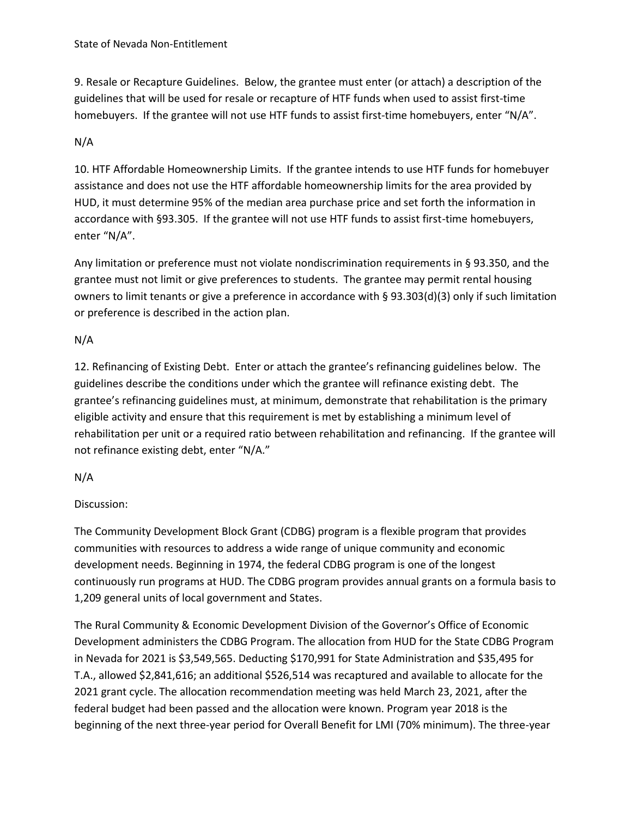9. Resale or Recapture Guidelines. Below, the grantee must enter (or attach) a description of the guidelines that will be used for resale or recapture of HTF funds when used to assist first-time homebuyers. If the grantee will not use HTF funds to assist first-time homebuyers, enter "N/A".

# N/A

10. HTF Affordable Homeownership Limits. If the grantee intends to use HTF funds for homebuyer assistance and does not use the HTF affordable homeownership limits for the area provided by HUD, it must determine 95% of the median area purchase price and set forth the information in accordance with §93.305. If the grantee will not use HTF funds to assist first-time homebuyers, enter "N/A".

Any limitation or preference must not violate nondiscrimination requirements in § 93.350, and the grantee must not limit or give preferences to students. The grantee may permit rental housing owners to limit tenants or give a preference in accordance with § 93.303(d)(3) only if such limitation or preference is described in the action plan.

# N/A

12. Refinancing of Existing Debt. Enter or attach the grantee's refinancing guidelines below. The guidelines describe the conditions under which the grantee will refinance existing debt. The grantee's refinancing guidelines must, at minimum, demonstrate that rehabilitation is the primary eligible activity and ensure that this requirement is met by establishing a minimum level of rehabilitation per unit or a required ratio between rehabilitation and refinancing. If the grantee will not refinance existing debt, enter "N/A."

# N/A

# Discussion:

The Community Development Block Grant (CDBG) program is a flexible program that provides communities with resources to address a wide range of unique community and economic development needs. Beginning in 1974, the federal CDBG program is one of the longest continuously run programs at HUD. The CDBG program provides annual grants on a formula basis to 1,209 general units of local government and States.

The Rural Community & Economic Development Division of the Governor's Office of Economic Development administers the CDBG Program. The allocation from HUD for the State CDBG Program in Nevada for 2021 is \$3,549,565. Deducting \$170,991 for State Administration and \$35,495 for T.A., allowed \$2,841,616; an additional \$526,514 was recaptured and available to allocate for the 2021 grant cycle. The allocation recommendation meeting was held March 23, 2021, after the federal budget had been passed and the allocation were known. Program year 2018 is the beginning of the next three-year period for Overall Benefit for LMI (70% minimum). The three-year